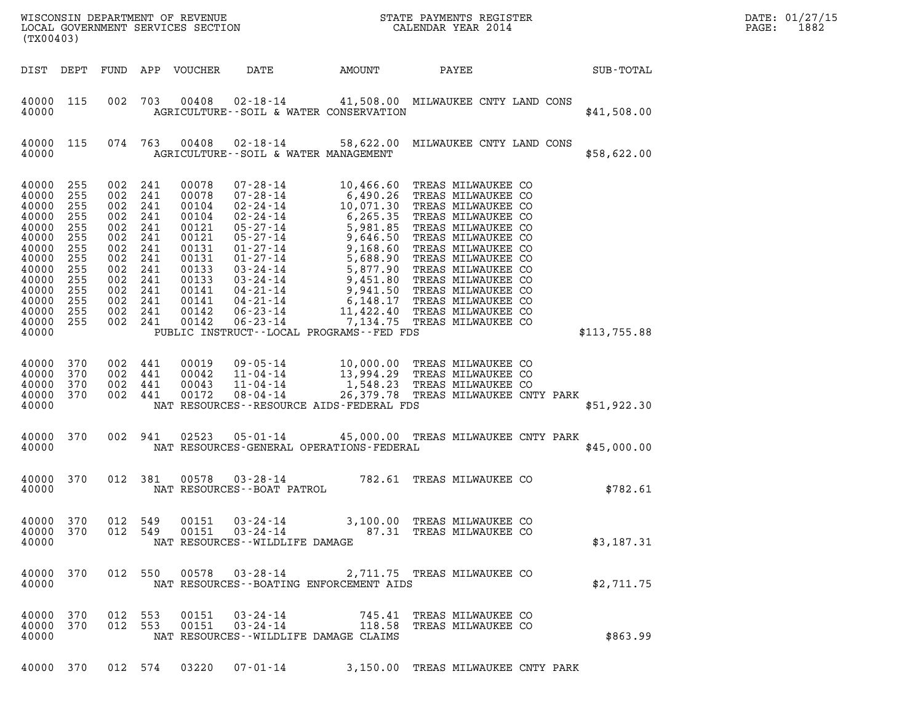| STATE PAYMENTS REGISTER<br>CALENDAR YEAR 2014<br>WISCONSIN DEPARTMENT OF REVENUE<br>LOCAL GOVERNMENT SERVICES SECTION<br>(TX00403)                                                                                                                                                                                                                                                                                                                                                                                                                                                                                                                                                                                                                                                                                                                                                                                                                                                                                                                                                                                                                                             | DATE: 01/27/15<br>1882<br>PAGE: |
|--------------------------------------------------------------------------------------------------------------------------------------------------------------------------------------------------------------------------------------------------------------------------------------------------------------------------------------------------------------------------------------------------------------------------------------------------------------------------------------------------------------------------------------------------------------------------------------------------------------------------------------------------------------------------------------------------------------------------------------------------------------------------------------------------------------------------------------------------------------------------------------------------------------------------------------------------------------------------------------------------------------------------------------------------------------------------------------------------------------------------------------------------------------------------------|---------------------------------|
| DATE<br>DIST DEPT<br>FUND APP VOUCHER<br>AMOUNT<br>PAYEE<br>SUB-TOTAL                                                                                                                                                                                                                                                                                                                                                                                                                                                                                                                                                                                                                                                                                                                                                                                                                                                                                                                                                                                                                                                                                                          |                                 |
| 40000 115<br>002<br>703<br>00408<br>02-18-14 41,508.00 MILWAUKEE CNTY LAND CONS<br>40000<br>AGRICULTURE -- SOIL & WATER CONSERVATION<br>\$41,508.00                                                                                                                                                                                                                                                                                                                                                                                                                                                                                                                                                                                                                                                                                                                                                                                                                                                                                                                                                                                                                            |                                 |
| 074 763<br>00408<br>02-18-14 58,622.00 MILWAUKEE CNTY LAND CONS<br>40000 115<br>40000<br>AGRICULTURE--SOIL & WATER MANAGEMENT<br>\$58,622.00                                                                                                                                                                                                                                                                                                                                                                                                                                                                                                                                                                                                                                                                                                                                                                                                                                                                                                                                                                                                                                   |                                 |
| 40000<br>00078<br>$07 - 28 - 14$<br>10,466.60<br>255<br>002<br>241<br>TREAS MILWAUKEE CO<br>10,466.60 TREAS MILWAUKEE CO<br>6,490.26 TREAS MILWAUKEE CO<br>10,071.30 TREAS MILWAUKEE CO<br>6,265.35 TREAS MILWAUKEE CO<br>5,981.85 TREAS MILWAUKEE CO<br>9,646.50 TREAS MILWAUKEE CO<br>9,168.60 TREAS MILWAUKEE CO<br>5,688.90 TREAS M<br>40000<br>255<br>002<br>241<br>00078<br>$07 - 28 - 14$<br>40000<br>255<br>002<br>241<br>00104<br>$02 - 24 - 14$<br>$02 - 24 - 14$<br>40000<br>255<br>002<br>241<br>00104<br>40000<br>255<br>002<br>241<br>00121<br>$05 - 27 - 14$<br>$05 - 27 - 14$<br>40000<br>255<br>002<br>241<br>00121<br>40000<br>255<br>002<br>241<br>00131<br>$01 - 27 - 14$<br>$01 - 27 - 14$<br>40000<br>255<br>002<br>241<br>00131<br>40000<br>255<br>002<br>241<br>00133<br>$03 - 24 - 14$<br>40000<br>255<br>002<br>241<br>00133<br>$03 - 24 - 14$<br>40000<br>255<br>002<br>241<br>00141<br>$04 - 21 - 14$<br>40000<br>255<br>002<br>241<br>00141<br>$04 - 21 - 14$<br>40000<br>255<br>002<br>241<br>00142<br>$06 - 23 - 14$<br>$06 - 23 - 14$<br>40000<br>255<br>002 241<br>00142<br>40000<br>PUBLIC INSTRUCT--LOCAL PROGRAMS--FED FDS<br>\$113,755.88 |                                 |
| 40000<br>002<br>441<br>00019<br>$09 - 05 - 14$<br>10,000.00 TREAS MILWAUKEE CO<br>13,994.29 TREAS MILWAUKEE CO<br>370<br>40000<br>370<br>002 441<br>00042<br>$11 - 04 - 14$<br>1,548.23<br>$11 - 04 - 14$<br>40000<br>002 441<br>00043<br>TREAS MILWAUKEE CO<br>370<br>$08 - 04 - 14$<br>40000<br>370<br>002 441<br>00172<br>26,379.78 TREAS MILWAUKEE CNTY PARK<br>40000<br>NAT RESOURCES - - RESOURCE AIDS - FEDERAL FDS<br>\$51,922.30                                                                                                                                                                                                                                                                                                                                                                                                                                                                                                                                                                                                                                                                                                                                      |                                 |
| 40000<br>002 941<br>02523<br>$05 - 01 - 14$<br>45,000.00 TREAS MILWAUKEE CNTY PARK<br>370<br>40000<br>NAT RESOURCES-GENERAL OPERATIONS-FEDERAL<br>\$45,000.00                                                                                                                                                                                                                                                                                                                                                                                                                                                                                                                                                                                                                                                                                                                                                                                                                                                                                                                                                                                                                  |                                 |
| 782.61 TREAS MILWAUKEE CO<br>012 381<br>$00578$ $03 - 28 - 14$<br>40000<br>370<br>40000<br>NAT RESOURCES - - BOAT PATROL<br>\$782.61                                                                                                                                                                                                                                                                                                                                                                                                                                                                                                                                                                                                                                                                                                                                                                                                                                                                                                                                                                                                                                           |                                 |
| $03 - 24 - 14$<br>40000<br>370<br>012 549<br>00151<br>3,100.00 TREAS MILWAUKEE CO<br>87.31 TREAS MILWAUKEE CO<br>40000<br>370<br>012 549<br>00151<br>$03 - 24 - 14$<br>40000<br>NAT RESOURCES - - WILDLIFE DAMAGE<br>\$3,187.31                                                                                                                                                                                                                                                                                                                                                                                                                                                                                                                                                                                                                                                                                                                                                                                                                                                                                                                                                |                                 |
| 370<br>012 550<br>00578<br>03-28-14<br>40000<br>2,711.75 TREAS MILWAUKEE CO<br>40000<br>NAT RESOURCES--BOATING ENFORCEMENT AIDS<br>\$2,711.75                                                                                                                                                                                                                                                                                                                                                                                                                                                                                                                                                                                                                                                                                                                                                                                                                                                                                                                                                                                                                                  |                                 |
| 40000<br>012 553<br>$03 - 24 - 14$<br>370<br>00151<br>745.41 TREAS MILWAUKEE CO<br>40000<br>370<br>012 553<br>00151<br>$03 - 24 - 14$<br>118.58 TREAS MILWAUKEE CO<br>\$863.99<br>40000<br>NAT RESOURCES--WILDLIFE DAMAGE CLAIMS                                                                                                                                                                                                                                                                                                                                                                                                                                                                                                                                                                                                                                                                                                                                                                                                                                                                                                                                               |                                 |
| $07 - 01 - 14$<br>40000 370<br>012 574<br>03220<br>3,150.00 TREAS MILWAUKEE CNTY PARK                                                                                                                                                                                                                                                                                                                                                                                                                                                                                                                                                                                                                                                                                                                                                                                                                                                                                                                                                                                                                                                                                          |                                 |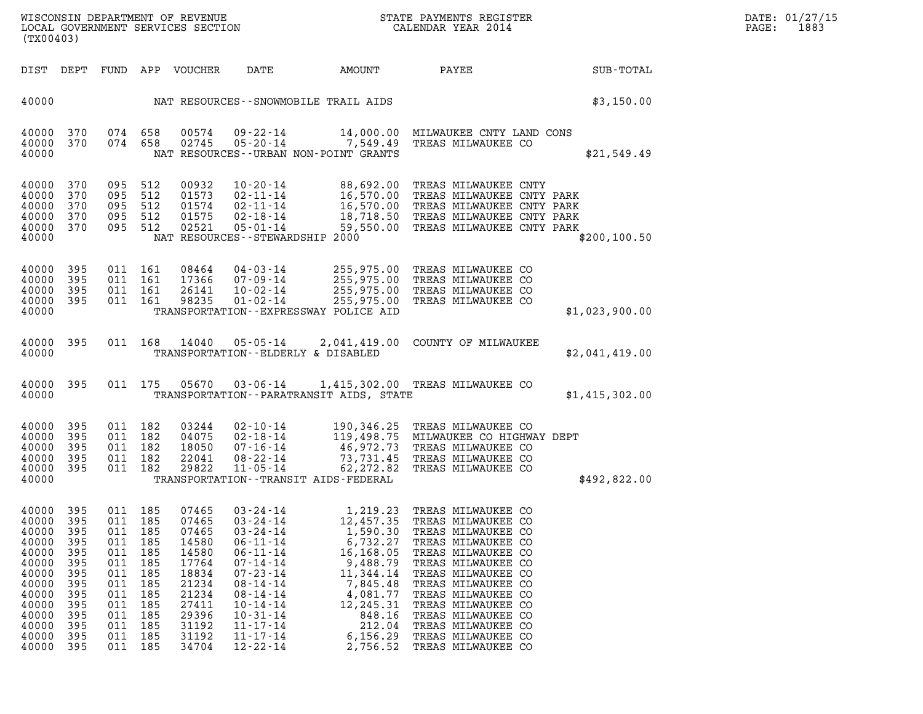| WISCONSIN DEPARTMENT OF REVENUE   | STATE PAYMENTS REGISTER | DATE: 01/27/15 |
|-----------------------------------|-------------------------|----------------|
| LOCAL GOVERNMENT SERVICES SECTION | CALENDAR YEAR 2014      | 1883<br>PAGE:  |

| STATE PAYMENTS REGIS'<br>CALENDAR YEAR 2014<br>WISCONSIN DEPARTMENT OF REVENUE<br>STATE PAYMENTS REGISTER<br>LOCAL GOVERNMENT SERVICES SECTION<br>(TX00403) |                                                                                          |                                                                                                        |                                                                                  |                                                                                                                            |                                                                                                                                                                                                                                                          |                                                                                                                                                           |                                                                                                                                                                                                                                                                                                                           |                | PAGE: | DATE: 01/27/15<br>1883 |
|-------------------------------------------------------------------------------------------------------------------------------------------------------------|------------------------------------------------------------------------------------------|--------------------------------------------------------------------------------------------------------|----------------------------------------------------------------------------------|----------------------------------------------------------------------------------------------------------------------------|----------------------------------------------------------------------------------------------------------------------------------------------------------------------------------------------------------------------------------------------------------|-----------------------------------------------------------------------------------------------------------------------------------------------------------|---------------------------------------------------------------------------------------------------------------------------------------------------------------------------------------------------------------------------------------------------------------------------------------------------------------------------|----------------|-------|------------------------|
|                                                                                                                                                             |                                                                                          |                                                                                                        |                                                                                  | DIST DEPT FUND APP VOUCHER                                                                                                 | DATE                                                                                                                                                                                                                                                     | AMOUNT                                                                                                                                                    | PAYEE                                                                                                                                                                                                                                                                                                                     | SUB-TOTAL      |       |                        |
| 40000                                                                                                                                                       |                                                                                          |                                                                                                        |                                                                                  |                                                                                                                            |                                                                                                                                                                                                                                                          | NAT RESOURCES - SNOWMOBILE TRAIL AIDS                                                                                                                     |                                                                                                                                                                                                                                                                                                                           | \$3,150.00     |       |                        |
| 40000 370<br>40000<br>40000                                                                                                                                 | 370                                                                                      | 074 658<br>074 658                                                                                     |                                                                                  | 00574<br>02745                                                                                                             | $09 - 22 - 14$<br>$05 - 20 - 14$                                                                                                                                                                                                                         | 7,549.49<br>NAT RESOURCES - - URBAN NON-POINT GRANTS                                                                                                      | 14,000.00 MILWAUKEE CNTY LAND CONS<br>TREAS MILWAUKEE CO                                                                                                                                                                                                                                                                  | \$21,549.49    |       |                        |
| 40000<br>40000<br>40000<br>40000<br>40000<br>40000                                                                                                          | 370<br>370<br>370<br>370<br>370                                                          | 095<br>095 512<br>095<br>095 512<br>095 512                                                            | 512<br>512                                                                       | 00932<br>01573<br>01574<br>01575<br>02521                                                                                  | $10 - 20 - 14$<br>$02 - 11 - 14$<br>02-11-14<br>02-18-14<br>$05 - 01 - 14$<br>NAT RESOURCES - - STEWARDSHIP 2000                                                                                                                                         | 16,570.00<br>59,550.00                                                                                                                                    | 88,692.00 TREAS MILWAUKEE CNTY<br>16,570.00 TREAS MILWAUKEE CNTY PARK<br>TREAS MILWAUKEE CNTY PARK<br>18,718.50 TREAS MILWAUKEE CNTY PARK<br>TREAS MILWAUKEE CNTY PARK                                                                                                                                                    | \$200, 100.50  |       |                        |
| 40000<br>40000<br>40000<br>40000<br>40000                                                                                                                   | 395<br>395<br>395<br>- 395                                                               | 011 161<br>011 161<br>011 161<br>011 161                                                               |                                                                                  | 08464<br>17366<br>26141<br>98235                                                                                           | 04-03-14<br>07-09-14<br>$10 - 02 - 14$<br>$01 - 02 - 14$                                                                                                                                                                                                 | 255,975.00<br>TRANSPORTATION -- EXPRESSWAY POLICE AID                                                                                                     | 255,975.00 TREAS MILWAUKEE CO<br>255,975.00 TREAS MILWAUKEE CO<br>255,975.00 TREAS MILWAUKEE CO<br>TREAS MILWAUKEE CO                                                                                                                                                                                                     | \$1,023,900.00 |       |                        |
| 40000 395<br>40000                                                                                                                                          |                                                                                          |                                                                                                        |                                                                                  |                                                                                                                            | 011 168 14040 05-05-14<br>TRANSPORTATION--ELDERLY & DISABLED                                                                                                                                                                                             |                                                                                                                                                           | 2,041,419.00 COUNTY OF MILWAUKEE                                                                                                                                                                                                                                                                                          | \$2,041,419.00 |       |                        |
| 40000                                                                                                                                                       | 40000 395                                                                                |                                                                                                        |                                                                                  |                                                                                                                            |                                                                                                                                                                                                                                                          | TRANSPORTATION - - PARATRANSIT AIDS, STATE                                                                                                                | 011  175  05670  03-06-14  1,415,302.00  TREAS MILWAUKEE CO                                                                                                                                                                                                                                                               | \$1,415,302.00 |       |                        |
| 40000 395<br>40000<br>40000<br>40000<br>40000<br>40000                                                                                                      | 395<br>395<br>395<br>395                                                                 | 011 182<br>011 182<br>011 182<br>011 182<br>011 182                                                    |                                                                                  | 03244<br>04075<br>18050<br>22041<br>29822                                                                                  | 02-10-14<br>$02 - 18 - 14$<br>07-16-14<br>08-22-14<br>$11 - 05 - 14$                                                                                                                                                                                     | 46,972.73<br>62,272.82<br>TRANSPORTATION - - TRANSIT AIDS - FEDERAL                                                                                       | 190,346.25 TREAS MILWAUKEE CO<br>119,498.75 MILWAUKEE CO HIGHWAY DEPT<br>TREAS MILWAUKEE CO<br>73,731.45 TREAS MILWAUKEE CO<br>TREAS MILWAUKEE CO                                                                                                                                                                         | \$492,822.00   |       |                        |
| 40000 395<br>40000<br>40000<br>40000<br>40000<br>40000<br>40000<br>40000<br>40000<br>40000<br>40000<br>40000<br>40000<br>40000                              | 395<br>395<br>395<br>395<br>395<br>395<br>395<br>395<br>395<br>395<br>395<br>-395<br>395 | 011 185<br>011<br>011<br>011<br>011<br>011<br>011<br>011<br>011<br>011<br>011<br>011<br>011<br>011 185 | 185<br>185<br>185<br>185<br>185<br>185<br>185<br>185<br>185<br>185<br>185<br>185 | 07465<br>07465<br>07465<br>14580<br>14580<br>17764<br>18834<br>21234<br>21234<br>27411<br>29396<br>31192<br>31192<br>34704 | $03 - 24 - 14$<br>$03 - 24 - 14$<br>$03 - 24 - 14$<br>$06 - 11 - 14$<br>$06 - 11 - 14$<br>$07 - 14 - 14$<br>$07 - 23 - 14$<br>$08 - 14 - 14$<br>$08 - 14 - 14$<br>$10 - 14 - 14$<br>$10 - 31 - 14$<br>$11 - 17 - 14$<br>$11 - 17 - 14$<br>$12 - 22 - 14$ | 12,457.35<br>1,590.30<br>6,732.27<br>16,168.05<br>9,488.79<br>11,344.14<br>7,845.48<br>4,081.77<br>12,245.31<br>848.16<br>212.04<br>6, 156.29<br>2,756.52 | 1,219.23 TREAS MILWAUKEE CO<br>TREAS MILWAUKEE CO<br>TREAS MILWAUKEE CO<br>TREAS MILWAUKEE CO<br>TREAS MILWAUKEE CO<br>TREAS MILWAUKEE CO<br>TREAS MILWAUKEE CO<br>TREAS MILWAUKEE CO<br>TREAS MILWAUKEE CO<br>TREAS MILWAUKEE CO<br>TREAS MILWAUKEE CO<br>TREAS MILWAUKEE CO<br>TREAS MILWAUKEE CO<br>TREAS MILWAUKEE CO |                |       |                        |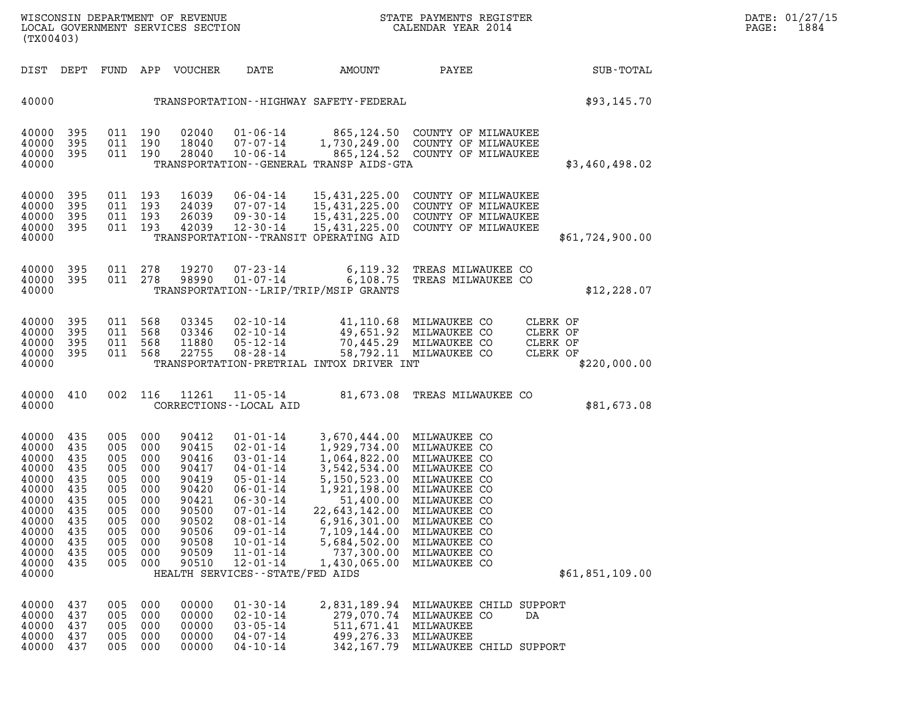| WISCONSIN DEPARTMENT OF REVENUE   | STATE PAYMENTS REGISTER | DATE: 01/27/15 |
|-----------------------------------|-------------------------|----------------|
| LOCAL GOVERNMENT SERVICES SECTION | CALENDAR YEAR 2014      | 1884<br>PAGE:  |

| (TX00403)                                                                                                                  |                                                                                         |                                                                                                                         |                                 | WISCONSIN DEPARTMENT OF REVENUE<br>LOCAL GOVERNMENT SERVICES SECTION                                              |                                                                                                                                                                                                                                                            |                                                                                                                                                                                                                                                                                                             | STATE PAYMENTS REGISTER<br>CALENDAR YEAR 2014                                                                                                                                                                                  |          |                 | DATE: 01/27/15<br>PAGE: 1884 |
|----------------------------------------------------------------------------------------------------------------------------|-----------------------------------------------------------------------------------------|-------------------------------------------------------------------------------------------------------------------------|---------------------------------|-------------------------------------------------------------------------------------------------------------------|------------------------------------------------------------------------------------------------------------------------------------------------------------------------------------------------------------------------------------------------------------|-------------------------------------------------------------------------------------------------------------------------------------------------------------------------------------------------------------------------------------------------------------------------------------------------------------|--------------------------------------------------------------------------------------------------------------------------------------------------------------------------------------------------------------------------------|----------|-----------------|------------------------------|
|                                                                                                                            |                                                                                         |                                                                                                                         |                                 | DIST DEPT FUND APP VOUCHER  DATE                                                                                  |                                                                                                                                                                                                                                                            | AMOUNT                                                                                                                                                                                                                                                                                                      | <b>PAYEE</b>                                                                                                                                                                                                                   |          | SUB-TOTAL       |                              |
| 40000                                                                                                                      |                                                                                         |                                                                                                                         |                                 |                                                                                                                   |                                                                                                                                                                                                                                                            | TRANSPORTATION - - HIGHWAY SAFETY - FEDERAL                                                                                                                                                                                                                                                                 |                                                                                                                                                                                                                                |          | \$93,145.70     |                              |
| 40000<br>40000<br>40000<br>40000                                                                                           | 395<br>395<br>395                                                                       | 011 190<br>011 190                                                                                                      | 011 190                         | 02040<br>18040<br>28040                                                                                           |                                                                                                                                                                                                                                                            | TRANSPORTATION--GENERAL TRANSP AIDS-GTA                                                                                                                                                                                                                                                                     | 01-06-14   865,124.50   COUNTY OF MILWAUKEE<br>07-07-14   1,730,249.00   COUNTY OF MILWAUKEE<br>10-06-14 865,124.52 COUNTY OF MILWAUKEE                                                                                        |          | \$3,460,498.02  |                              |
| 40000<br>40000<br>40000<br>40000<br>40000                                                                                  | 395<br>395<br>395<br>395                                                                | 011 193<br>011 193<br>011 193<br>011 193                                                                                |                                 | 16039<br>24039<br>26039<br>42039                                                                                  | 07-07-14<br>09-30-14<br>12-30-14                                                                                                                                                                                                                           | TRANSPORTATION - - TRANSIT OPERATING AID                                                                                                                                                                                                                                                                    | 06-04-14  15,431,225.00  COUNTY OF MILWAUKEE<br>15,431,225.00 COUNTY OF MILWAUKEE<br>15,431,225.00 COUNTY OF MILWAUKEE<br>15,431,225.00 COUNTY OF MILWAUKEE                                                                    |          | \$61,724,900.00 |                              |
| 40000<br>40000 395<br>40000                                                                                                | 395                                                                                     |                                                                                                                         |                                 |                                                                                                                   |                                                                                                                                                                                                                                                            | TRANSPORTATION - - LRIP/TRIP/MSIP GRANTS                                                                                                                                                                                                                                                                    | 011  278  19270  07-23-14  6,119.32  TREAS MILWAUKEE CO<br>011  278  98990  01-07-14  6,108.75  TREAS MILWAUKEE CO                                                                                                             |          | \$12, 228.07    |                              |
| 40000<br>40000<br>40000<br>40000<br>40000                                                                                  | 395<br>395<br>395<br>395                                                                | 011 568<br>011 568<br>011 568<br>011 568                                                                                |                                 | 03345<br>03346<br>11880<br>22755                                                                                  |                                                                                                                                                                                                                                                            | TRANSPORTATION-PRETRIAL INTOX DRIVER INT                                                                                                                                                                                                                                                                    | 02-10-14   41,110.68   MILWAUKEE CO   CLERK OF<br>02-10-14   49,651.92   MILWAUKEE CO   CLERK OF<br>05-12-14   70,445.29   MILWAUKEE CO   CLERK OF<br>08-28-14   58,792.11   MILWAUKEE CO   CLERK OF<br>58,792.11 MILWAUKEE CO | CLERK OF | \$220,000.00    |                              |
| 40000 410<br>40000                                                                                                         |                                                                                         | 002 116                                                                                                                 |                                 | 11261                                                                                                             | 11-05-14<br>CORRECTIONS - - LOCAL AID                                                                                                                                                                                                                      |                                                                                                                                                                                                                                                                                                             | 81,673.08 TREAS MILWAUKEE CO                                                                                                                                                                                                   |          | \$81,673.08     |                              |
| 40000<br>40000<br>40000<br>40000<br>40000<br>40000<br>40000<br>40000<br>40000<br>40000<br>40000<br>40000<br>40000<br>40000 | 435<br>435<br>435<br>435<br>435<br>435<br>435<br>435<br>435<br>435<br>435<br>435<br>435 | 005 000<br>005 000<br>005 000<br>005 000<br>005 000<br>005 000<br>005 000<br>005 000<br>005<br>005<br>005<br>005<br>005 | 000<br>000<br>000<br>000<br>000 | 90412<br>90415<br>90416<br>90417<br>90419<br>90420<br>90421<br>90500<br>90502<br>90506<br>90508<br>90509<br>90510 | $01 - 01 - 14$<br>02-01-14<br>$03 - 01 - 14$<br>$04 - 01 - 14$<br>05-01-14<br>06-01-14<br>$06 - 30 - 14$<br>$07 - 01 - 14$<br>$08 - 01 - 14$<br>$09 - 01 - 14$<br>$10 - 01 - 14$<br>$11 - 01 - 14$<br>$12 - 01 - 14$<br>HEALTH SERVICES - - STATE/FED AIDS | 3,670,444.00 MILWAUKEE CO<br>1,929,734.00 MILWAUKEE CO<br>1, 064, 822.00 MILWAUKEE CO<br>3, 542, 534.00 MILWAUKEE CO<br>5, 150, 523.00 MILWAUKEE CO<br>1, 921, 198.00 MILWAUKEE CO<br>51, 400.00 MILWAUKEE CO<br>22,643,142.00 MILWAUKEE CO<br>6,916,301.00<br>7,109,144.00<br>5,684,502.00<br>1,430,065.00 | MILWAUKEE CO<br>MILWAUKEE CO<br>MILWAUKEE CO<br>737,300.00 MILWAUKEE CO<br>MILWAUKEE CO                                                                                                                                        |          | \$61,851,109.00 |                              |
| 40000<br>40000<br>40000<br>40000<br>40000                                                                                  | 437<br>437<br>437<br>437<br>437                                                         | 005<br>005<br>005<br>005<br>005                                                                                         | 000<br>000<br>000<br>000<br>000 | 00000<br>00000<br>00000<br>00000<br>00000                                                                         | $01 - 30 - 14$<br>$02 - 10 - 14$<br>$03 - 05 - 14$<br>$04 - 07 - 14$<br>$04 - 10 - 14$                                                                                                                                                                     | 511,671.41 MILWAUKEE<br>499, 276.33 MILWAUKEE                                                                                                                                                                                                                                                               | 2,831,189.94 MILWAUKEE CHILD SUPPORT<br>279,070.74 MILWAUKEE CO<br>342,167.79 MILWAUKEE CHILD SUPPORT                                                                                                                          | DA       |                 |                              |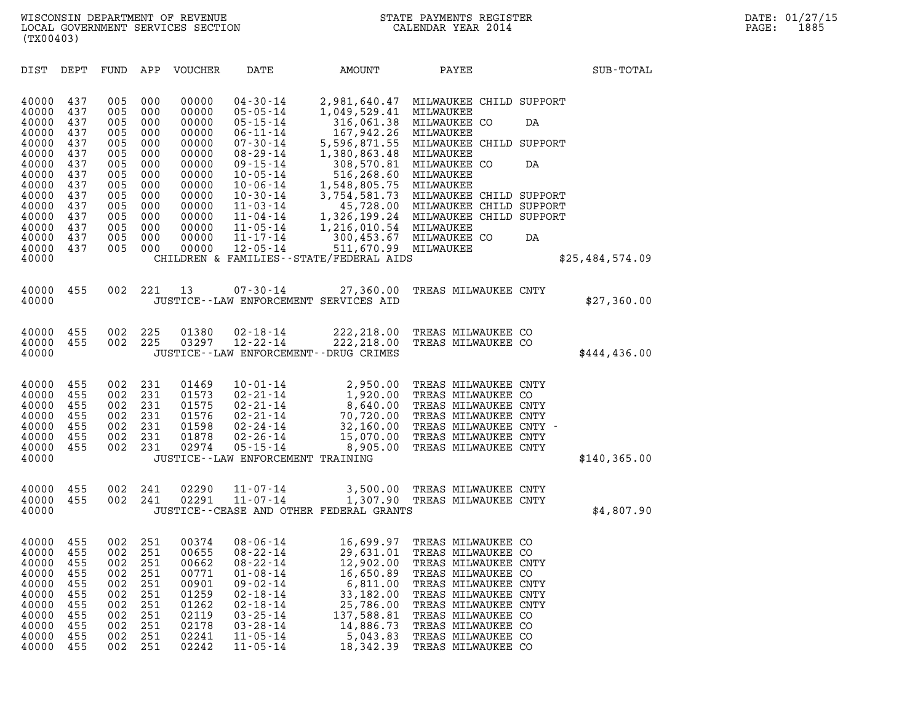| (TX00403)                                                                 |                                                                           |                                                                           |                                                                                                 |                                                                                                                                                                                                    |                                                                                                                                            |                                                                                                                                                            |                                                                                                                                                 |                                                                                                                                                                                                                                                                                                                                                                                                                                                                                                                                                                                                                                                                                           |
|---------------------------------------------------------------------------|---------------------------------------------------------------------------|---------------------------------------------------------------------------|-------------------------------------------------------------------------------------------------|----------------------------------------------------------------------------------------------------------------------------------------------------------------------------------------------------|--------------------------------------------------------------------------------------------------------------------------------------------|------------------------------------------------------------------------------------------------------------------------------------------------------------|-------------------------------------------------------------------------------------------------------------------------------------------------|-------------------------------------------------------------------------------------------------------------------------------------------------------------------------------------------------------------------------------------------------------------------------------------------------------------------------------------------------------------------------------------------------------------------------------------------------------------------------------------------------------------------------------------------------------------------------------------------------------------------------------------------------------------------------------------------|
| DEPT                                                                      | FUND                                                                      | APP                                                                       | <b>VOUCHER</b>                                                                                  | DATE                                                                                                                                                                                               | AMOUNT                                                                                                                                     | PAYEE                                                                                                                                                      |                                                                                                                                                 | SUB-TOTAL                                                                                                                                                                                                                                                                                                                                                                                                                                                                                                                                                                                                                                                                                 |
| 437<br>437<br>437<br>437                                                  | 005<br>005<br>005<br>005                                                  | 000<br>000<br>000<br>000                                                  | 00000<br>00000<br>00000<br>00000                                                                | $04 - 30 - 14$<br>$05 - 05 - 14$<br>$05 - 15 - 14$<br>$06 - 11 - 14$                                                                                                                               | 2,981,640.47<br>1,049,529.41<br>316,061.38<br>167,942.26                                                                                   | MILWAUKEE<br>MILWAUKEE CO<br>MILWAUKEE                                                                                                                     | DA                                                                                                                                              |                                                                                                                                                                                                                                                                                                                                                                                                                                                                                                                                                                                                                                                                                           |
| 437<br>437<br>437<br>437<br>437                                           | 005<br>005<br>005<br>005<br>005                                           | 000<br>000<br>000<br>000<br>000                                           | 00000<br>00000<br>00000<br>00000<br>00000                                                       | $08 - 29 - 14$<br>$09 - 15 - 14$<br>$10 - 05 - 14$<br>$10 - 06 - 14$<br>$10 - 30 - 14$                                                                                                             | 1,380,863.48<br>308,570.81<br>516,268.60<br>1,548,805.75<br>3,754,581.73                                                                   | MILWAUKEE<br>MILWAUKEE CO<br>MILWAUKEE<br>MILWAUKEE                                                                                                        | DA                                                                                                                                              |                                                                                                                                                                                                                                                                                                                                                                                                                                                                                                                                                                                                                                                                                           |
| 437<br>437<br>437                                                         | 005<br>005<br>005                                                         | 000<br>000<br>000                                                         | 00000<br>00000<br>00000                                                                         | $11 - 04 - 14$<br>$11 - 05 - 14$<br>$11 - 17 - 14$                                                                                                                                                 | 1,326,199.24                                                                                                                               | MILWAUKEE<br>MILWAUKEE CO                                                                                                                                  | DA                                                                                                                                              |                                                                                                                                                                                                                                                                                                                                                                                                                                                                                                                                                                                                                                                                                           |
|                                                                           |                                                                           |                                                                           |                                                                                                 |                                                                                                                                                                                                    |                                                                                                                                            |                                                                                                                                                            |                                                                                                                                                 | \$25,484,574.09                                                                                                                                                                                                                                                                                                                                                                                                                                                                                                                                                                                                                                                                           |
| 455                                                                       | 002                                                                       | 221                                                                       | 13                                                                                              | $07 - 30 - 14$                                                                                                                                                                                     | 27,360.00                                                                                                                                  |                                                                                                                                                            |                                                                                                                                                 | \$27,360.00                                                                                                                                                                                                                                                                                                                                                                                                                                                                                                                                                                                                                                                                               |
| 455<br>455                                                                | 002<br>002                                                                | 225<br>225                                                                | 01380<br>03297                                                                                  | $02 - 18 - 14$<br>$12 - 22 - 14$                                                                                                                                                                   | 222,218.00<br>222,218.00                                                                                                                   |                                                                                                                                                            |                                                                                                                                                 | \$444, 436.00                                                                                                                                                                                                                                                                                                                                                                                                                                                                                                                                                                                                                                                                             |
| 455<br>455<br>455<br>455<br>455<br>455<br>455                             | 002<br>002<br>002<br>002<br>002<br>002<br>002                             | 231<br>231<br>231<br>231<br>231<br>231<br>231                             | 01469<br>01573<br>01575<br>01576<br>01598<br>01878<br>02974                                     | $10 - 01 - 14$<br>$02 - 21 - 14$<br>$02 - 21 - 14$<br>$02 - 21 - 14$<br>$02 - 24 - 14$<br>$02 - 26 - 14$<br>$05 - 15 - 14$                                                                         | 2,950.00<br>1,920.00<br>8,640.00<br>70,720.00<br>32,160.00<br>15,070.00<br>8,905.00                                                        |                                                                                                                                                            |                                                                                                                                                 | \$140,365.00                                                                                                                                                                                                                                                                                                                                                                                                                                                                                                                                                                                                                                                                              |
| 455<br>455                                                                | 002<br>002                                                                | 241<br>241                                                                | 02290<br>02291                                                                                  | $11 - 07 - 14$<br>$11 - 07 - 14$                                                                                                                                                                   | 3,500.00<br>1,307.90                                                                                                                       |                                                                                                                                                            |                                                                                                                                                 | \$4,807.90                                                                                                                                                                                                                                                                                                                                                                                                                                                                                                                                                                                                                                                                                |
| 455<br>455<br>455<br>455<br>455<br>455<br>455<br>455<br>455<br>455<br>455 | 002<br>002<br>002<br>002<br>002<br>002<br>002<br>002<br>002<br>002<br>002 | 251<br>251<br>251<br>251<br>251<br>251<br>251<br>251<br>251<br>251<br>251 | 00374<br>00655<br>00662<br>00771<br>00901<br>01259<br>01262<br>02119<br>02178<br>02241<br>02242 | $08 - 06 - 14$<br>$08 - 22 - 14$<br>$08 - 22 - 14$<br>$01 - 08 - 14$<br>$09 - 02 - 14$<br>$02 - 18 - 14$<br>$02 - 18 - 14$<br>$03 - 25 - 14$<br>$03 - 28 - 14$<br>$11 - 05 - 14$<br>$11 - 05 - 14$ | 16,699.97<br>29,631.01<br>12,902.00<br>16,650.89<br>6,811.00<br>33,182.00<br>25,786.00<br>137,588.81<br>14,886.73<br>5,043.83<br>18,342.39 |                                                                                                                                                            |                                                                                                                                                 |                                                                                                                                                                                                                                                                                                                                                                                                                                                                                                                                                                                                                                                                                           |
|                                                                           | 437<br>437<br>437                                                         | 005<br>005<br>005                                                         | 000<br>000<br>000                                                                               | 00000<br>00000<br>00000                                                                                                                                                                            | $07 - 30 - 14$<br>$11 - 03 - 14$<br>$12 - 05 - 14$                                                                                         | 5,596,871.55<br>511,670.99<br>JUSTICE--LAW ENFORCEMENT SERVICES AID<br>JUSTICE - - LAW ENFORCEMENT - - DRUG CRIMES<br>JUSTICE - - LAW ENFORCEMENT TRAINING | 45,728.00<br>1,216,010.54<br>300,453.67<br>MILWAUKEE<br>CHILDREN & FAMILIES - - STATE/FEDERAL AIDS<br>JUSTICE -- CEASE AND OTHER FEDERAL GRANTS | MILWAUKEE CHILD SUPPORT<br>MILWAUKEE CHILD SUPPORT<br>MILWAUKEE CHILD SUPPORT<br>MILWAUKEE CHILD SUPPORT<br>MILWAUKEE CHILD SUPPORT<br>TREAS MILWAUKEE CNTY<br>TREAS MILWAUKEE CO<br>TREAS MILWAUKEE CO<br>TREAS MILWAUKEE CNTY<br>TREAS MILWAUKEE CO<br>TREAS MILWAUKEE CNTY<br>TREAS MILWAUKEE CNTY<br>TREAS MILWAUKEE CNTY -<br>TREAS MILWAUKEE CNTY<br>TREAS MILWAUKEE CNTY<br>TREAS MILWAUKEE CNTY<br>TREAS MILWAUKEE CNTY<br>TREAS MILWAUKEE CO<br>TREAS MILWAUKEE CO<br>TREAS MILWAUKEE CNTY<br>TREAS MILWAUKEE CO<br>TREAS MILWAUKEE CNTY<br>TREAS MILWAUKEE CNTY<br>TREAS MILWAUKEE CNTY<br>TREAS MILWAUKEE CO<br>TREAS MILWAUKEE CO<br>TREAS MILWAUKEE CO<br>TREAS MILWAUKEE CO |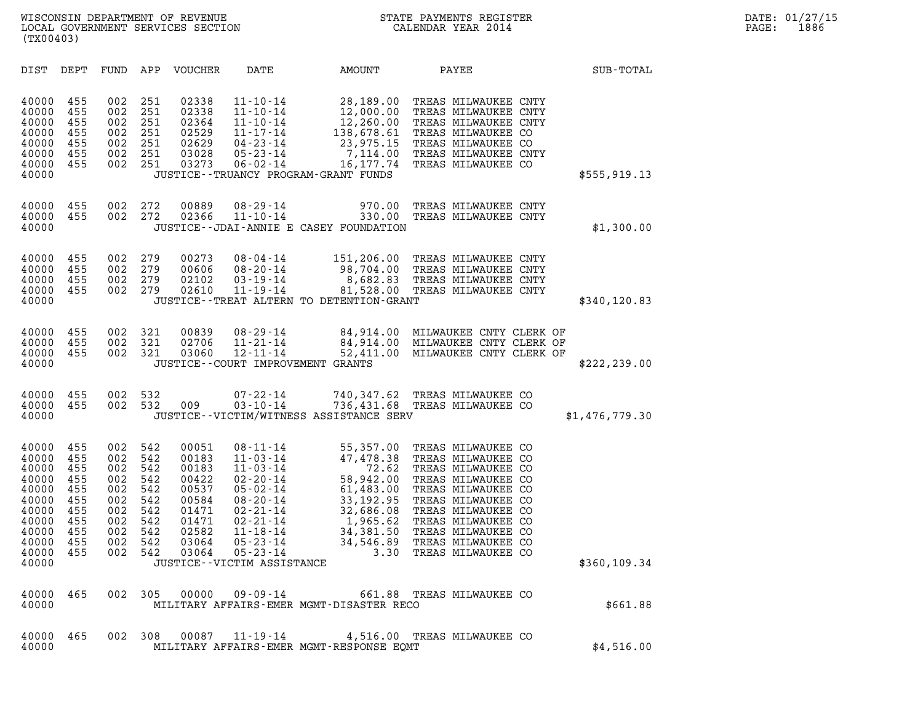| (TX00403)                                                                                                |                                                                           |                                                                           |                                                                           |                                                                                                 |                                                                                                                                                                                                                                     |                                                                                                                       |                                                                                                                                                                                                                                                         |                  |  |
|----------------------------------------------------------------------------------------------------------|---------------------------------------------------------------------------|---------------------------------------------------------------------------|---------------------------------------------------------------------------|-------------------------------------------------------------------------------------------------|-------------------------------------------------------------------------------------------------------------------------------------------------------------------------------------------------------------------------------------|-----------------------------------------------------------------------------------------------------------------------|---------------------------------------------------------------------------------------------------------------------------------------------------------------------------------------------------------------------------------------------------------|------------------|--|
| DIST                                                                                                     | DEPT                                                                      | FUND                                                                      | APP                                                                       | VOUCHER                                                                                         | DATE                                                                                                                                                                                                                                | AMOUNT                                                                                                                | PAYEE                                                                                                                                                                                                                                                   | <b>SUB-TOTAL</b> |  |
| 40000<br>40000<br>40000<br>40000<br>40000<br>40000<br>40000<br>40000                                     | 455<br>455<br>455<br>455<br>455<br>455<br>455                             | 002<br>002<br>002<br>002<br>002<br>002<br>002                             | 251<br>251<br>251<br>251<br>251<br>251<br>251                             | 02338<br>02338<br>02364<br>02529<br>02629<br>03028<br>03273                                     | $11 - 10 - 14$<br>$11 - 10 - 14$<br>$11 - 10 - 14$<br>$11 - 17 - 14$<br>$04 - 23 - 14$<br>$05 - 23 - 14$<br>06-02-14                                                                                                                | 28,189.00<br>12,000.00<br>12,260.00<br>JUSTICE - - TRUANCY PROGRAM - GRANT FUNDS                                      | TREAS MILWAUKEE CNTY<br>TREAS MILWAUKEE CNTY<br>TREAS MILWAUKEE CNTY<br>138,678.61 TREAS MILWAUKEE CO<br>23,975.15 TREAS MILWAUKEE CO<br>7,114.00 TREAS MILWAUKEE CNTY<br>16,177.74 TREAS MILWAUKEE CO                                                  | \$555, 919.13    |  |
| 40000<br>40000<br>40000                                                                                  | 455<br>455                                                                | 002<br>002                                                                | 272<br>272                                                                | 00889<br>02366                                                                                  | $08 - 29 - 14$<br>$11 - 10 - 14$                                                                                                                                                                                                    | 970.00<br>330.00<br>JUSTICE - - JDAI - ANNIE E CASEY FOUNDATION                                                       | TREAS MILWAUKEE CNTY<br>TREAS MILWAUKEE CNTY                                                                                                                                                                                                            | \$1,300.00       |  |
| 40000<br>40000<br>40000<br>40000<br>40000                                                                | 455<br>455<br>455<br>455                                                  | 002<br>002<br>002<br>002                                                  | 279<br>279<br>279<br>279                                                  | 00273<br>00606<br>02102<br>02610                                                                | 08-04-14<br>08-20-14<br>$03 - 19 - 14$<br>$11 - 19 - 14$                                                                                                                                                                            | JUSTICE - - TREAT ALTERN TO DETENTION - GRANT                                                                         | 151,206.00 TREAS MILWAUKEE CNTY<br>98,704.00 TREAS MILWAUKEE CNTY<br>8,682.83 TREAS MILWAUKEE CNTY<br>81,528.00 TREAS MILWAUKEE CNTY                                                                                                                    | \$340, 120.83    |  |
| 40000<br>40000<br>40000<br>40000                                                                         | 455<br>455<br>455                                                         | 002<br>002<br>002                                                         | 321<br>321<br>321                                                         | 00839<br>02706<br>03060                                                                         | $08 - 29 - 14$<br>$11 - 21 - 14$<br>$12 - 11 - 14$                                                                                                                                                                                  | 84,914.00<br>52,411.00<br>JUSTICE--COURT IMPROVEMENT GRANTS                                                           | MILWAUKEE CNTY CLERK OF<br>84,914.00 MILWAUKEE CNTY CLERK OF<br>MILWAUKEE CNTY CLERK OF                                                                                                                                                                 | \$222, 239.00    |  |
| 40000<br>40000<br>40000                                                                                  | 455<br>455                                                                | 002<br>002                                                                | 532<br>532                                                                | 009                                                                                             | $07 - 22 - 14$<br>$03 - 10 - 14$                                                                                                                                                                                                    | 740,347.62<br>JUSTICE - - VICTIM/WITNESS ASSISTANCE SERV                                                              | TREAS MILWAUKEE CO<br>736,431.68 TREAS MILWAUKEE CO                                                                                                                                                                                                     | \$1,476,779.30   |  |
| 40000<br>40000<br>40000<br>40000<br>40000<br>40000<br>40000<br>40000<br>40000<br>40000<br>40000<br>40000 | 455<br>455<br>455<br>455<br>455<br>455<br>455<br>455<br>455<br>455<br>455 | 002<br>002<br>002<br>002<br>002<br>002<br>002<br>002<br>002<br>002<br>002 | 542<br>542<br>542<br>542<br>542<br>542<br>542<br>542<br>542<br>542<br>542 | 00051<br>00183<br>00183<br>00422<br>00537<br>00584<br>01471<br>01471<br>02582<br>03064<br>03064 | $08 - 11 - 14$<br>$11 - 03 - 14$<br>$11 - 03 - 14$<br>$02 - 20 - 14$<br>$05 - 02 - 14$<br>$08 - 20 - 14$<br>$02 - 21 - 14$<br>$02 - 21 - 14$<br>$11 - 18 - 14$<br>$05 - 23 - 14$<br>$05 - 23 - 14$<br>JUSTICE - - VICTIM ASSISTANCE | 55,357.00<br>47,478.38<br>72.62<br>58,942.00<br>61,483.00<br>33,192.95<br>32,686.08<br>34,381.50<br>34,546.89<br>3.30 | TREAS MILWAUKEE CO<br>TREAS MILWAUKEE CO<br>TREAS MILWAUKEE CO<br>TREAS MILWAUKEE CO<br>TREAS MILWAUKEE CO<br>TREAS MILWAUKEE CO<br>TREAS MILWAUKEE CO<br>1,965.62 TREAS MILWAUKEE CO<br>TREAS MILWAUKEE CO<br>TREAS MILWAUKEE CO<br>TREAS MILWAUKEE CO | \$360,109.34     |  |
| 40000<br>40000                                                                                           | 465                                                                       |                                                                           |                                                                           |                                                                                                 | 002 305 00000 09-09-14                                                                                                                                                                                                              | MILITARY AFFAIRS-EMER MGMT-DISASTER RECO                                                                              | 661.88 TREAS MILWAUKEE CO                                                                                                                                                                                                                               | \$661.88         |  |
| 40000<br>40000                                                                                           | 465                                                                       |                                                                           | 002 308                                                                   |                                                                                                 |                                                                                                                                                                                                                                     | MILITARY AFFAIRS-EMER MGMT-RESPONSE EQMT                                                                              | 00087  11-19-14  4,516.00  TREAS MILWAUKEE CO                                                                                                                                                                                                           | \$4,516.00       |  |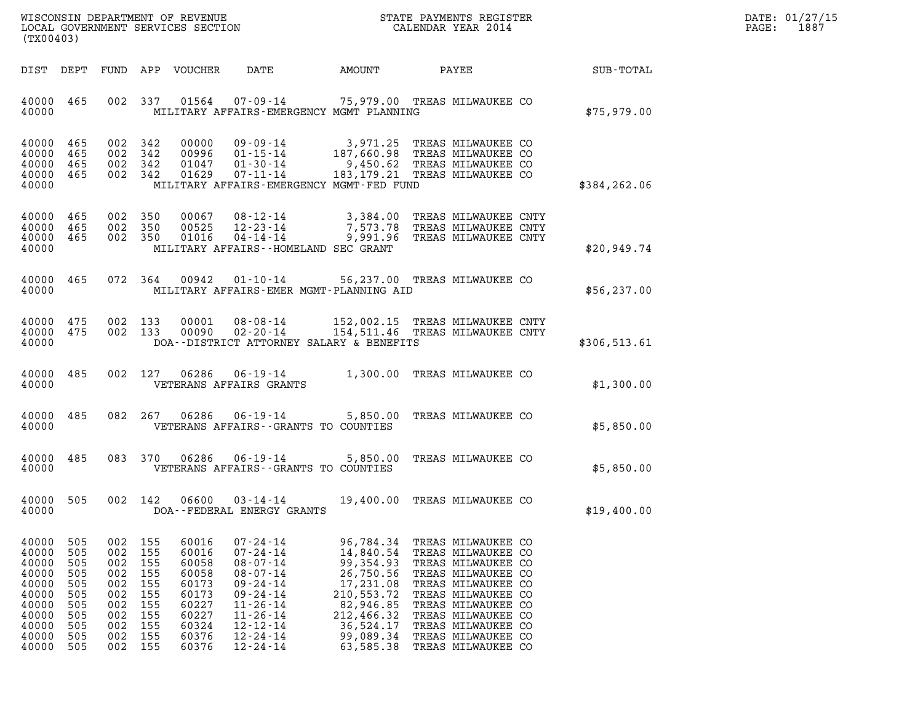| DATE: | 01/27/15 |
|-------|----------|
| PAGE: | 1887     |

| (TX00403)                                                                                       |                                                                           |                                                                           |                                                                           |                                                                                                 |                                                                                                                                                                                                    |                                                                                                                                               |                                                                                                                                                                                                                                                | DATE: 01/27/15<br>$\mathtt{PAGE}$ :<br>1887 |  |
|-------------------------------------------------------------------------------------------------|---------------------------------------------------------------------------|---------------------------------------------------------------------------|---------------------------------------------------------------------------|-------------------------------------------------------------------------------------------------|----------------------------------------------------------------------------------------------------------------------------------------------------------------------------------------------------|-----------------------------------------------------------------------------------------------------------------------------------------------|------------------------------------------------------------------------------------------------------------------------------------------------------------------------------------------------------------------------------------------------|---------------------------------------------|--|
|                                                                                                 | DIST DEPT                                                                 |                                                                           |                                                                           | FUND APP VOUCHER                                                                                | DATE                                                                                                                                                                                               | AMOUNT                                                                                                                                        | PAYEE                                                                                                                                                                                                                                          | SUB-TOTAL                                   |  |
| 40000 465<br>40000                                                                              |                                                                           |                                                                           |                                                                           |                                                                                                 | MILITARY AFFAIRS-EMERGENCY MGMT PLANNING                                                                                                                                                           |                                                                                                                                               | 002 337 01564 07-09-14 75,979.00 TREAS MILWAUKEE CO                                                                                                                                                                                            | \$75,979.00                                 |  |
| 40000 465<br>40000<br>40000<br>40000 465<br>40000                                               | 465<br>465                                                                | 002<br>002 342                                                            | 002 342<br>342<br>002 342                                                 | 00000<br>00996<br>01047<br>01629                                                                | $01 - 30 - 14$<br>07-11-14<br>MILITARY AFFAIRS-EMERGENCY MGMT-FED FUND                                                                                                                             |                                                                                                                                               | 09-09-14 3,971.25 TREAS MILWAUKEE CO<br>01-15-14 187,660.98 TREAS MILWAUKEE CO<br>9,450.62 TREAS MILWAUKEE CO<br>183, 179.21 TREAS MILWAUKEE CO                                                                                                | \$384,262.06                                |  |
| 40000<br>40000<br>40000 465<br>40000                                                            | 465<br>465                                                                | 002 350                                                                   | 002 350<br>002 350                                                        | 00067<br>00525<br>01016                                                                         | 12-23-14<br>MILITARY AFFAIRS--HOMELAND SEC GRANT                                                                                                                                                   |                                                                                                                                               | 08-12-14 3,384.00 TREAS MILWAUKEE CNTY<br>7,573.78 TREAS MILWAUKEE CNTY<br>04-14-14 9,991.96 TREAS MILWAUKEE CNTY                                                                                                                              | \$20.949.74                                 |  |
| 40000 465<br>40000                                                                              |                                                                           |                                                                           | 072 364                                                                   |                                                                                                 | MILITARY AFFAIRS-EMER MGMT-PLANNING AID                                                                                                                                                            |                                                                                                                                               | 00942  01-10-14  56,237.00  TREAS MILWAUKEE CO                                                                                                                                                                                                 | \$56, 237.00                                |  |
| 40000<br>40000 475<br>40000                                                                     | 475                                                                       | 002 133                                                                   | 002 133                                                                   | 00001<br>00090                                                                                  | $08 - 08 - 14$<br>02-20-14<br>DOA--DISTRICT ATTORNEY SALARY & BENEFITS                                                                                                                             |                                                                                                                                               | 152,002.15 TREAS MILWAUKEE CNTY<br>154,511.46 TREAS MILWAUKEE CNTY                                                                                                                                                                             | \$306,513.61                                |  |
| 40000 485<br>40000                                                                              |                                                                           |                                                                           | 002 127                                                                   | 06286                                                                                           | VETERANS AFFAIRS GRANTS                                                                                                                                                                            |                                                                                                                                               | 06-19-14 1,300.00 TREAS MILWAUKEE CO                                                                                                                                                                                                           | \$1,300.00                                  |  |
| 40000 485<br>40000                                                                              |                                                                           |                                                                           | 082 267                                                                   |                                                                                                 | VETERANS AFFAIRS -- GRANTS TO COUNTIES                                                                                                                                                             |                                                                                                                                               | 06286  06-19-14  5,850.00  TREAS MILWAUKEE CO                                                                                                                                                                                                  | \$5,850.00                                  |  |
| 40000 485<br>40000                                                                              |                                                                           |                                                                           | 083 370                                                                   | 06286                                                                                           | VETERANS AFFAIRS -- GRANTS TO COUNTIES                                                                                                                                                             |                                                                                                                                               | 06-19-14 5,850.00 TREAS MILWAUKEE CO                                                                                                                                                                                                           | \$5,850.00                                  |  |
| 40000 505<br>40000                                                                              |                                                                           | 002 142                                                                   |                                                                           | 06600                                                                                           | 03-14-14<br>DOA--FEDERAL ENERGY GRANTS                                                                                                                                                             |                                                                                                                                               | 19,400.00 TREAS MILWAUKEE CO                                                                                                                                                                                                                   | \$19,400.00                                 |  |
| 40000<br>40000<br>40000<br>40000<br>40000<br>40000<br>40000<br>40000<br>40000<br>40000<br>40000 | 505<br>505<br>505<br>505<br>505<br>505<br>505<br>505<br>505<br>505<br>505 | 002<br>002<br>002<br>002<br>002<br>002<br>002<br>002<br>002<br>002<br>002 | 155<br>155<br>155<br>155<br>155<br>155<br>155<br>155<br>155<br>155<br>155 | 60016<br>60016<br>60058<br>60058<br>60173<br>60173<br>60227<br>60227<br>60324<br>60376<br>60376 | $07 - 24 - 14$<br>$07 - 24 - 14$<br>$08 - 07 - 14$<br>$08 - 07 - 14$<br>$09 - 24 - 14$<br>$09 - 24 - 14$<br>$11 - 26 - 14$<br>$11 - 26 - 14$<br>$12 - 12 - 14$<br>$12 - 24 - 14$<br>$12 - 24 - 14$ | 96,784.34<br>14,840.54<br>99,354.93<br>26,750.56<br>17,231.08<br>210,553.72<br>82,946.85<br>212,466.32<br>36,524.17<br>99,089.34<br>63,585.38 | TREAS MILWAUKEE CO<br>TREAS MILWAUKEE CO<br>TREAS MILWAUKEE CO<br>TREAS MILWAUKEE CO<br>TREAS MILWAUKEE CO<br>TREAS MILWAUKEE CO<br>TREAS MILWAUKEE CO<br>TREAS MILWAUKEE CO<br>TREAS MILWAUKEE CO<br>TREAS MILWAUKEE CO<br>TREAS MILWAUKEE CO |                                             |  |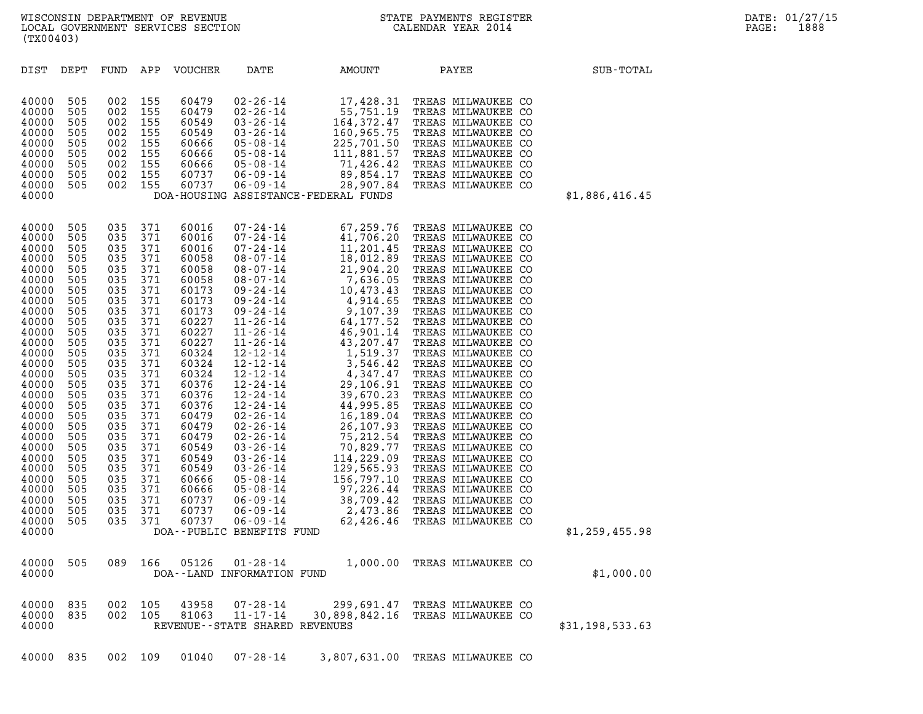| WISCONSIN DEPARTMENT OF REVENUE<br>LOCAL GOVERNMENT SERVICES SECTION FOR THE STATE PAYMENTS REGISTER<br>CALENDAR YEAR 2014<br>(TX00403)                                                                                                                                                                                                                                                                                                                                                                                                                                                                                                                                                                                                                                                                                                                                                      |                                                                                                                                                                                                                                                                                                                                                                                                                                                                                                                                                                                                                                   |               |                                                                                                                                                                                                                                                                                                                                                                                                                                                                                                                                                                                                                                                            |                | DATE: 01/27/15<br>PAGE:<br>1888 |
|----------------------------------------------------------------------------------------------------------------------------------------------------------------------------------------------------------------------------------------------------------------------------------------------------------------------------------------------------------------------------------------------------------------------------------------------------------------------------------------------------------------------------------------------------------------------------------------------------------------------------------------------------------------------------------------------------------------------------------------------------------------------------------------------------------------------------------------------------------------------------------------------|-----------------------------------------------------------------------------------------------------------------------------------------------------------------------------------------------------------------------------------------------------------------------------------------------------------------------------------------------------------------------------------------------------------------------------------------------------------------------------------------------------------------------------------------------------------------------------------------------------------------------------------|---------------|------------------------------------------------------------------------------------------------------------------------------------------------------------------------------------------------------------------------------------------------------------------------------------------------------------------------------------------------------------------------------------------------------------------------------------------------------------------------------------------------------------------------------------------------------------------------------------------------------------------------------------------------------------|----------------|---------------------------------|
| DIST DEPT<br>FUND APP VOUCHER                                                                                                                                                                                                                                                                                                                                                                                                                                                                                                                                                                                                                                                                                                                                                                                                                                                                | DATE                                                                                                                                                                                                                                                                                                                                                                                                                                                                                                                                                                                                                              | <b>AMOUNT</b> | PAYEE                                                                                                                                                                                                                                                                                                                                                                                                                                                                                                                                                                                                                                                      | SUB-TOTAL      |                                 |
| 40000<br>505<br>002<br>155<br>155<br>40000<br>505<br>002<br>40000<br>002 155<br>505<br>40000<br>505<br>002 155<br>40000<br>505<br>002 155<br>505<br>002 155<br>40000<br>40000<br>505<br>002 155<br>40000<br>002 155<br>505<br>40000<br>505<br>002 155<br>40000                                                                                                                                                                                                                                                                                                                                                                                                                                                                                                                                                                                                                               | 60479<br>$02 - 26 - 14$<br>60479<br>$02 - 26 - 14$<br>60549<br>$03 - 26 - 14$<br>60549<br>$03 - 26 - 14$<br>60666<br>05-08-14<br>$05 - 08 - 14$<br>60666<br>60666<br>$05 - 08 - 14$<br>60737<br>06-09-14<br>60737<br>$06 - 09 - 14$<br>DOA-HOUSING ASSISTANCE-FEDERAL FUNDS                                                                                                                                                                                                                                                                                                                                                       | 28,907.84     | 17,428.31 TREAS MILWAUKEE CO<br>55,751.19 TREAS MILWAUKEE CO<br>164,372.47 TREAS MILWAUKEE CO<br>160,965.75 TREAS MILWAUKEE CO<br>225,701.50 TREAS MILWAUKEE CO<br>111,881.57 TREAS MILWAUKEE CO<br>71,426.42 TREAS MILWAUKEE CO<br>89,854.<br>TREAS MILWAUKEE CO                                                                                                                                                                                                                                                                                                                                                                                          | \$1,886,416.45 |                                 |
| 40000<br>505<br>035<br>371<br>371<br>40000<br>505<br>035<br>40000<br>505<br>035<br>371<br>40000<br>505<br>035 371<br>40000<br>505<br>035<br>371<br>40000<br>505<br>035<br>371<br>40000<br>505<br>035<br>371<br>371<br>40000<br>505<br>035<br>035 371<br>40000<br>505<br>371<br>40000<br>505<br>035<br>035<br>371<br>40000<br>505<br>371<br>40000<br>505<br>035<br>371<br>40000<br>505<br>035<br>035 371<br>40000<br>505<br>371<br>40000<br>505<br>035<br>035<br>371<br>40000<br>505<br>40000<br>371<br>505<br>035<br>371<br>40000<br>505<br>035<br>035 371<br>40000<br>505<br>40000<br>505<br>035<br>371<br>40000<br>035<br>371<br>505<br>40000<br>371<br>505<br>035<br>371<br>40000<br>505<br>035<br>035<br>371<br>40000<br>505<br>40000<br>505<br>035<br>371<br>035 371<br>40000<br>505<br>035<br>371<br>40000<br>505<br>371<br>40000<br>505<br>035<br>035<br>505<br>371<br>40000<br>40000 | 60016<br>$\begin{array}{cccc} 07\hbox{-}24\hbox{-}14 & 67\hbox{-}259\hbox{-}76 \\ 07\hbox{-}24\hbox{-}14 & 41\hbox{-}706\hbox{-}20 \\ 07\hbox{-}24\hbox{-}14 & 11\hbox{-}201\hbox{-}45 \\ 08\hbox{-}07\hbox{-}14 & 11\hbox{-}201\hbox{-}89 \\ 08\hbox{-}07\hbox{-}14 & 18\hbox{-}012\hbox{-}8 \\ 08\hbox{-}07\hbox{-}14 & 7\hbox{-}636\$<br>60016<br>60016<br>60058<br>60058<br>60058<br>60173<br>60173<br>60173<br>60227<br>60227<br>60227<br>60324<br>60324<br>60324<br>60376<br>60376<br>60376<br>60479<br>60479<br>60479<br>60549<br>60549<br>60549<br>60666<br>60666<br>60737<br>60737<br>60737<br>DOA--PUBLIC BENEFITS FUND |               | TREAS MILWAUKEE CO<br>TREAS MILWAUKEE CO<br>TREAS MILWAUKEE CO<br>TREAS MILWAUKEE CO<br>TREAS MILWAUKEE CO<br>TREAS MILWAUKEE CO<br>TREAS MILWAUKEE CO<br>TREAS MILWAUKEE CO<br>TREAS MILWAUKEE CO<br>TREAS MILWAUKEE CO<br>TREAS MILWAUKEE CO<br>TREAS MILWAUKEE CO<br>TREAS MILWAUKEE CO<br>TREAS MILWAUKEE CO<br>TREAS MILWAUKEE CO<br>TREAS MILWAUKEE CO<br>TREAS MILWAUKEE CO<br>TREAS MILWAUKEE CO<br>TREAS MILWAUKEE CO<br>TREAS MILWAUKEE CO<br>TREAS MILWAUKEE CO<br>TREAS MILWAUKEE CO<br>TREAS MILWAUKEE CO<br>TREAS MILWAUKEE CO<br>TREAS MILWAUKEE CO<br>TREAS MILWAUKEE CO<br>TREAS MILWAUKEE CO<br>TREAS MILWAUKEE CO<br>TREAS MILWAUKEE CO | \$1,259,455.98 |                                 |

40000 505 089 166 05126 01-28-14 1,000.00 TREAS MILWAUKEE CO 40000 505 089 166 05126 01-28-14 1,000.00 TREAS\_MILWAUKEE\_CO<br>40000 DOA--LAND\_INFORMATION\_FUND 40000 835 002 105 43958 07-28-14 299,691.47 TREAS MILWAUKEE CO 40000 835 002 105 81063 11-17-14 30,898,842.16 TREAS MILWAUKEE CO 40000 835 002 105 43958 07–28–14 299,691.47 TREAS\_MILWAUKEE\_CO<br>40000 835 002 105 81063 11–17–14 30,898,842.16 TREAS\_MILWAUKEE\_CO<br>40000 REVENUE--STATE\_SHARED\_REVENUES 40000 835 002 109 01040 07-28-14 3,807,631.00 TREAS MILWAUKEE CO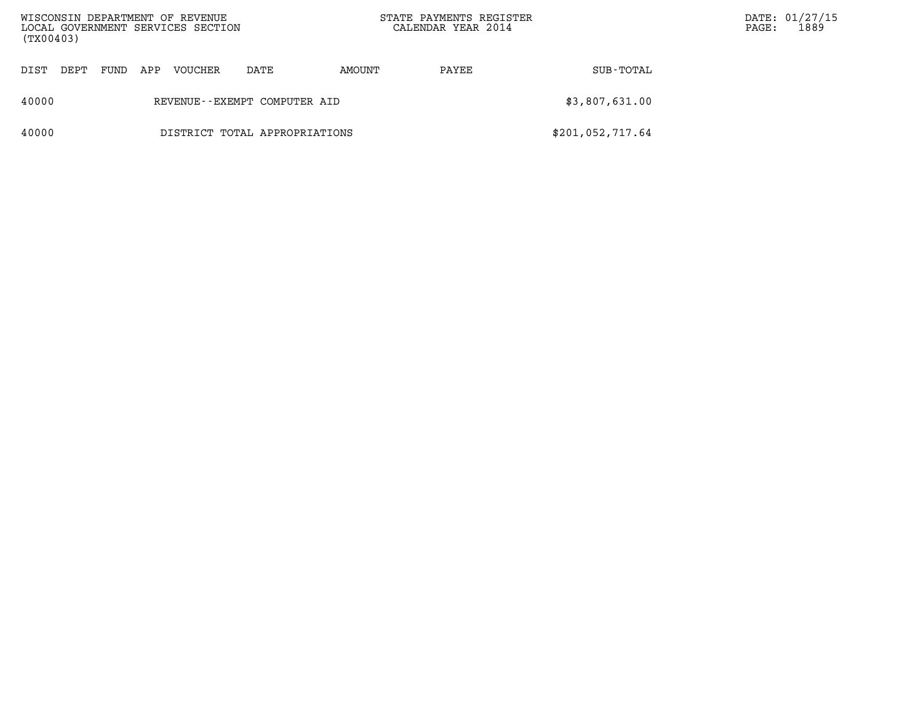| WISCONSIN DEPARTMENT OF REVENUE<br>LOCAL GOVERNMENT SERVICES SECTION<br>(TX00403) |                               |      |     |         |      |        | STATE PAYMENTS REGISTER<br>CALENDAR YEAR 2014 |                  | PAGE: | DATE: 01/27/15<br>1889 |
|-----------------------------------------------------------------------------------|-------------------------------|------|-----|---------|------|--------|-----------------------------------------------|------------------|-------|------------------------|
| DIST                                                                              | DEPT                          | FUND | APP | VOUCHER | DATE | AMOUNT | PAYEE                                         | SUB-TOTAL        |       |                        |
| 40000                                                                             | REVENUE--EXEMPT COMPUTER AID  |      |     |         |      |        |                                               | \$3,807,631.00   |       |                        |
| 40000                                                                             | DISTRICT TOTAL APPROPRIATIONS |      |     |         |      |        |                                               | \$201,052,717.64 |       |                        |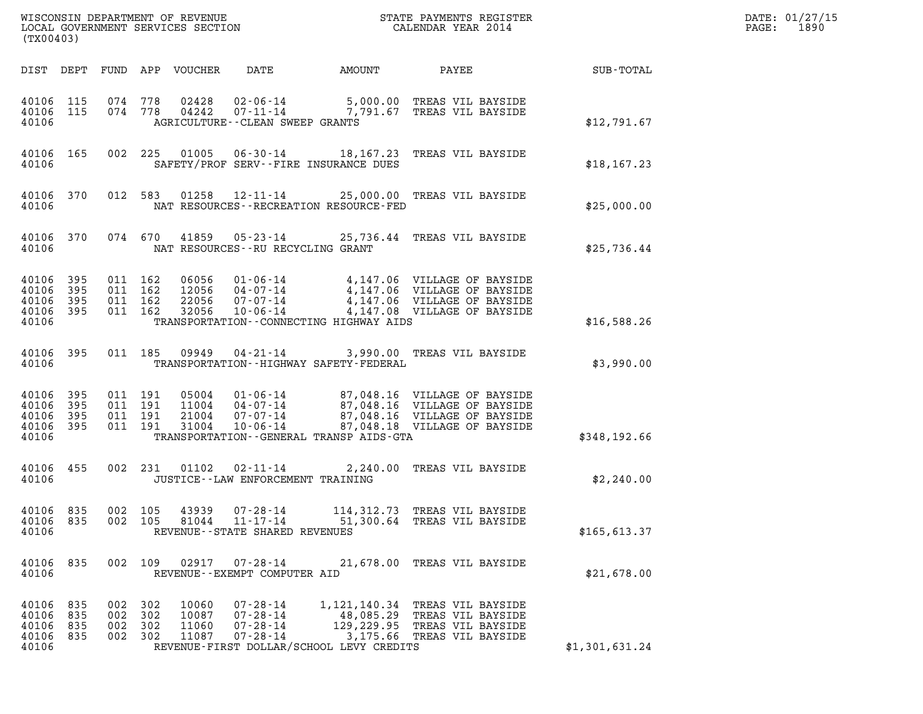| (TX00403)                                             |                   |                                          |     |                                  |                                                                       |                                                       |                                                                                                                                                                                    | DATE: 01/27/15<br>1890<br>$\mathtt{PAGE:}$ |  |
|-------------------------------------------------------|-------------------|------------------------------------------|-----|----------------------------------|-----------------------------------------------------------------------|-------------------------------------------------------|------------------------------------------------------------------------------------------------------------------------------------------------------------------------------------|--------------------------------------------|--|
|                                                       |                   |                                          |     | DIST DEPT FUND APP VOUCHER       | DATE                                                                  |                                                       |                                                                                                                                                                                    |                                            |  |
| 40106 115<br>40106                                    |                   | 40106 115 074 778<br>074 778             |     |                                  | AGRICULTURE - - CLEAN SWEEP GRANTS                                    |                                                       |                                                                                                                                                                                    | \$12,791.67                                |  |
| 40106 165<br>40106                                    |                   |                                          |     |                                  |                                                                       | SAFETY/PROF SERV--FIRE INSURANCE DUES                 | 002 225 01005 06-30-14 18,167.23 TREAS VIL BAYSIDE                                                                                                                                 | \$18, 167.23                               |  |
| 40106 370<br>40106                                    |                   |                                          |     |                                  |                                                                       | NAT RESOURCES - - RECREATION RESOURCE - FED           | 012 583 01258 12-11-14 25,000.00 TREAS VIL BAYSIDE                                                                                                                                 | \$25,000.00                                |  |
| 40106 370<br>40106                                    |                   |                                          |     |                                  | NAT RESOURCES--RU RECYCLING GRANT                                     |                                                       | 074 670 41859 05-23-14 25,736.44 TREAS VIL BAYSIDE                                                                                                                                 | \$25,736.44                                |  |
| 40106 395<br>40106 395<br>40106<br>40106 395<br>40106 | 395               | 011 162<br>011 162<br>011 162<br>011 162 |     | 32056                            |                                                                       | TRANSPORTATION--CONNECTING HIGHWAY AIDS               | 06056 01-06-14 4,147.06 VILLAGE OF BAYSIDE<br>12056 04-07-14 4,147.06 VILLAGE OF BAYSIDE<br>22056 07-07-14 4,147.06 VILLAGE OF BAYSIDE<br>10-06-14 4,147.08 VILLAGE OF BAYSIDE     | \$16,588.26                                |  |
| 40106 395<br>40106                                    |                   |                                          |     |                                  |                                                                       | TRANSPORTATION - - HIGHWAY SAFETY - FEDERAL           | 011 185 09949 04-21-14 3,990.00 TREAS VIL BAYSIDE                                                                                                                                  | \$3,990.00                                 |  |
| 40106 395<br>40106<br>40106<br>40106 395<br>40106     | 395<br>395        | 011 191<br>011 191<br>011 191<br>011 191 |     | 31004                            | $10 - 06 - 14$                                                        | TRANSPORTATION - - GENERAL TRANSP AIDS - GTA          | 05004  01-06-14  87,048.16  VILLAGE OF BAYSIDE<br>11004  04-07-14  87,048.16  VILLAGE OF BAYSIDE<br>21004  07-07-14  87,048.16  VILLAGE OF BAYSIDE<br>87,048.18 VILLAGE OF BAYSIDE | \$348,192.66                               |  |
| 40106 455<br>40106                                    |                   |                                          |     | 002 231 01102                    | JUSTICE - - LAW ENFORCEMENT TRAINING                                  |                                                       | 02-11-14 2,240.00 TREAS VIL BAYSIDE                                                                                                                                                | \$2,240.00                                 |  |
| 40106<br>40106<br>40106                               | 835<br>835        | 002 105<br>002 105                       |     | 43939<br>81044                   | $07 - 28 - 14$<br>$11 - 17 - 14$<br>REVENUE - - STATE SHARED REVENUES | 114, 312.73<br>51,300.64                              | TREAS VIL BAYSIDE<br>TREAS VIL BAYSIDE                                                                                                                                             | \$165, 613.37                              |  |
| 40106 835<br>40106                                    |                   | 002 109                                  |     | 02917                            | 07-28-14<br>REVENUE - - EXEMPT COMPUTER AID                           |                                                       | 21,678.00 TREAS VIL BAYSIDE                                                                                                                                                        | \$21,678.00                                |  |
| 40106 835<br>40106<br>40106<br>40106<br>40106         | 835<br>835<br>835 | 002 302<br>002<br>002 302<br>002 302     | 302 | 10060<br>10087<br>11060<br>11087 | $07 - 28 - 14$<br>$07 - 28 - 14$<br>$07 - 28 - 14$<br>$07 - 28 - 14$  | 48,085.29<br>REVENUE-FIRST DOLLAR/SCHOOL LEVY CREDITS | 1,121,140.34 TREAS VIL BAYSIDE<br>TREAS VIL BAYSIDE<br>129,229.95 TREAS VIL BAYSIDE<br>3,175.66 TREAS VIL BAYSIDE                                                                  | \$1,301,631.24                             |  |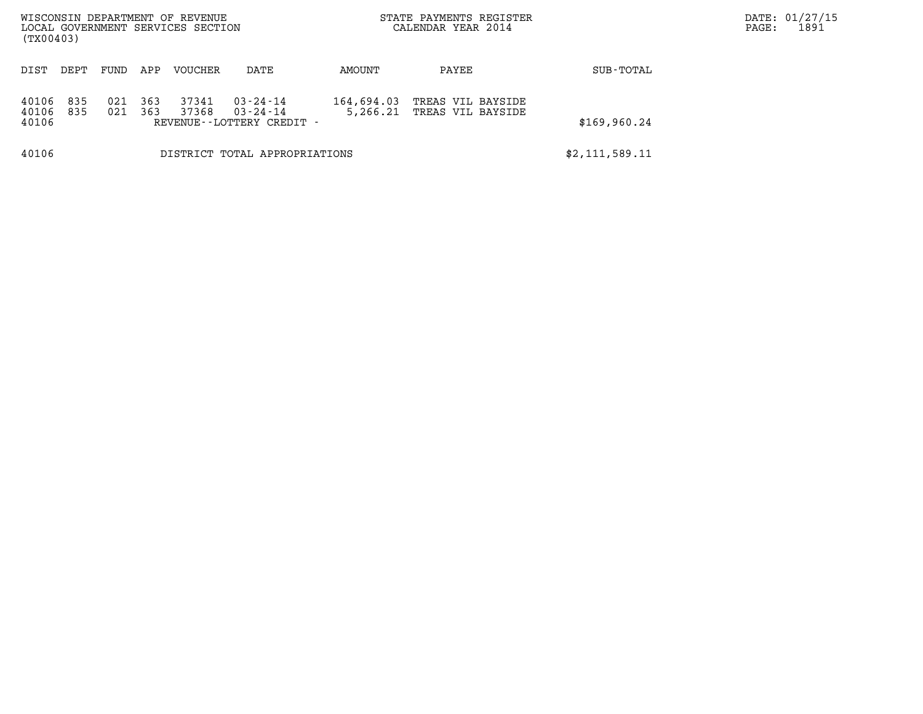| WISCONSIN DEPARTMENT OF REVENUE<br>LOCAL GOVERNMENT SERVICES SECTION<br>(TX00403) |                               |            |            |                |                                                                  |                        | STATE PAYMENTS REGISTER<br>CALENDAR YEAR 2014 |                | DATE: 01/27/15<br>1891<br>PAGE: |
|-----------------------------------------------------------------------------------|-------------------------------|------------|------------|----------------|------------------------------------------------------------------|------------------------|-----------------------------------------------|----------------|---------------------------------|
| DIST                                                                              | DEPT                          | FUND       | APP        | <b>VOUCHER</b> | DATE                                                             | AMOUNT                 | PAYEE                                         | SUB-TOTAL      |                                 |
| 40106<br>40106<br>40106                                                           | 835<br>835                    | 021<br>021 | 363<br>363 | 37341<br>37368 | $03 - 24 - 14$<br>$03 - 24 - 14$<br>REVENUE - - LOTTERY CREDIT - | 164,694.03<br>5,266.21 | TREAS VIL BAYSIDE<br>TREAS VIL BAYSIDE        | \$169,960.24   |                                 |
| 40106                                                                             | DISTRICT TOTAL APPROPRIATIONS |            |            |                |                                                                  |                        |                                               | \$2,111,589.11 |                                 |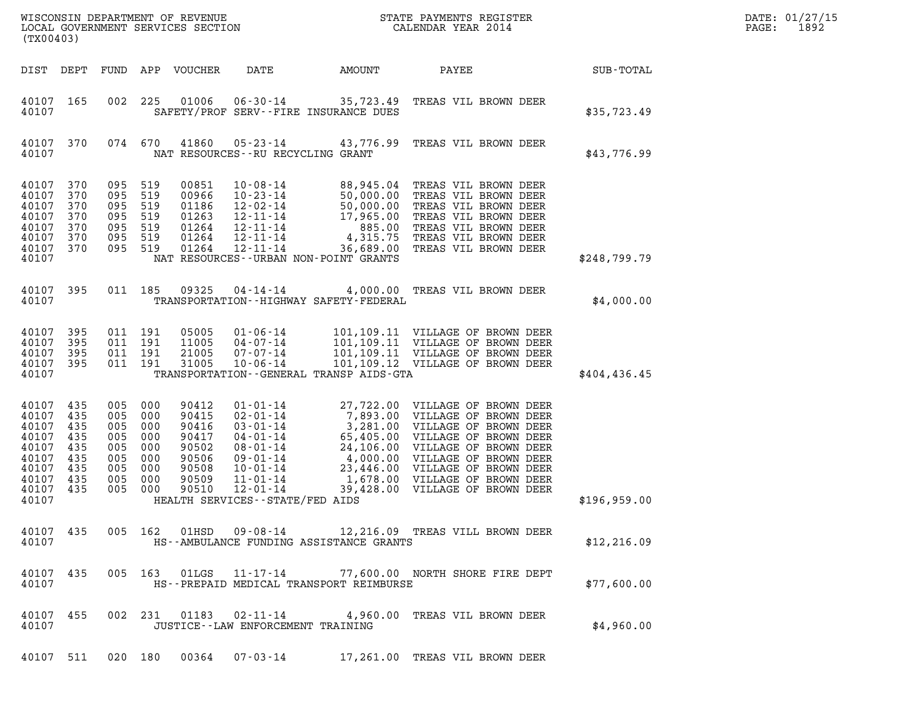| DATE: | 01/27/15 |
|-------|----------|
| PAGE: | 1892     |

|                                      |                   |                               |                               |                                  |                                      |                                             |                                                                                                                                                                                                                                                                                                                                                                                       |               | DATE: 01/27/15           |
|--------------------------------------|-------------------|-------------------------------|-------------------------------|----------------------------------|--------------------------------------|---------------------------------------------|---------------------------------------------------------------------------------------------------------------------------------------------------------------------------------------------------------------------------------------------------------------------------------------------------------------------------------------------------------------------------------------|---------------|--------------------------|
| (TX00403)                            |                   |                               |                               |                                  |                                      |                                             |                                                                                                                                                                                                                                                                                                                                                                                       |               | 1892<br>$\mathtt{PAGE:}$ |
|                                      | DIST DEPT         |                               |                               | FUND APP VOUCHER                 | DATE                                 | AMOUNT                                      | PAYEE                                                                                                                                                                                                                                                                                                                                                                                 | SUB-TOTAL     |                          |
| 40107 165<br>40107                   |                   |                               |                               |                                  |                                      | SAFETY/PROF SERV--FIRE INSURANCE DUES       | 002 225 01006 06-30-14 35,723.49 TREAS VIL BROWN DEER                                                                                                                                                                                                                                                                                                                                 | \$35,723.49   |                          |
| 40107                                | 40107 370         |                               |                               |                                  | NAT RESOURCES - - RU RECYCLING GRANT |                                             | 074 670 41860 05-23-14 43,776.99 TREAS VIL BROWN DEER                                                                                                                                                                                                                                                                                                                                 | \$43,776.99   |                          |
| 40107<br>40107<br>40107              | 370<br>370<br>370 | 095 519<br>095 519            | 095 519                       | 00851<br>00966<br>01186          |                                      |                                             | $\begin{tabular}{l l l l l} 10-08-14 & 88,945.04 \quad \text{TREAS VII BROWN DEER} \\ 10-23-14 & 50,000.00 \quad \text{TREAS VII BROWN DEER} \\ 12-02-14 & 50,000.00 \quad \text{TREAS VII BROWN DEER} \\ 12-11-14 & 17,965.00 \quad \text{TREAS VII BROWN DEER} \\ 12-11-14 & 885.00 \quad \text{TREAS VII BROWN DEER} \\ 12-11-14 & 4,315.75 \quad \text{TREAS VII BROWN DEER} \\ $ |               |                          |
| 40107<br>40107<br>40107<br>40107 370 | 370<br>370<br>370 | 095 519<br>095 519<br>095 519 | 095 519                       | 01263<br>01264<br>01264<br>01264 |                                      |                                             |                                                                                                                                                                                                                                                                                                                                                                                       |               |                          |
| 40107                                |                   |                               |                               |                                  |                                      | NAT RESOURCES - - URBAN NON-POINT GRANTS    |                                                                                                                                                                                                                                                                                                                                                                                       | \$248,799.79  |                          |
| 40107                                | 40107 395         |                               |                               | 011 185 09325                    |                                      | TRANSPORTATION - - HIGHWAY SAFETY - FEDERAL | 04-14-14 4,000.00 TREAS VIL BROWN DEER                                                                                                                                                                                                                                                                                                                                                | \$4,000.00    |                          |
| 40107 395<br>40107<br>40107          | 395<br>395        |                               | 011 191<br>011 191<br>011 191 | 05005<br>11005<br>21005          |                                      |                                             |                                                                                                                                                                                                                                                                                                                                                                                       |               |                          |
| 40107 395<br>40107                   |                   |                               | 011 191                       | 31005                            |                                      | TRANSPORTATION--GENERAL TRANSP AIDS-GTA     |                                                                                                                                                                                                                                                                                                                                                                                       | \$404, 436.45 |                          |
| 40107 435<br>40107<br>40107          | 435<br>435        | 005 000<br>005 000            | 005 000                       | 90412<br>90415<br>90416          |                                      |                                             | 01-01-14<br>02-01-14<br>7,893.00 VILLAGE OF BROWN DEER<br>03-01-14<br>3,281.00 VILLAGE OF BROWN DEER<br>04-01-14<br>65,405.00 VILLAGE OF BROWN DEER<br>08-01-14<br>24,106.00 VILLAGE OF BROWN DEER<br>09-01-14<br>23,446.00 VILLAGE OF BROWN DEER                                                                                                                                     |               |                          |
| 40107<br>40107<br>40107              | 435<br>435<br>435 | 005 000<br>005 000<br>005 000 |                               | 90417<br>90502<br>90506          |                                      |                                             |                                                                                                                                                                                                                                                                                                                                                                                       |               |                          |
| 40107<br>40107<br>40107              | 435<br>435<br>435 | 005 000<br>005 000            | 005 000                       | 90508<br>90509<br>90510          |                                      |                                             |                                                                                                                                                                                                                                                                                                                                                                                       |               |                          |
| 40107                                |                   |                               |                               |                                  | HEALTH SERVICES--STATE/FED AIDS      |                                             |                                                                                                                                                                                                                                                                                                                                                                                       | \$196,959.00  |                          |
| 40107                                | 40107 435         |                               |                               |                                  |                                      | HS--AMBULANCE FUNDING ASSISTANCE GRANTS     | 005 162 01HSD 09-08-14 12,216.09 TREAS VILL BROWN DEER                                                                                                                                                                                                                                                                                                                                | \$12, 216.09  |                          |
| 40107                                | 40107 435         |                               |                               |                                  |                                      | HS--PREPAID MEDICAL TRANSPORT REIMBURSE     | 005 163 01LGS 11-17-14 77,600.00 NORTH SHORE FIRE DEPT                                                                                                                                                                                                                                                                                                                                | \$77,600.00   |                          |
| 40107                                | 40107 455         |                               |                               |                                  | JUSTICE -- LAW ENFORCEMENT TRAINING  |                                             | 002 231 01183 02-11-14 4,960.00 TREAS VIL BROWN DEER                                                                                                                                                                                                                                                                                                                                  | \$4,960.00    |                          |
|                                      |                   |                               |                               |                                  |                                      |                                             | 40107 511 020 180 00364 07-03-14 17,261.00 TREAS VIL BROWN DEER                                                                                                                                                                                                                                                                                                                       |               |                          |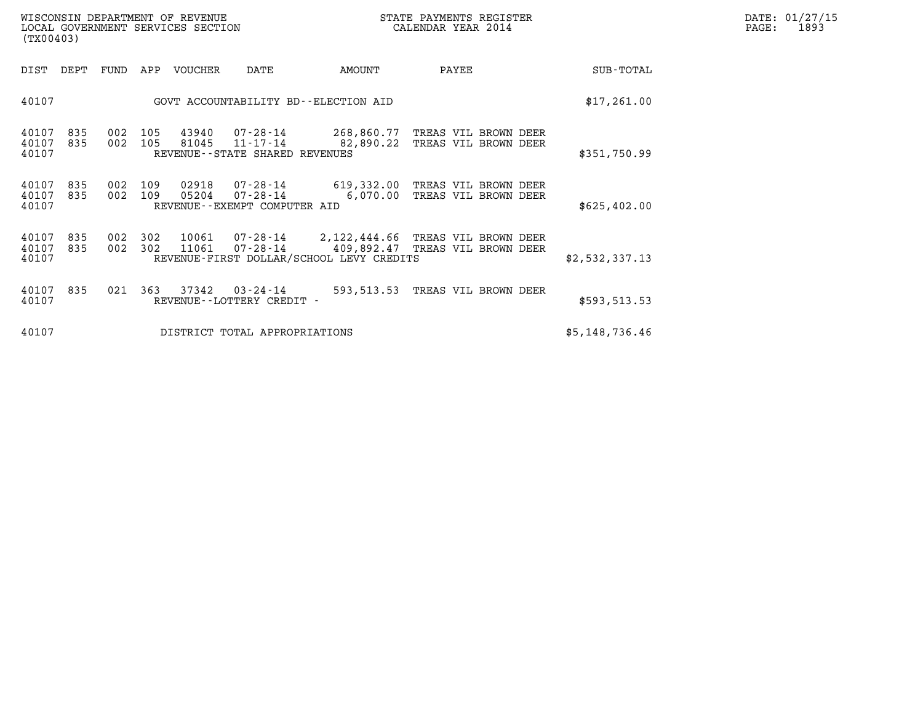| WISCONSIN DEPARTMENT OF REVENUE   | STATE PAYMENTS REGISTER | DATE: 01/27/15 |
|-----------------------------------|-------------------------|----------------|
| LOCAL GOVERNMENT SERVICES SECTION | CALENDAR YEAR 2014      | 1893<br>PAGE:  |

| WISCONSIN DEPARTMENT OF REVENUE<br>LOCAL GOVERNMENT SERVICES SECTION<br>(TX00403) |            |                    |            |         |                                                | STATE PAYMENTS REGISTER<br>CALENDAR YEAR 2014 |                                                                                                  |                | DATE: 01/27/15<br>PAGE:<br>1893 |
|-----------------------------------------------------------------------------------|------------|--------------------|------------|---------|------------------------------------------------|-----------------------------------------------|--------------------------------------------------------------------------------------------------|----------------|---------------------------------|
| DIST                                                                              | DEPT       | FUND               | APP        | VOUCHER | DATE                                           | AMOUNT                                        | PAYEE                                                                                            | SUB-TOTAL      |                                 |
| 40107                                                                             |            |                    |            |         |                                                | GOVT ACCOUNTABILITY BD--ELECTION AID          |                                                                                                  | \$17,261.00    |                                 |
| 40107<br>40107<br>40107                                                           | 835<br>835 | 002 105<br>002 105 |            |         | REVENUE - - STATE SHARED REVENUES              | 81045 11-17-14 82,890.22                      | 43940  07-28-14  268,860.77  TREAS VIL BROWN DEER<br>TREAS VIL BROWN DEER                        | \$351,750.99   |                                 |
| 40107<br>40107<br>40107                                                           | 835<br>835 | 002<br>002 109     | 109        |         | REVENUE--EXEMPT COMPUTER AID                   | 05204  07-28-14    6,070.00                   | 02918  07-28-14  619,332.00 TREAS VIL BROWN DEER<br>TREAS VIL BROWN DEER                         | \$625, 402.00  |                                 |
| 40107<br>40107<br>40107                                                           | 835<br>835 | 002<br>002         | 302<br>302 | 11061   |                                                | REVENUE-FIRST DOLLAR/SCHOOL LEVY CREDITS      | 10061  07-28-14  2,122,444.66 TREAS VIL BROWN DEER<br>07-28-14   409,892.47 TREAS VIL BROWN DEER | \$2,532,337.13 |                                 |
| 40107<br>40107                                                                    | 835        | 021 363            |            |         | 37342 03-24-14<br>REVENUE - - LOTTERY CREDIT - |                                               | 593,513.53 TREAS VIL BROWN DEER                                                                  | \$593,513.53   |                                 |
| 40107                                                                             |            |                    |            |         | DISTRICT TOTAL APPROPRIATIONS                  |                                               |                                                                                                  | \$5,148,736.46 |                                 |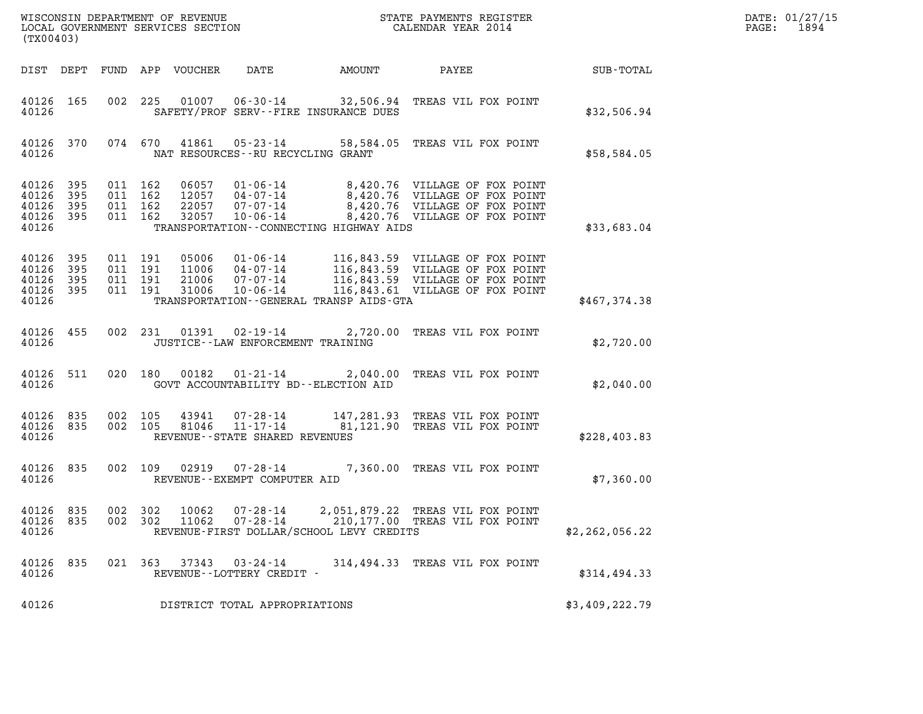| WISCONSIN DEPARTMENT OF REVENUE<br>LOCAL GOVERNMENT SERVICES SECTION<br>LOCAL GOVERNMENT SERVICES SECTION<br>(TX00403) |                            |                                          |                    |                                  |                                                                                               |        | STATE PAYMENTS REGISTER<br>CALENDAR YEAR 2014                                                                                            |                | DATE: 01/27/15<br>$\mathtt{PAGE}$ :<br>1894 |
|------------------------------------------------------------------------------------------------------------------------|----------------------------|------------------------------------------|--------------------|----------------------------------|-----------------------------------------------------------------------------------------------|--------|------------------------------------------------------------------------------------------------------------------------------------------|----------------|---------------------------------------------|
| DIST DEPT                                                                                                              |                            |                                          |                    | FUND APP VOUCHER                 | DATE                                                                                          | AMOUNT | PAYEE                                                                                                                                    | SUB-TOTAL      |                                             |
| 40126 165<br>40126                                                                                                     |                            |                                          | 002 225            |                                  | 01007   06-30-14<br>SAFETY/PROF SERV--FIRE INSURANCE DUES                                     |        | 32,506.94 TREAS VIL FOX POINT                                                                                                            | \$32,506.94    |                                             |
| 40126 370<br>40126                                                                                                     |                            |                                          | 074 670            | 41861                            | 05-23-14<br>NAT RESOURCES -- RU RECYCLING GRANT                                               |        | 58,584.05 TREAS VIL FOX POINT                                                                                                            | \$58,584.05    |                                             |
| 40126<br>40126<br>40126<br>40126<br>40126                                                                              | 395<br>395<br>395<br>- 395 | 011 162<br>011 162<br>011 162<br>011 162 |                    | 32057                            | 12057  04-07-14<br>22057 07-07-14<br>10-06-14<br>TRANSPORTATION--CONNECTING HIGHWAY AIDS      |        | 8,420.76 VILLAGE OF FOX POINT<br>8,420.76 VILLAGE OF FOX POINT<br>8,420.76 VILLAGE OF FOX POINT<br>8,420.76 VILLAGE OF FOX POINT         | \$33,683.04    |                                             |
| 40126<br>40126<br>40126<br>40126<br>40126                                                                              | 395<br>395<br>395<br>395   | 011 191<br>011 191<br>011 191<br>011 191 |                    | 05006<br>11006<br>21006<br>31006 | 01-06-14<br>04-07-14<br>07-07-14<br>$10 - 06 - 14$<br>TRANSPORTATION--GENERAL TRANSP AIDS-GTA |        | 116,843.59 VILLAGE OF FOX POINT<br>116,843.59 VILLAGE OF FOX POINT<br>116,843.59 VILLAGE OF FOX POINT<br>116,843.61 VILLAGE OF FOX POINT | \$467,374.38   |                                             |
| 40126 455<br>40126                                                                                                     |                            |                                          |                    | 002 231 01391                    | 02-19-14<br>JUSTICE - - LAW ENFORCEMENT TRAINING                                              |        | 2,720.00 TREAS VIL FOX POINT                                                                                                             | \$2,720.00     |                                             |
| 40126 511<br>40126                                                                                                     |                            |                                          | 020 180            | 00182                            | $01 - 21 - 14$<br>GOVT ACCOUNTABILITY BD--ELECTION AID                                        |        | 2,040.00 TREAS VIL FOX POINT                                                                                                             | \$2,040.00     |                                             |
| 40126 835<br>40126<br>40126                                                                                            | 835                        |                                          | 002 105<br>002 105 | 43941<br>81046                   | 07-28-14<br>11-17-14<br>REVENUE--STATE SHARED REVENUES                                        |        | 147,281.93 TREAS VIL FOX POINT<br>81,121.90 TREAS VIL FOX POINT                                                                          | \$228,403.83   |                                             |
| 40126 835<br>40126                                                                                                     |                            | 002 109                                  |                    | 02919                            | $07 - 28 - 14$<br>REVENUE - - EXEMPT COMPUTER AID                                             |        | 7,360.00 TREAS VIL FOX POINT                                                                                                             | \$7,360.00     |                                             |
| 40126 835<br>40126<br>40126                                                                                            | 835                        | 002 302<br>002 302                       |                    | 10062<br>11062                   | $07 - 28 - 14$<br>$07 - 28 - 14$<br>REVENUE-FIRST DOLLAR/SCHOOL LEVY CREDITS                  |        | 2,051,879.22 TREAS VIL FOX POINT<br>210,177.00 TREAS VIL FOX POINT                                                                       | \$2,262,056.22 |                                             |
| 40126 835<br>40126                                                                                                     |                            |                                          | 021 363            | 37343                            | 03-24-14<br>REVENUE--LOTTERY CREDIT -                                                         |        | 314,494.33 TREAS VIL FOX POINT                                                                                                           | \$314,494.33   |                                             |
| 40126                                                                                                                  |                            |                                          |                    |                                  | DISTRICT TOTAL APPROPRIATIONS                                                                 |        |                                                                                                                                          | \$3,409,222.79 |                                             |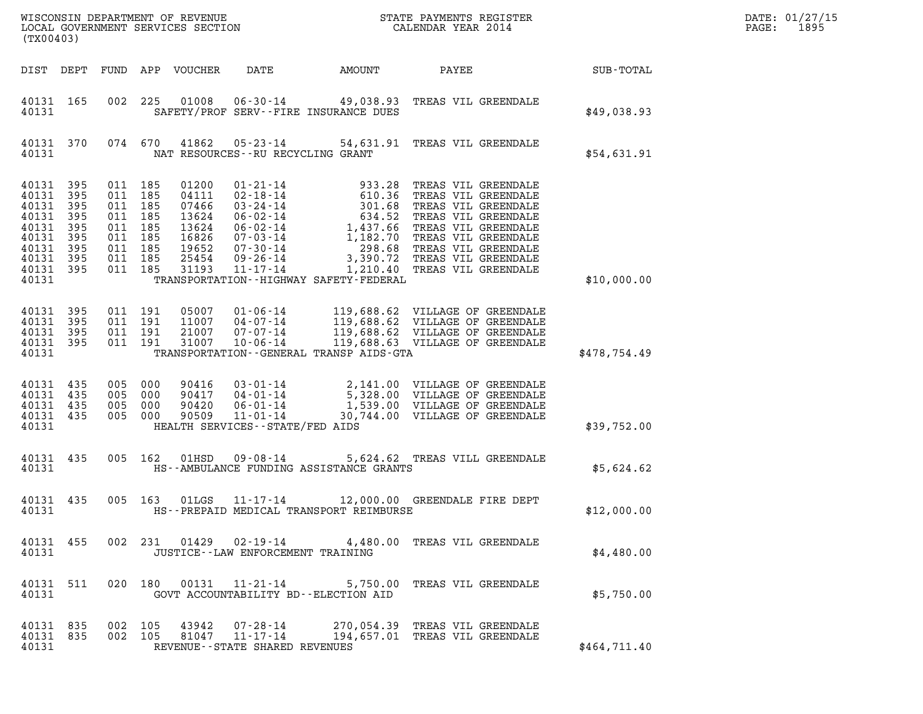| DATE: | 01/27/15 |
|-------|----------|
| PAGE: | 1895     |

| (TX00403)                                                                                      |                                               |                                                                                             |            |                                                                               |                                                                                   |        |                                                                                                                                                                                      | DATE: 01/27/15<br>1895<br>$\mathtt{PAGE}$ : |  |
|------------------------------------------------------------------------------------------------|-----------------------------------------------|---------------------------------------------------------------------------------------------|------------|-------------------------------------------------------------------------------|-----------------------------------------------------------------------------------|--------|--------------------------------------------------------------------------------------------------------------------------------------------------------------------------------------|---------------------------------------------|--|
|                                                                                                |                                               |                                                                                             |            | DIST DEPT FUND APP VOUCHER                                                    | DATE                                                                              | AMOUNT | PAYEE                                                                                                                                                                                | <b>SUB-TOTAL</b>                            |  |
| 40131 165<br>40131                                                                             |                                               |                                                                                             | 002 225    | 01008                                                                         | SAFETY/PROF SERV--FIRE INSURANCE DUES                                             |        | 06-30-14 49,038.93 TREAS VIL GREENDALE                                                                                                                                               | \$49,038.93                                 |  |
| 40131 370<br>40131                                                                             |                                               |                                                                                             | 074 670    | 41862                                                                         | NAT RESOURCES -- RU RECYCLING GRANT                                               |        | 05-23-14 54,631.91 TREAS VIL GREENDALE                                                                                                                                               | \$54,631.91                                 |  |
| 40131 395<br>40131<br>40131<br>40131<br>40131<br>40131<br>40131<br>40131<br>40131 395<br>40131 | 395<br>395<br>395<br>395<br>395<br>395<br>395 | 011 185<br>011<br>011 185<br>011 185<br>011 185<br>011 185<br>011 185<br>011 185<br>011 185 | 185        | 01200<br>04111<br>07466<br>13624<br>13624<br>16826<br>19652<br>25454<br>31193 | 11-17-14<br>TRANSPORTATION - - HIGHWAY SAFETY - FEDERAL                           |        | 1,210.40 TREAS VIL GREENDALE                                                                                                                                                         | \$10,000.00                                 |  |
| 40131 395<br>40131<br>40131<br>40131<br>40131                                                  | 395<br>395<br>395                             | 011 191<br>011 191<br>011 191<br>011 191                                                    |            | 05007<br>11007<br>21007<br>31007                                              | 04-07-14<br>07-07-14<br>$10 - 06 - 14$<br>TRANSPORTATION--GENERAL TRANSP AIDS-GTA |        | 01-06-14 119,688.62 VILLAGE OF GREENDALE<br>119,688.62 VILLAGE OF GREENDALE<br>119,688.62 VILLAGE OF GREENDALE<br>119,688.62 VILLAGE OF GREENDALE<br>119,688.63 VILLAGE OF GREENDALE | \$478,754.49                                |  |
| 40131 435<br>40131<br>40131<br>40131 435<br>40131                                              | 435<br>-435                                   | 005 000<br>005<br>005<br>005 000                                                            | 000<br>000 | 90416<br>90417<br>90420<br>90509                                              | $06 - 01 - 14$<br>11-01-14<br>HEALTH SERVICES -- STATE/FED AIDS                   |        | 03-01-14 2,141.00 VILLAGE OF GREENDALE<br>04-01-14 5,328.00 VILLAGE OF GREENDALE<br>1,539.00 VILLAGE OF GREENDALE<br>30,744.00 VILLAGE OF GREENDALE                                  | \$39,752.00                                 |  |
| 40131 435<br>40131                                                                             |                                               |                                                                                             | 005 162    | 01HSD                                                                         | $09 - 08 - 14$<br>HS--AMBULANCE FUNDING ASSISTANCE GRANTS                         |        | 5,624.62 TREAS VILL GREENDALE                                                                                                                                                        | \$5,624.62                                  |  |
| 40131 435<br>40131                                                                             |                                               |                                                                                             | 005 163    | 01LGS                                                                         | 11-17-14<br>HS--PREPAID MEDICAL TRANSPORT REIMBURSE                               |        | 12,000.00 GREENDALE FIRE DEPT                                                                                                                                                        | \$12,000.00                                 |  |
| 40131                                                                                          |                                               |                                                                                             |            |                                                                               | JUSTICE -- LAW ENFORCEMENT TRAINING                                               |        | 40131 455 002 231 01429 02-19-14 4,480.00 TREAS VIL GREENDALE                                                                                                                        | \$4,480.00                                  |  |
| 40131 511<br>40131                                                                             |                                               |                                                                                             |            |                                                                               | GOVT ACCOUNTABILITY BD--ELECTION AID                                              |        | 020 180 00131 11-21-14 5,750.00 TREAS VIL GREENDALE                                                                                                                                  | \$5,750.00                                  |  |
| 40131 835<br>40131                                                                             |                                               | 40131 835 002 105<br>002 105                                                                |            | 43942                                                                         | REVENUE--STATE SHARED REVENUES                                                    |        | 07-28-14 270,054.39 TREAS VIL GREENDALE<br>81047   11-17-14   194,657.01   TREAS VIL GREENDALE                                                                                       | \$464,711.40                                |  |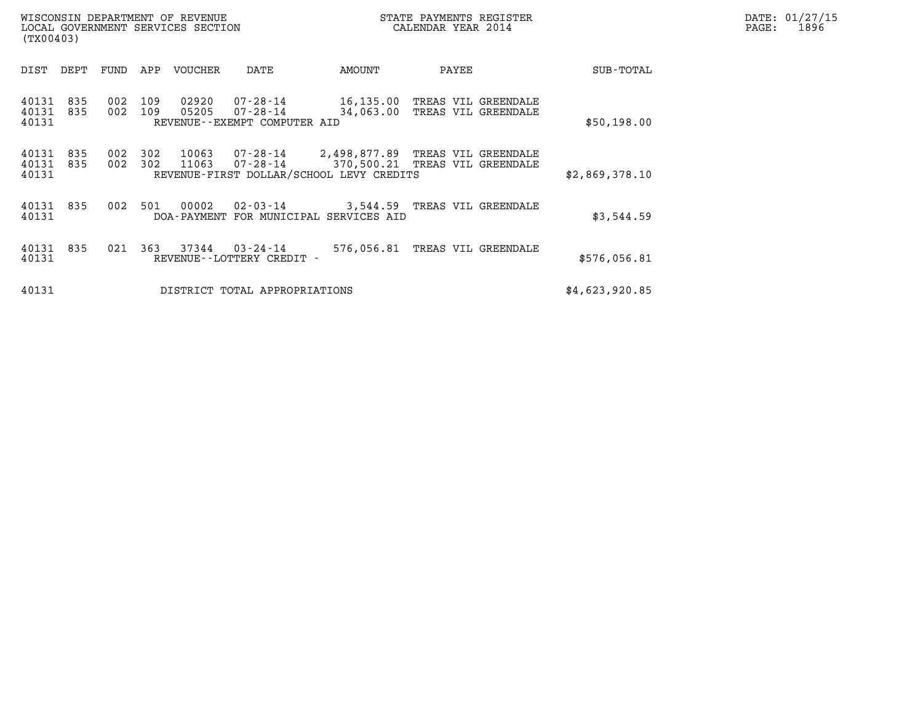| WISCONSIN DEPARTMENT OF REVENUE<br>(TX00403)        | LOCAL GOVERNMENT SERVICES SECTION                                                    |           | DATE: 01/27/15<br>PAGE:<br>1896                      |                |  |
|-----------------------------------------------------|--------------------------------------------------------------------------------------|-----------|------------------------------------------------------|----------------|--|
| DEPT<br>FUND<br>DIST                                | APP<br>VOUCHER<br>DATE                                                               | AMOUNT    | PAYEE                                                | SUB-TOTAL      |  |
| 002<br>40131<br>835<br>002<br>40131<br>835<br>40131 | 109<br>07-28-14<br>02920<br>109<br>05205<br>07-28-14<br>REVENUE--EXEMPT COMPUTER AID | 34,063.00 | 16,135.00 TREAS VIL GREENDALE<br>TREAS VIL GREENDALE | \$50,198.00    |  |
| 40131<br>002<br>835<br>002<br>40131<br>835<br>40131 | 302<br>10063<br>302<br>11063<br>07-28-14<br>REVENUE-FIRST DOLLAR/SCHOOL LEVY CREDITS |           | 370,500.21 TREAS VIL GREENDALE                       | \$2,869,378.10 |  |
| 002<br>40131 835<br>40131                           | 501<br>00002<br>DOA-PAYMENT FOR MUNICIPAL SERVICES AID                               |           | 02-03-14 3,544.59 TREAS VIL GREENDALE                | \$3,544.59     |  |
| 021<br>40131<br>835<br>40131                        | 363<br>37344<br>03-24-14<br>REVENUE--LOTTERY CREDIT -                                |           | 576,056.81 TREAS VIL GREENDALE                       | \$576,056.81   |  |
| 40131                                               | DISTRICT TOTAL APPROPRIATIONS                                                        |           |                                                      | \$4,623,920.85 |  |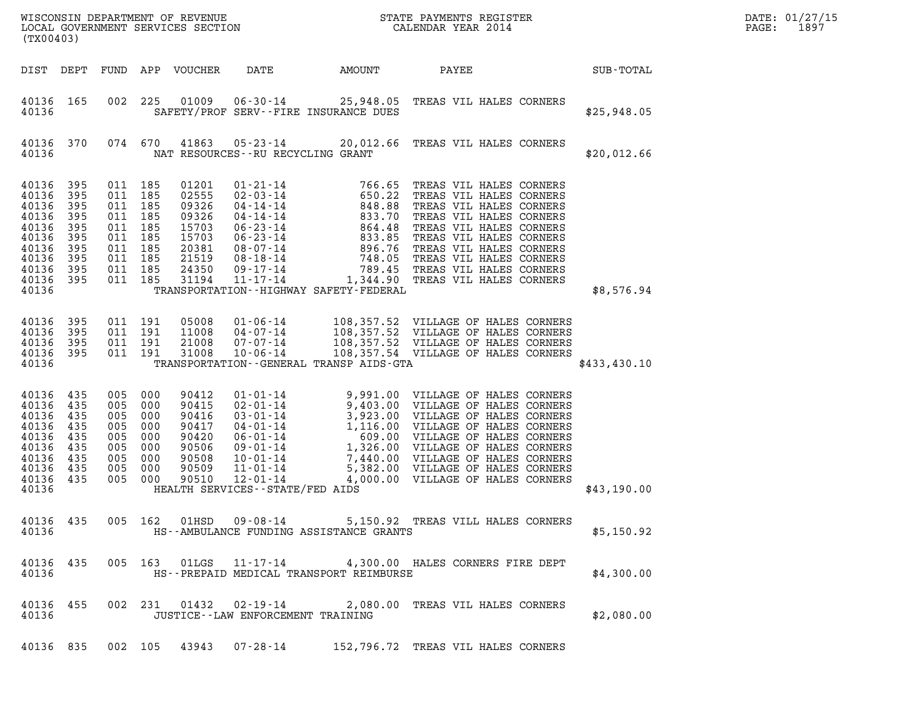| (TX00403)                                                                                               |                                                      |                                                      |                                                                                                            |                                                                                        |                                                                          |                                             |                                                                                                                                                          |              | DATE: 01/27/15<br>1897<br>PAGE: |
|---------------------------------------------------------------------------------------------------------|------------------------------------------------------|------------------------------------------------------|------------------------------------------------------------------------------------------------------------|----------------------------------------------------------------------------------------|--------------------------------------------------------------------------|---------------------------------------------|----------------------------------------------------------------------------------------------------------------------------------------------------------|--------------|---------------------------------|
| DIST DEPT                                                                                               |                                                      |                                                      |                                                                                                            | FUND APP VOUCHER                                                                       | DATE                                                                     | AMOUNT                                      | PAYEE                                                                                                                                                    | SUB-TOTAL    |                                 |
| 40136 165<br>40136                                                                                      |                                                      | 002                                                  | 225                                                                                                        |                                                                                        |                                                                          | SAFETY/PROF SERV--FIRE INSURANCE DUES       | 01009  06-30-14  25,948.05  TREAS VIL HALES CORNERS                                                                                                      | \$25,948.05  |                                 |
| 40136 370<br>40136                                                                                      |                                                      |                                                      | 074 670                                                                                                    |                                                                                        |                                                                          | NAT RESOURCES - - RU RECYCLING GRANT        | 41863  05-23-14  20,012.66  TREAS VIL HALES CORNERS                                                                                                      | \$20,012.66  |                                 |
| 40136<br>40136<br>40136<br>40136<br>40136<br>40136<br>40136<br>40136<br>40136 395<br>40136 395<br>40136 | 395<br>395<br>395<br>395<br>395<br>395<br>395<br>395 |                                                      | 011 185<br>011 185<br>011 185<br>011 185<br>011 185<br>011 185<br>011 185<br>011 185<br>011 185<br>011 185 | 01201<br>02555<br>09326<br>09326<br>15703<br>15703<br>20381<br>21519<br>24350<br>31194 |                                                                          | TRANSPORTATION - - HIGHWAY SAFETY - FEDERAL |                                                                                                                                                          | \$8,576.94   |                                 |
| 40136<br>40136<br>40136 395<br>40136 395<br>40136                                                       | 395<br>395                                           |                                                      | 011 191<br>011 191<br>011 191<br>011 191                                                                   | 05008<br>11008<br>21008<br>31008                                                       | 01 - 06 - 14<br>04 - 07 - 14<br>07 - 07 - 14<br>10 - 06 - 14<br>10-06-14 | TRANSPORTATION--GENERAL TRANSP AIDS-GTA     | 108,357.52 VILLAGE OF HALES CORNERS<br>108,357.52 VILLAGE OF HALES CORNERS<br>108,357.52 VILLAGE OF HALES CORNERS<br>108,357.54 VILLAGE OF HALES CORNERS | \$433,430.10 |                                 |
| 40136 435<br>40136<br>40136<br>40136<br>40136<br>40136<br>40136<br>40136<br>40136 435<br>40136          | 435<br>435<br>435<br>435<br>435<br>435<br>435        | 005<br>005<br>005<br>005<br>005<br>005<br>005<br>005 | 005 000<br>000<br>000<br>000<br>000<br>- 000<br>000<br>000<br>000                                          | 90412<br>90415<br>90416<br>90417<br>90420<br>90506<br>90508<br>90509<br>90510          | $12 - 01 - 14$<br>HEALTH SERVICES - - STATE/FED AIDS                     |                                             | 4,000.00 VILLAGE OF HALES CORNERS                                                                                                                        | \$43,190.00  |                                 |
| 40136                                                                                                   | 40136 435                                            |                                                      |                                                                                                            |                                                                                        |                                                                          | HS--AMBULANCE FUNDING ASSISTANCE GRANTS     | 005 162 01HSD 09-08-14 5,150.92 TREAS VILL HALES CORNERS                                                                                                 | \$5,150.92   |                                 |
| 40136 435<br>40136                                                                                      |                                                      |                                                      |                                                                                                            |                                                                                        |                                                                          | HS--PREPAID MEDICAL TRANSPORT REIMBURSE     | 005 163 01LGS 11-17-14 4,300.00 HALES CORNERS FIRE DEPT                                                                                                  | \$4,300.00   |                                 |
| 40136                                                                                                   | 40136 455                                            |                                                      |                                                                                                            |                                                                                        |                                                                          | JUSTICE - - LAW ENFORCEMENT TRAINING        | 002 231 01432 02-19-14 2,080.00 TREAS VIL HALES CORNERS                                                                                                  | \$2,080.00   |                                 |
|                                                                                                         |                                                      |                                                      |                                                                                                            |                                                                                        |                                                                          |                                             | 40136 835 002 105 43943 07-28-14 152,796.72 TREAS VIL HALES CORNERS                                                                                      |              |                                 |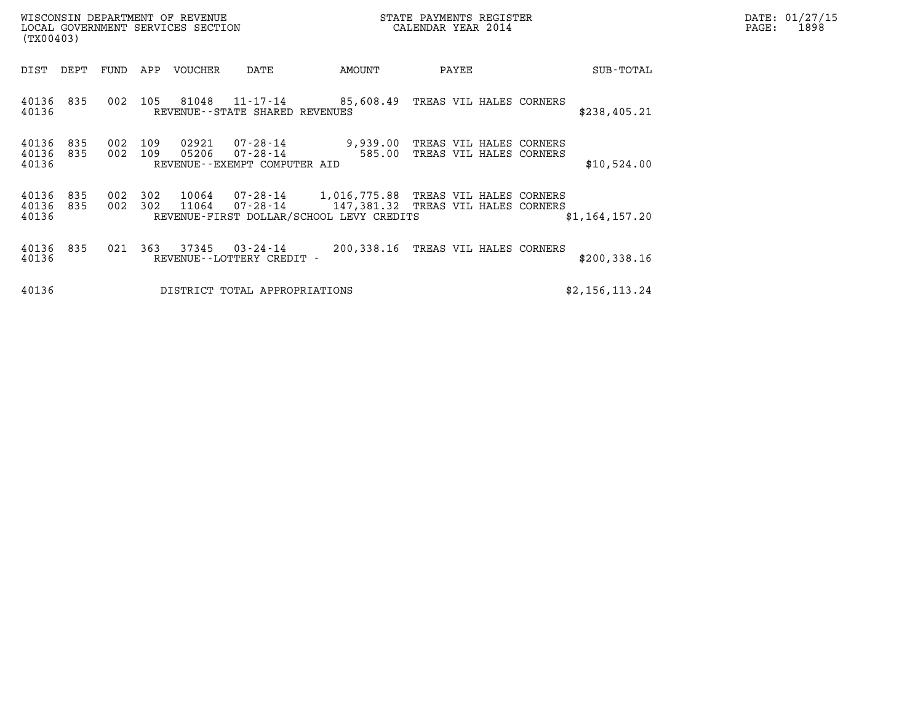| WISCONSIN DEPARTMENT OF REVENUE<br>LOCAL GOVERNMENT SERVICES SECTION<br>(TX00403) |                                                                                      |        | STATE PAYMENTS REGISTER<br>CALENDAR YEAR 2014                                                |                | DATE: 01/27/15<br>PAGE:<br>1898 |
|-----------------------------------------------------------------------------------|--------------------------------------------------------------------------------------|--------|----------------------------------------------------------------------------------------------|----------------|---------------------------------|
| DEPT<br>FUND<br>DIST                                                              | APP<br>VOUCHER<br>DATE                                                               | AMOUNT | PAYEE                                                                                        | SUB-TOTAL      |                                 |
| 002<br>40136 835<br>40136                                                         | 105<br>81048<br>11-17-14<br>REVENUE - - STATE SHARED REVENUES                        |        | 85,608.49 TREAS VIL HALES CORNERS                                                            | \$238,405.21   |                                 |
| 002<br>40136<br>835<br>002<br>40136<br>835<br>40136                               | 109<br>02921<br>07-28-14<br>109<br>05206<br>07-28-14<br>REVENUE--EXEMPT COMPUTER AID | 585.00 | 9,939.00 TREAS VIL HALES CORNERS<br>TREAS VIL HALES CORNERS                                  | \$10,524.00    |                                 |
| 40136<br>835<br>002<br>002<br>40136<br>835<br>40136                               | 302<br>10064<br>302<br>11064<br>REVENUE-FIRST DOLLAR/SCHOOL LEVY CREDITS             |        | 07-28-14 1,016,775.88 TREAS VIL HALES CORNERS<br>07-28-14 147,381.32 TREAS VIL HALES CORNERS | \$1,164,157.20 |                                 |
| 40136 835<br>021<br>40136                                                         | 363<br>37345<br>03-24-14<br>REVENUE--LOTTERY CREDIT -                                |        | 200,338.16 TREAS VIL HALES CORNERS                                                           | \$200, 338.16  |                                 |
| 40136                                                                             | DISTRICT TOTAL APPROPRIATIONS                                                        |        |                                                                                              | \$2,156,113.24 |                                 |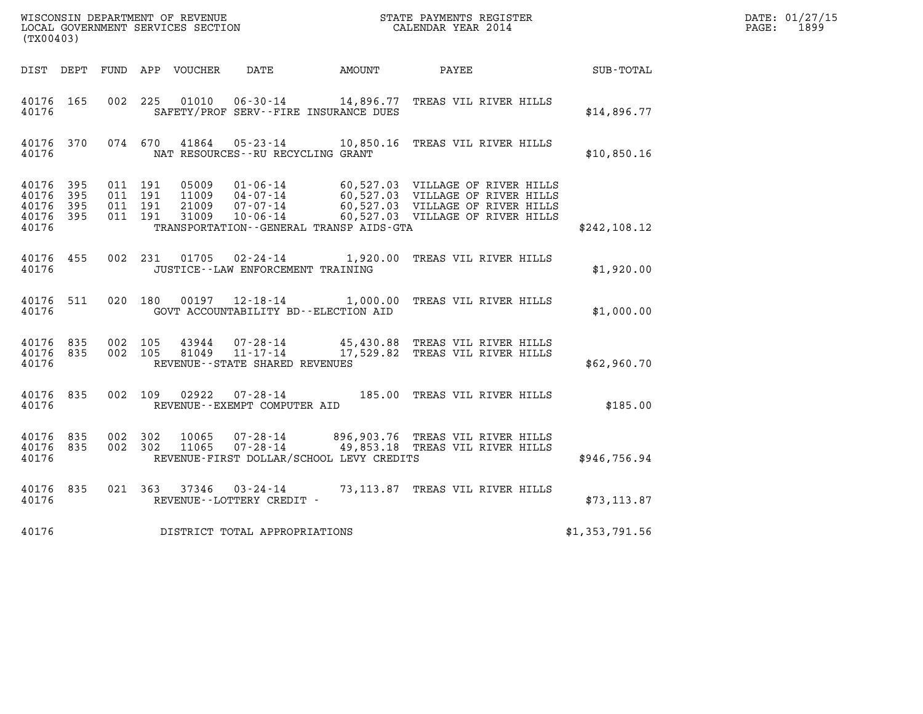| WISCONSIN DEPARTMENT OF REVENUE   | STATE PAYMENTS REGISTER | DATE: 01/27/15 |
|-----------------------------------|-------------------------|----------------|
| LOCAL GOVERNMENT SERVICES SECTION | CALENDAR YEAR 2014      | 1899<br>PAGE:  |

| (TX00403)                                                 |  |                                          |                            |                                     |                                          | WISCONSIN DEPARTMENT OF REVENUE<br>LOCAL GOVERNMENT SERVICES SECTION<br>(TYO0403)                                                                                                                                    |                | DATE: 01/27/15<br>$\mathtt{PAGE:}$<br>1899 |
|-----------------------------------------------------------|--|------------------------------------------|----------------------------|-------------------------------------|------------------------------------------|----------------------------------------------------------------------------------------------------------------------------------------------------------------------------------------------------------------------|----------------|--------------------------------------------|
|                                                           |  |                                          | DIST DEPT FUND APP VOUCHER |                                     |                                          | DATE AMOUNT PAYEE                                                                                                                                                                                                    | SUB-TOTAL      |                                            |
| 40176 165<br>40176                                        |  |                                          |                            |                                     | SAFETY/PROF SERV--FIRE INSURANCE DUES    | 002 225 01010 06-30-14 14,896.77 TREAS VIL RIVER HILLS                                                                                                                                                               | \$14,896.77    |                                            |
| 40176 370<br>40176                                        |  |                                          |                            | NAT RESOURCES--RU RECYCLING GRANT   |                                          | 074 670 41864 05-23-14 10,850.16 TREAS VIL RIVER HILLS                                                                                                                                                               | \$10,850.16    |                                            |
| 40176 395<br>40176 395<br>40176 395<br>40176 395<br>40176 |  | 011 191<br>011 191<br>011 191<br>011 191 |                            |                                     | TRANSPORTATION--GENERAL TRANSP AIDS-GTA  | 05009  01-06-14  60,527.03  VILLAGE OF RIVER HILLS<br>11009  04-07-14  60,527.03  VILLAGE OF RIVER HILLS<br>21009  07-07-14  60,527.03  VILLAGE OF RIVER HILLS<br>31009  10-06-14  60,527.03  VILLAGE OF RIVER HILLS | \$242,108.12   |                                            |
| 40176 455<br>40176                                        |  |                                          |                            | JUSTICE--LAW ENFORCEMENT TRAINING   |                                          | 002 231 01705 02-24-14 1,920.00 TREAS VIL RIVER HILLS                                                                                                                                                                | \$1,920.00     |                                            |
| 40176 511<br>40176                                        |  |                                          |                            |                                     | GOVT ACCOUNTABILITY BD--ELECTION AID     | 020 180 00197 12-18-14 1,000.00 TREAS VIL RIVER HILLS                                                                                                                                                                | \$1,000.00     |                                            |
| 40176 835<br>40176 835<br>40176                           |  |                                          |                            | REVENUE--STATE SHARED REVENUES      |                                          | $\begin{array}{cccc} 002 & 105 & 43944 & 07\text{-}28\text{-}14 & 45,430.88 & \text{TREAS VIL RIVER HILLS} \\ 002 & 105 & 81049 & 11\text{-}17\text{-}14 & 17,529.82 & \text{TREAS VIL RIVER HILLS} \end{array}$     | \$62,960.70    |                                            |
| 40176 835<br>40176                                        |  |                                          |                            | REVENUE--EXEMPT COMPUTER AID        |                                          | 002 109 02922 07-28-14 185.00 TREAS VIL RIVER HILLS                                                                                                                                                                  | \$185.00       |                                            |
| 40176 835<br>40176 835<br>40176                           |  |                                          |                            |                                     | REVENUE-FIRST DOLLAR/SCHOOL LEVY CREDITS | 002 302 10065 07-28-14 896,903.76 TREAS VIL RIVER HILLS<br>002 302 11065 07-28-14 49,853.18 TREAS VIL RIVER HILLS                                                                                                    | \$946,756.94   |                                            |
| 40176 835<br>40176                                        |  |                                          |                            |                                     |                                          |                                                                                                                                                                                                                      | \$73, 113.87   |                                            |
|                                                           |  |                                          |                            | 40176 DISTRICT TOTAL APPROPRIATIONS |                                          |                                                                                                                                                                                                                      | \$1,353,791.56 |                                            |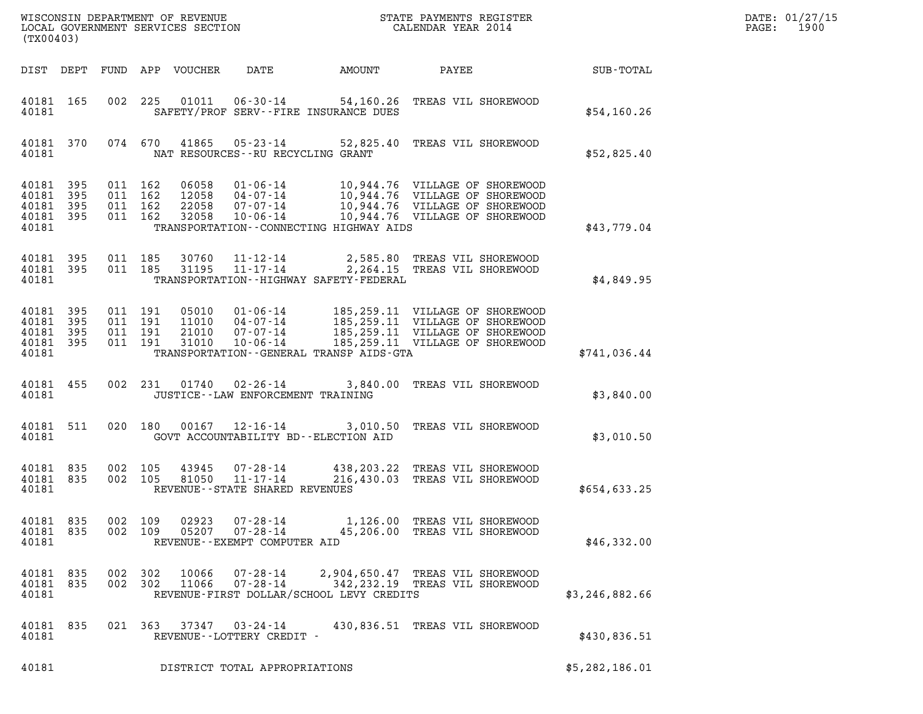| DATE: | 01/27/15 |
|-------|----------|
| PAGE: | 1900     |

| (TX00403)                                             |     |     |                                          |                                  |                                                                       | DATE: 01/27/15<br>1900<br>PAGE:             |                                                                                                                                                                 |                |  |
|-------------------------------------------------------|-----|-----|------------------------------------------|----------------------------------|-----------------------------------------------------------------------|---------------------------------------------|-----------------------------------------------------------------------------------------------------------------------------------------------------------------|----------------|--|
| DIST DEPT                                             |     |     |                                          | FUND APP VOUCHER                 | DATE                                                                  | AMOUNT                                      | PAYEE                                                                                                                                                           | SUB-TOTAL      |  |
| 40181 165<br>40181                                    |     | 002 | 225                                      | 01011                            | $06 - 30 - 14$                                                        | SAFETY/PROF SERV--FIRE INSURANCE DUES       | 54,160.26 TREAS VIL SHOREWOOD                                                                                                                                   | \$54,160.26    |  |
| 40181 370<br>40181                                    |     |     | 074 670                                  |                                  | 41865 05-23-14                                                        | NAT RESOURCES - - RU RECYCLING GRANT        | 52,825.40 TREAS VIL SHOREWOOD                                                                                                                                   | \$52,825.40    |  |
| 40181 395<br>40181<br>40181 395<br>40181 395<br>40181 | 395 |     | 011 162<br>011 162<br>011 162<br>011 162 | 06058<br>12058<br>22058<br>32058 | 10-06-14                                                              | TRANSPORTATION - - CONNECTING HIGHWAY AIDS  | 01-06-14 10,944.76 VILLAGE OF SHOREWOOD<br>04-07-14 10,944.76 VILLAGE OF SHOREWOOD<br>07-07-14 10,944.76 VILLAGE OF SHOREWOOD<br>10,944.76 VILLAGE OF SHOREWOOD | \$43,779.04    |  |
| 40181 395<br>40181 395<br>40181                       |     |     | 011 185<br>011 185                       | 30760<br>31195                   | $11 - 17 - 14$                                                        | TRANSPORTATION - - HIGHWAY SAFETY - FEDERAL | 11-12-14 2,585.80 TREAS VIL SHOREWOOD<br>2,264.15 TREAS VIL SHOREWOOD                                                                                           | \$4,849.95     |  |
| 40181 395<br>40181<br>40181 395<br>40181 395<br>40181 | 395 |     | 011 191<br>011 191<br>011 191<br>011 191 | 05010<br>11010<br>21010<br>31010 | $01 - 06 - 14$<br>$04 - 07 - 14$<br>07 - 07 - 14<br>$10 - 06 - 14$    | TRANSPORTATION--GENERAL TRANSP AIDS-GTA     | 185,259.11 VILLAGE OF SHOREWOOD<br>185,259.11 VILLAGE OF SHOREWOOD<br>185,259.11 VILLAGE OF SHOREWOOD<br>185,259.11 VILLAGE OF SHOREWOOD                        | \$741,036.44   |  |
| 40181 455<br>40181                                    |     |     | 002 231                                  | 01740                            | 02-26-14                                                              | JUSTICE - - LAW ENFORCEMENT TRAINING        | 3,840.00 TREAS VIL SHOREWOOD                                                                                                                                    | \$3,840.00     |  |
| 40181 511<br>40181                                    |     |     | 020 180                                  | 00167                            | $12 - 16 - 14$                                                        | GOVT ACCOUNTABILITY BD--ELECTION AID        | 3,010.50 TREAS VIL SHOREWOOD                                                                                                                                    | \$3,010.50     |  |
| 40181 835<br>40181 835<br>40181                       |     |     | 002 105<br>002 105                       | 43945<br>81050                   | $07 - 28 - 14$<br>$11 - 17 - 14$<br>REVENUE - - STATE SHARED REVENUES |                                             | 438,203.22 TREAS VIL SHOREWOOD<br>216,430.03 TREAS VIL SHOREWOOD                                                                                                | \$654,633.25   |  |
| 40181 835<br>40181 835<br>40181                       |     |     | 002 109<br>002 109                       | 02923<br>05207                   | 07-28-14<br>$07 - 28 - 14$<br>REVENUE - - EXEMPT COMPUTER AID         |                                             | 1,126.00 TREAS VIL SHOREWOOD<br>45,206.00 TREAS VIL SHOREWOOD                                                                                                   | \$46,332.00    |  |
| 40181 835<br>40181 835<br>40181                       |     |     | 002 302<br>002 302                       | 10066<br>11066                   | 07-28-14<br>07-28-14                                                  | REVENUE-FIRST DOLLAR/SCHOOL LEVY CREDITS    | 2,904,650.47 TREAS VIL SHOREWOOD<br>342, 232.19 TREAS VIL SHOREWOOD                                                                                             | \$3,246,882.66 |  |
| 40181 835<br>40181                                    |     |     | 021 363                                  | 37347                            | 03-24-14<br>REVENUE--LOTTERY CREDIT -                                 |                                             | 430,836.51 TREAS VIL SHOREWOOD                                                                                                                                  | \$430,836.51   |  |
| 40181                                                 |     |     |                                          |                                  | DISTRICT TOTAL APPROPRIATIONS                                         |                                             |                                                                                                                                                                 | \$5,282,186.01 |  |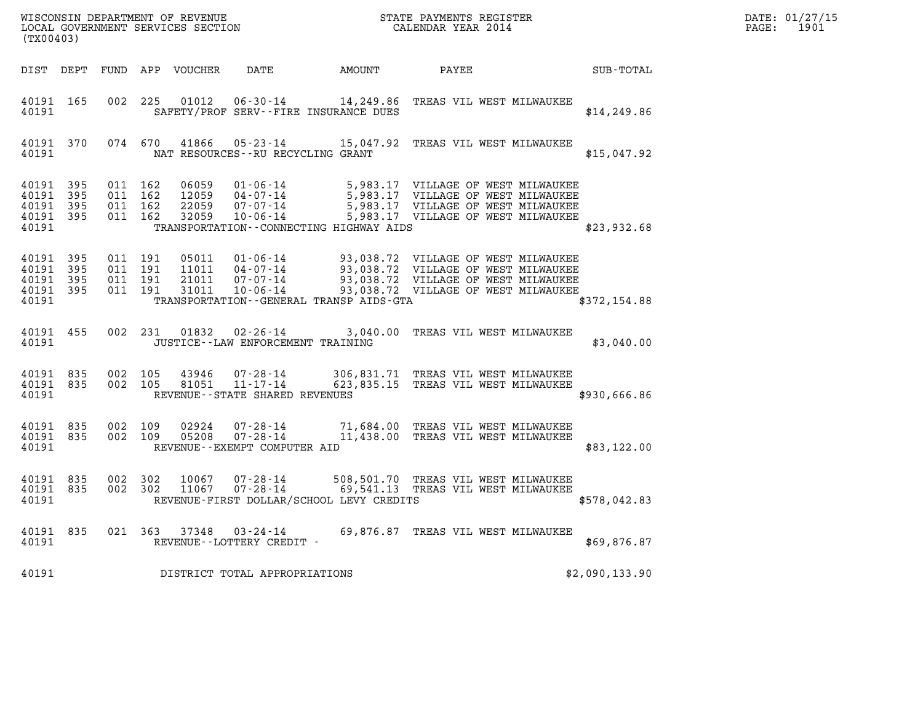| (TX00403)                                         |                     |                                          |         | WISCONSIN DEPARTMENT OF REVENUE<br>LOCAL GOVERNMENT SERVICES SECTION |                                                                |                                          | STATE PAYMENTS REGISTER<br>CALENDAR YEAR 2014                                                                                                                                                                                                |                | DATE: 01/27/15<br>$\mathtt{PAGE:}$<br>1901 |
|---------------------------------------------------|---------------------|------------------------------------------|---------|----------------------------------------------------------------------|----------------------------------------------------------------|------------------------------------------|----------------------------------------------------------------------------------------------------------------------------------------------------------------------------------------------------------------------------------------------|----------------|--------------------------------------------|
|                                                   |                     |                                          |         | DIST DEPT FUND APP VOUCHER                                           | DATE                                                           | AMOUNT PAYEE                             |                                                                                                                                                                                                                                              | SUB-TOTAL      |                                            |
| 40191 165<br>40191                                |                     |                                          | 002 225 | 01012                                                                | SAFETY/PROF SERV--FIRE INSURANCE DUES                          |                                          | 06-30-14 14,249.86 TREAS VIL WEST MILWAUKEE                                                                                                                                                                                                  | \$14, 249.86   |                                            |
| 40191 370<br>40191                                |                     |                                          |         |                                                                      | NAT RESOURCES - - RU RECYCLING GRANT                           |                                          | 074 670 41866 05-23-14 15,047.92 TREAS VIL WEST MILWAUKEE                                                                                                                                                                                    | \$15,047.92    |                                            |
| 40191 395<br>40191<br>40191<br>40191<br>40191     | 395<br>- 395<br>395 | 011 162<br>011 162<br>011 162            | 011 162 | 06059<br>12059<br>22059<br>32059                                     |                                                                | TRANSPORTATION--CONNECTING HIGHWAY AIDS  | 01-06-14 5,983.17 VILLAGE OF WEST MILWAUKEE<br>04-07-14 5,983.17 VILLAGE OF WEST MILWAUKEE<br>07-07-14 5,983.17 VILLAGE OF WEST MILWAUKEE<br>10-06-14 5,983.17 VILLAGE OF WEST MILWAUKEE                                                     | \$23,932.68    |                                            |
| 40191<br>40191<br>40191 395<br>40191 395<br>40191 | - 395<br>- 395      | 011 191<br>011 191<br>011 191<br>011 191 |         | 05011<br>11011<br>21011<br>31011                                     |                                                                | TRANSPORTATION--GENERAL TRANSP AIDS-GTA  | 01-06-14 93,038.72 VILLAGE OF WEST MILWAUKEE<br>04-07-14 93,038.72 VILLAGE OF WEST MILWAUKEE<br>07-07-14 93,038.72 VILLAGE OF WEST MILWAUKEE<br>07-07-14 93,038.72 VILLAGE OF WEST MILWAUKEE<br>10-06-14 93,038.72 VILLAGE OF WEST MILWAUKEE | \$372,154.88   |                                            |
| 40191 455<br>40191                                |                     |                                          |         |                                                                      | 002 231 01832 02-26-14<br>JUSTICE - - LAW ENFORCEMENT TRAINING |                                          | 3,040.00 TREAS VIL WEST MILWAUKEE                                                                                                                                                                                                            | \$3,040.00     |                                            |
| 40191 835<br>40191 835<br>40191                   |                     | 002 105                                  | 002 105 | 43946<br>81051                                                       | 11-17-14<br>REVENUE--STATE SHARED REVENUES                     |                                          | 07-28-14 306,831.71 TREAS VIL WEST MILWAUKEE<br>623,835.15 TREAS VIL WEST MILWAUKEE                                                                                                                                                          | \$930,666.86   |                                            |
| 40191 835<br>40191 835<br>40191                   |                     | 002 109                                  | 002 109 | 02924<br>05208                                                       | $07 - 28 - 14$<br>REVENUE--EXEMPT COMPUTER AID                 |                                          | 07-28-14 71,684.00 TREAS VIL WEST MILWAUKEE<br>11,438.00 TREAS VIL WEST MILWAUKEE                                                                                                                                                            | \$83,122.00    |                                            |
| 40191 835<br>40191 835<br>40191                   |                     | 002 302                                  | 002 302 | 10067<br>11067                                                       | 07-28-14                                                       | REVENUE-FIRST DOLLAR/SCHOOL LEVY CREDITS | 07-28-14 508,501.70 TREAS VIL WEST MILWAUKEE<br>69,541.13 TREAS VIL WEST MILWAUKEE                                                                                                                                                           | \$578,042.83   |                                            |
| 40191 835<br>40191                                |                     |                                          |         |                                                                      | 021 363 37348 03-24-14<br>REVENUE - - LOTTERY CREDIT -         |                                          | 69,876.87 TREAS VIL WEST MILWAUKEE                                                                                                                                                                                                           | \$69,876.87    |                                            |
| 40191                                             |                     |                                          |         |                                                                      | DISTRICT TOTAL APPROPRIATIONS                                  |                                          |                                                                                                                                                                                                                                              | \$2,090,133.90 |                                            |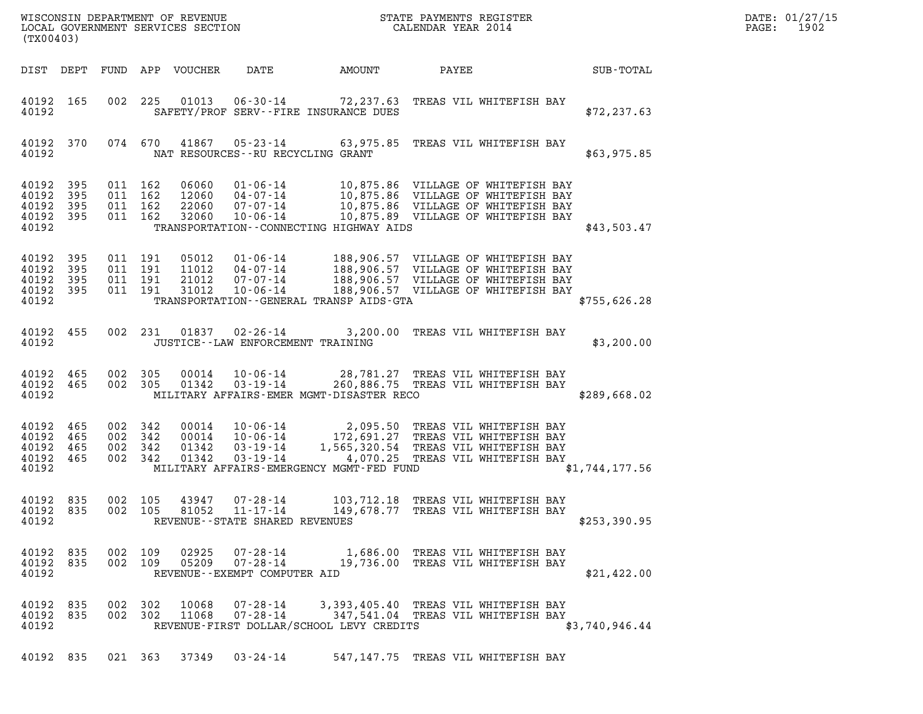| (TX00403)                                                 |           |                    |                                          |                                  |                                            |                                                                                                                                                                                                                                         |                                  |  |                  | DATE: 01/27/15<br>1902<br>$\mathtt{PAGE:}$ |
|-----------------------------------------------------------|-----------|--------------------|------------------------------------------|----------------------------------|--------------------------------------------|-----------------------------------------------------------------------------------------------------------------------------------------------------------------------------------------------------------------------------------------|----------------------------------|--|------------------|--------------------------------------------|
|                                                           |           |                    |                                          | DIST DEPT FUND APP VOUCHER       | DATE                                       | AMOUNT                                                                                                                                                                                                                                  | PAYEE                            |  | <b>SUB-TOTAL</b> |                                            |
| 40192 165<br>40192                                        |           |                    |                                          |                                  |                                            | 002 225 01013 06-30-14 72,237.63 TREAS VIL WHITEFISH BAY<br>SAFETY/PROF SERV--FIRE INSURANCE DUES                                                                                                                                       |                                  |  | \$72, 237.63     |                                            |
| 40192 370<br>40192                                        |           |                    |                                          |                                  |                                            | 074 670 41867 05-23-14 63,975.85 TREAS VIL WHITEFISH BAY<br>NAT RESOURCES - - RU RECYCLING GRANT                                                                                                                                        |                                  |  | \$63,975.85      |                                            |
| 40192 395<br>40192<br>40192 395<br>40192 395<br>40192     | 395       | 011 162            | 011 162<br>011 162<br>011 162            | 06060<br>12060<br>22060<br>32060 | $10 - 06 - 14$                             | 01-06-14 10,875.86 VILLAGE OF WHITEFISH BAY<br>04-07-14 10,875.86 VILLAGE OF WHITEFISH BAY<br>07-07-14 10,875.86 VILLAGE OF WHITEFISH BAY<br>10,875.89 VILLAGE OF WHITEFISH BAY<br>TRANSPORTATION - - CONNECTING HIGHWAY AIDS           |                                  |  | \$43,503.47      |                                            |
| 40192 395<br>40192 395<br>40192 395<br>40192 395<br>40192 |           |                    | 011 191<br>011 191<br>011 191<br>011 191 | 05012<br>11012<br>21012<br>31012 |                                            | 01-06-14 188,906.57 VILLAGE OF WHITEFISH BAY<br>04-07-14 188,906.57 VILLAGE OF WHITEFISH BAY<br>07-07-14 188,906.57 VILLAGE OF WHITEFISH BAY<br>10-06-14 188,906.57 VILLAGE OF WHITEFISH BAY<br>TRANSPORTATION--GENERAL TRANSP AIDS-GTA |                                  |  | \$755,626.28     |                                            |
| 40192 455<br>40192                                        |           |                    | 002 231                                  |                                  | 01837 02-26-14                             | JUSTICE - - LAW ENFORCEMENT TRAINING                                                                                                                                                                                                    | 3,200.00 TREAS VIL WHITEFISH BAY |  | \$3,200.00       |                                            |
| 40192 465<br>40192                                        | 40192 465 | 002 305<br>002 305 |                                          | 01342                            | $00014$ $10-06-14$<br>03-19-14             | 28,781.27 TREAS VIL WHITEFISH BAY<br>260,886.75 TREAS VIL WHITEFISH BAY<br>MILITARY AFFAIRS-EMER MGMT-DISASTER RECO                                                                                                                     |                                  |  | \$289,668.02     |                                            |
| 40192 465<br>40192 465<br>40192 465<br>40192 465<br>40192 |           |                    | 002 342<br>002 342<br>002 342<br>002 342 | 00014<br>00014<br>01342<br>01342 | 03-19-14                                   | 10-06-14 2,095.50 TREAS VIL WHITEFISH BAY<br>10-06-14 172,691.27 TREAS VIL WHITEFISH BAY<br>03-19-14 1,565,320.54 TREAS VIL WHITEFISH BAY<br>4,070.25 TREAS VIL WHITEFISH BAY<br>MILITARY AFFAIRS-EMERGENCY MGMT-FED FUND               |                                  |  | \$1,744,177.56   |                                            |
| 40192 835<br>40192                                        | 40192 835 |                    | 002 105                                  | 43947                            | 07-28-14<br>REVENUE--STATE SHARED REVENUES | 103,712.18 TREAS VIL WHITEFISH BAY<br>002 105 81052 11-17-14 149,678.77 TREAS VIL WHITEFISH BAY                                                                                                                                         |                                  |  | \$253,390.95     |                                            |
| 40192 835<br>40192 835<br>40192                           |           | 002 109            | 002 109                                  | 02925                            | REVENUE--EXEMPT COMPUTER AID               | 07-28-14 1,686.00 TREAS VIL WHITEFISH BAY<br>05209  07-28-14  19,736.00 TREAS VIL WHITEFISH BAY                                                                                                                                         |                                  |  | \$21,422.00      |                                            |
| 40192 835<br>40192 835<br>40192                           |           |                    | 002 302<br>002 302                       |                                  |                                            | 3,393,405.40 TREAS VIL WHITEFISH BAY<br>11068  07-28-14  347,541.04  TREAS VIL WHITEFISH BAY<br>REVENUE-FIRST DOLLAR/SCHOOL LEVY CREDITS                                                                                                |                                  |  | \$3,740,946.44   |                                            |
|                                                           |           |                    |                                          |                                  | 40192 835 021 363 37349 03-24-14           | 547,147.75 TREAS VIL WHITEFISH BAY                                                                                                                                                                                                      |                                  |  |                  |                                            |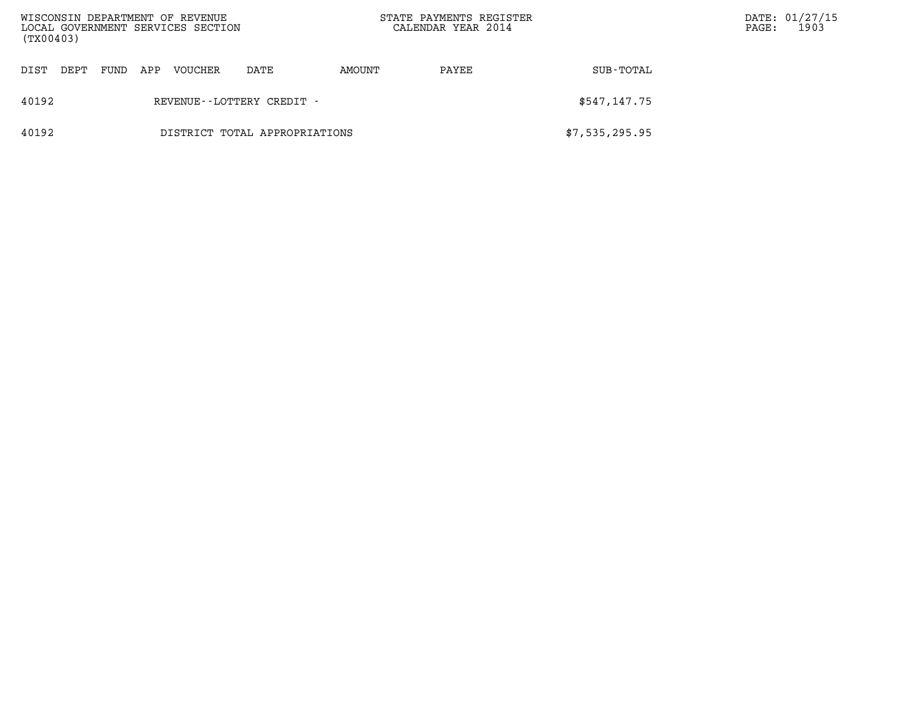| WISCONSIN DEPARTMENT OF REVENUE<br>LOCAL GOVERNMENT SERVICES SECTION<br>(TX00403) |                               |      |     |         |                              | STATE PAYMENTS REGISTER<br>CALENDAR YEAR 2014 |       |                | $\mathtt{PAGE}$ : | DATE: 01/27/15<br>1903 |
|-----------------------------------------------------------------------------------|-------------------------------|------|-----|---------|------------------------------|-----------------------------------------------|-------|----------------|-------------------|------------------------|
| DIST                                                                              | DEPT                          | FUND | APP | VOUCHER | DATE                         | AMOUNT                                        | PAYEE | SUB-TOTAL      |                   |                        |
| 40192                                                                             |                               |      |     |         | REVENUE - - LOTTERY CREDIT - |                                               |       | \$547,147.75   |                   |                        |
| 40192                                                                             | DISTRICT TOTAL APPROPRIATIONS |      |     |         |                              |                                               |       | \$7,535,295.95 |                   |                        |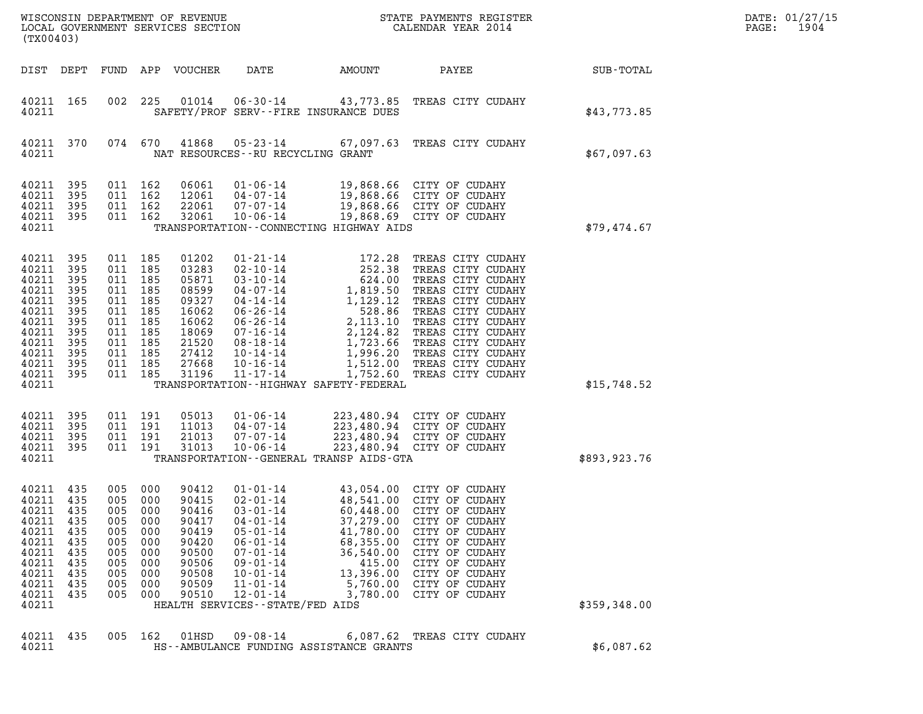| (TX00403)                                                                                                    |                                                                             |                                                                                                                              |                                                                    |                                                                                                          |                                                                                                                                                                                                                                          |                                                                                                              |                                                                                                                                                                                                                                                                                                                                 |              | DATE: 01/27/15<br>1904<br>PAGE: |
|--------------------------------------------------------------------------------------------------------------|-----------------------------------------------------------------------------|------------------------------------------------------------------------------------------------------------------------------|--------------------------------------------------------------------|----------------------------------------------------------------------------------------------------------|------------------------------------------------------------------------------------------------------------------------------------------------------------------------------------------------------------------------------------------|--------------------------------------------------------------------------------------------------------------|---------------------------------------------------------------------------------------------------------------------------------------------------------------------------------------------------------------------------------------------------------------------------------------------------------------------------------|--------------|---------------------------------|
|                                                                                                              |                                                                             |                                                                                                                              |                                                                    | DIST DEPT FUND APP VOUCHER                                                                               | DATE                                                                                                                                                                                                                                     | AMOUNT                                                                                                       | PAYEE                                                                                                                                                                                                                                                                                                                           | SUB-TOTAL    |                                 |
| 40211 165<br>40211                                                                                           |                                                                             | 002                                                                                                                          | 225                                                                |                                                                                                          | $01014$ $06-30-14$<br>SAFETY/PROF SERV--FIRE INSURANCE DUES                                                                                                                                                                              |                                                                                                              | 43,773.85 TREAS CITY CUDAHY                                                                                                                                                                                                                                                                                                     | \$43,773.85  |                                 |
| 40211 370<br>40211                                                                                           |                                                                             | 074 670                                                                                                                      |                                                                    | 41868                                                                                                    | NAT RESOURCES - - RU RECYCLING GRANT                                                                                                                                                                                                     |                                                                                                              | 05-23-14 67,097.63 TREAS CITY CUDAHY                                                                                                                                                                                                                                                                                            | \$67,097.63  |                                 |
| 40211 395<br>40211<br>40211<br>40211 395<br>40211                                                            | 395<br>395                                                                  | 011 162<br>011 162<br>011 162<br>011 162                                                                                     |                                                                    | 06061<br>12061<br>22061<br>32061                                                                         | 01-06-14<br>$04 - 07 - 14$<br>$07 - 07 - 14$<br>$10 - 06 - 14$<br>TRANSPORTATION -- CONNECTING HIGHWAY AIDS                                                                                                                              |                                                                                                              | 19,868.66 CITY OF CUDAHY<br>19,868.66 CITY OF CUDAHY<br>19,868.66 CITY OF CUDAHY<br>19,868.69 CITY OF CUDAHY                                                                                                                                                                                                                    | \$79,474.67  |                                 |
| 40211<br>40211<br>40211<br>40211<br>40211<br>40211<br>40211<br>40211<br>40211<br>40211<br>40211<br>40211 395 | 395<br>395<br>395<br>395<br>395<br>395<br>395<br>395<br>395<br>395<br>- 395 | 011 185<br>011 185<br>011<br>011 185<br>011 185<br>011 185<br>011 185<br>011 185<br>011 185<br>011 185<br>011 185<br>011 185 | 185                                                                | 01202<br>03283<br>05871<br>08599<br>09327<br>16062<br>16062<br>18069<br>21520<br>27412<br>27668<br>31196 | $01 - 21 - 14$<br>02-10-14<br>$03 - 10 - 14$<br>04-07-14<br>$04 - 14 - 14$<br>06-26-14<br>06-26-14<br>07-16-14<br>08-18-14<br>10-14-14<br>$10 - 16 - 14$<br>$11 - 17 - 14$                                                               | 172.28                                                                                                       | TREAS CITY CUDAHY<br>172.28 TREAS CITY CUDAHY<br>252.38 TREAS CITY CUDAHY<br>624.00 TREAS CITY CUDAHY<br>1,819.50 TREAS CITY CUDAHY<br>1,129.12 TREAS CITY CUDAHY<br>528.86 TREAS CITY CUDAHY<br>2,113.10 TREAS CITY CUDAHY<br>2,124.82 TREAS CITY CUDAHY<br>1,723.<br>1,512.00 TREAS CITY CUDAHY<br>1,752.60 TREAS CITY CUDAHY |              |                                 |
| 40211                                                                                                        |                                                                             |                                                                                                                              |                                                                    |                                                                                                          | TRANSPORTATION - - HIGHWAY SAFETY - FEDERAL                                                                                                                                                                                              |                                                                                                              |                                                                                                                                                                                                                                                                                                                                 | \$15,748.52  |                                 |
| 40211 395<br>40211<br>40211<br>40211 395<br>40211                                                            | 395<br>395                                                                  | 011 191<br>011 191<br>011 191<br>011 191                                                                                     |                                                                    | 05013<br>11013<br>21013<br>31013                                                                         | $01 - 06 - 14$<br>$04 - 07 - 14$<br>$07 - 07 - 14$<br>$10 - 06 - 14$<br>TRANSPORTATION--GENERAL TRANSP AIDS-GTA                                                                                                                          |                                                                                                              | 223,480.94 CITY OF CUDAHY<br>223,480.94 CITY OF CUDAHY<br>223,480.94 CITY OF CUDAHY<br>223,480.94 CITY OF CUDAHY                                                                                                                                                                                                                | \$893,923.76 |                                 |
| 40211<br>40211 435<br>40211<br>40211<br>40211<br>40211<br>40211<br>40211<br>40211<br>40211<br>40211<br>40211 | 435<br>435<br>435<br>435<br>435<br>435<br>435<br>435<br>435<br>435          | 005<br>005 000<br>005<br>005<br>005<br>005<br>005<br>005<br>005<br>005<br>005                                                | 000<br>000<br>000<br>000<br>000<br>000<br>000<br>000<br>000<br>000 | 90412<br>90415<br>90416<br>90417<br>90419<br>90420<br>90500<br>90506<br>90508<br>90509<br>90510          | $01 - 01 - 14$<br>$02 - 01 - 14$<br>$03 - 01 - 14$<br>$04 - 01 - 14$<br>$05 - 01 - 14$<br>$06 - 01 - 14$<br>$07 - 01 - 14$<br>$09 - 01 - 14$<br>$10 - 01 - 14$<br>$11 - 01 - 14$<br>$12 - 01 - 14$<br>HEALTH SERVICES - - STATE/FED AIDS | 60,448.00<br>37,279.00<br>41,780.00<br>68,355.00<br>36,540.00<br>415.00<br>13,396.00<br>5,760.00<br>3,780.00 | 43,054.00 CITY OF CUDAHY<br>48,541.00 CITY OF CUDAHY<br>CITY OF CUDAHY<br>CITY OF CUDAHY<br>CITY OF CUDAHY<br>CITY OF CUDAHY<br>CITY OF CUDAHY<br>CITY OF CUDAHY<br>CITY OF CUDAHY<br>CITY OF CUDAHY<br>CITY OF CUDAHY                                                                                                          | \$359,348.00 |                                 |
| 40211<br>40211                                                                                               | 435                                                                         | 005 162                                                                                                                      |                                                                    | 01HSD                                                                                                    | $09 - 08 - 14$<br>HS--AMBULANCE FUNDING ASSISTANCE GRANTS                                                                                                                                                                                |                                                                                                              | 6,087.62 TREAS CITY CUDAHY                                                                                                                                                                                                                                                                                                      | \$6,087.62   |                                 |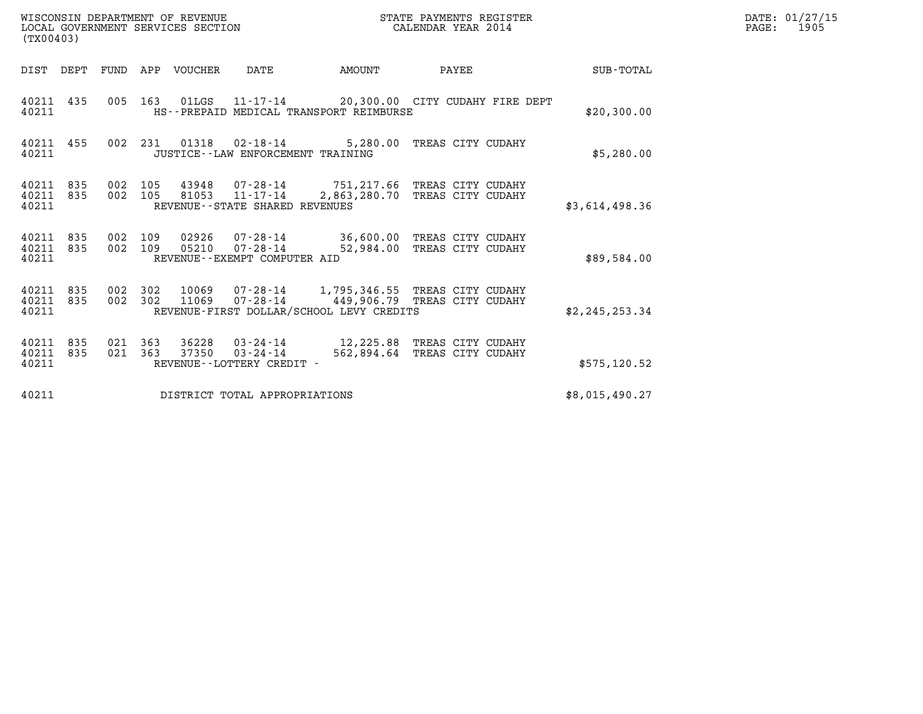| (TX00403)                       |            |                    |         | WISCONSIN DEPARTMENT OF REVENUE<br>LOCAL GOVERNMENT SERVICES SECTION |                                                  |                                          | STATE PAYMENTS REGISTER<br>CALENDAR YEAR 2014                                                      |                | DATE: 01/27/15<br>$\mathtt{PAGE:}$<br>1905 |
|---------------------------------|------------|--------------------|---------|----------------------------------------------------------------------|--------------------------------------------------|------------------------------------------|----------------------------------------------------------------------------------------------------|----------------|--------------------------------------------|
| DIST DEPT                       |            |                    |         | FUND APP VOUCHER                                                     | DATE                                             | AMOUNT                                   | PAYEE                                                                                              | SUB-TOTAL      |                                            |
| 40211 435<br>40211              |            |                    | 005 163 |                                                                      |                                                  | HS--PREPAID MEDICAL TRANSPORT REIMBURSE  | 01LGS  11-17-14  20,300.00  CITY  CUDAHY FIRE DEPT                                                 | \$20,300.00    |                                            |
| 40211 455<br>40211              |            |                    | 002 231 |                                                                      | JUSTICE - - LAW ENFORCEMENT TRAINING             |                                          | 5,280.00 TREAS CITY CUDAHY                                                                         | \$5,280.00     |                                            |
| 40211 835<br>40211<br>40211     | 835        | 002 105<br>002 105 |         |                                                                      | 81053 11-17-14<br>REVENUE--STATE SHARED REVENUES |                                          | 43948  07-28-14  751,217.66  TREAS CITY CUDAHY<br>2,863,280.70 TREAS CITY CUDAHY                   | \$3,614,498.36 |                                            |
| 40211 835<br>40211 835<br>40211 |            | 002 109<br>002 109 |         | 05210                                                                | $07 - 28 - 14$<br>REVENUE--EXEMPT COMPUTER AID   |                                          | 02926  07-28-14  36,600.00 TREAS CITY CUDAHY<br>52,984.00 TREAS CITY CUDAHY                        | \$89,584.00    |                                            |
| 40211 835<br>40211 835<br>40211 |            | 002 302<br>002 302 |         |                                                                      |                                                  | REVENUE-FIRST DOLLAR/SCHOOL LEVY CREDITS | 10069  07-28-14  1,795,346.55  TREAS CITY CUDAHY<br>11069  07-28-14  449,906.79  TREAS CITY CUDAHY | \$2,245,253.34 |                                            |
| 40211<br>40211<br>40211         | 835<br>835 | 021 363<br>021 363 |         | 36228<br>37350                                                       | $03 - 24 - 14$<br>REVENUE - - LOTTERY CREDIT -   |                                          | 03-24-14 12,225.88 TREAS CITY CUDAHY<br>562,894.64 TREAS CITY CUDAHY                               | \$575, 120.52  |                                            |
| 40211                           |            |                    |         |                                                                      | DISTRICT TOTAL APPROPRIATIONS                    |                                          |                                                                                                    | \$8,015,490.27 |                                            |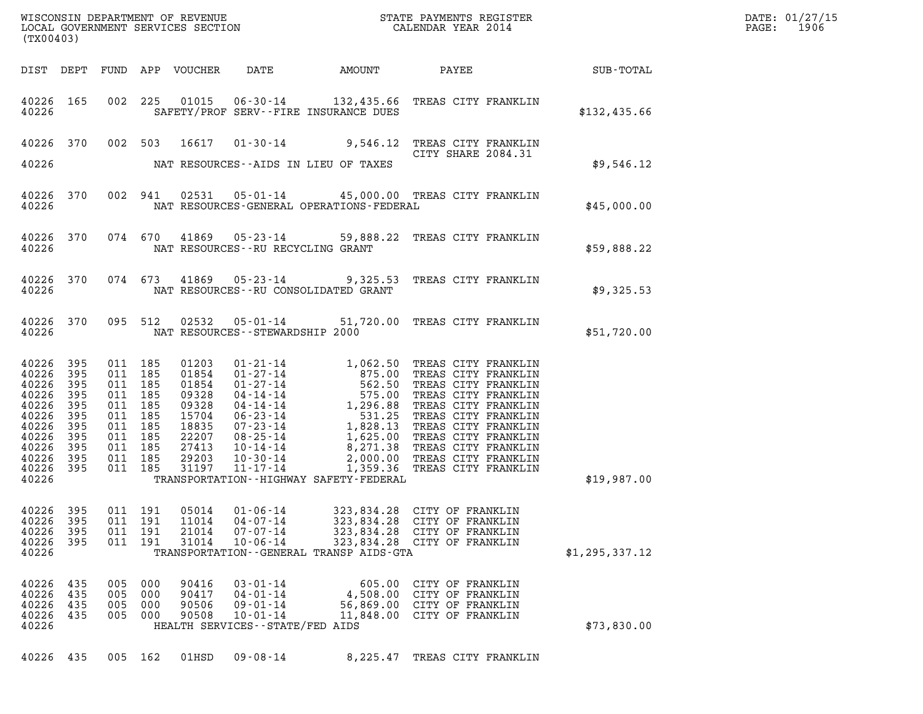| DATE: | 01/27/15 |
|-------|----------|
| PAGE: | 1906     |

| (TX00403)                                                                                                                                                              | WISCONSIN DEPARTMENT OF REVENUE<br>LOCAL GOVERNMENT SERVICES SECTION CALENDAR YEAR 2014<br>CALENDAR YEAR 2014                                                                                                                                                                                                                                                              |              |
|------------------------------------------------------------------------------------------------------------------------------------------------------------------------|----------------------------------------------------------------------------------------------------------------------------------------------------------------------------------------------------------------------------------------------------------------------------------------------------------------------------------------------------------------------------|--------------|
|                                                                                                                                                                        | DIST DEPT FUND APP VOUCHER DATE AMOUNT PAYEE SUB-TOTAL                                                                                                                                                                                                                                                                                                                     |              |
| 40226                                                                                                                                                                  | 40226 165 002 225 01015 06-30-14 132,435.66 TREAS CITY FRANKLIN<br>SAFETY/PROF SERV--FIRE INSURANCE DUES                                                                                                                                                                                                                                                                   | \$132,435.66 |
|                                                                                                                                                                        | 40226 370 002 503 16617 01-30-14 9,546.12 TREAS CITY FRANKLIN<br>CITY SHARE 2084.31                                                                                                                                                                                                                                                                                        |              |
|                                                                                                                                                                        | 40226 MAT RESOURCES--AIDS IN LIEU OF TAXES                                                                                                                                                                                                                                                                                                                                 | \$9,546.12   |
|                                                                                                                                                                        | 40226 370 002 941 02531 05-01-14 45,000.00 TREAS CITY FRANKLIN<br>\$45,000.00<br>40226 NAT RESOURCES-GENERAL OPERATIONS-FEDERAL                                                                                                                                                                                                                                            |              |
|                                                                                                                                                                        | 40226 370 074 670 41869 05-23-14 59,888.22 TREAS CITY FRANKLIN<br>\$59,888.22<br>40226 NAT RESOURCES--RU RECYCLING GRANT                                                                                                                                                                                                                                                   |              |
|                                                                                                                                                                        | 40226 370 074 673 41869 05-23-14 9,325.53 TREAS CITY FRANKLIN<br>40226 NAT RESOURCES - RU CONSOLIDATED GRANT                                                                                                                                                                                                                                                               | \$9,325.53   |
|                                                                                                                                                                        | 40226 370 095 512 02532 05-01-14 51,720.00 TREAS CITY FRANKLIN<br>\$51,720.00<br>40226 NAT RESOURCES - STEWARDSHIP 2000                                                                                                                                                                                                                                                    |              |
| 40226<br>395<br>40226<br>395<br>40226<br>395<br>40226<br>395<br>40226<br>395<br>40226<br>395<br>40226<br>395<br>40226<br>395<br>40226<br>395<br>40226 395<br>40226 395 | 01203 01-21-14 1,062.50 TREAS CITY FRANKLIN<br>01854 01-27-14 875.00 TREAS CITY FRANKLIN<br>03328 04-14-14 575.00 TREAS CITY FRANKLIN<br>03328 04-14-14 1,296.88 TREAS CITY FRANKLIN<br>15704 06-23-14 1,296.88 TREAS CITY FRANKLIN<br>1<br>011 185<br>011 185<br>011 185<br>011 185<br>011 185<br>011 185<br>011 185<br>011 185<br>011 185<br>011 185<br>011 185<br>31197 |              |
| 40226                                                                                                                                                                  | \$19,987.00<br>TRANSPORTATION - - HIGHWAY SAFETY - FEDERAL                                                                                                                                                                                                                                                                                                                 |              |
| 40226 395<br>40226<br>395<br>011<br>40226<br>395<br>011<br>40226<br>395<br>011<br>40226                                                                                | 011 191<br>05014<br>$01 - 06 - 14$<br>323,834.28<br>CITY OF FRANKLIN<br>191<br>11014<br>$04 - 07 - 14$<br>323,834.28<br>CITY OF FRANKLIN<br>191<br>21014<br>$07 - 07 - 14$<br>323,834.28 CITY OF FRANKLIN<br>191<br>31014<br>$10 - 06 - 14$<br>323,834.28 CITY OF FRANKLIN<br>TRANSPORTATION--GENERAL TRANSP AIDS-GTA<br>\$1, 295, 337.12                                  |              |
| 40226 435<br>005<br>40226<br>435<br>005<br>40226<br>435<br>005<br>40226<br>435<br>005<br>40226                                                                         | 000<br>90416<br>$03 - 01 - 14$<br>605.00 CITY OF FRANKLIN<br>000<br>90417<br>$04 - 01 - 14$<br>4,508.00 CITY OF FRANKLIN<br>000<br>90506<br>$09 - 01 - 14$<br>56,869.00<br>CITY OF FRANKLIN<br>000<br>90508<br>$10 - 01 - 14$<br>11,848.00 CITY OF FRANKLIN<br>HEALTH SERVICES - - STATE/FED AIDS                                                                          | \$73,830.00  |
| 40226 435                                                                                                                                                              | 005 162<br>01HSD<br>$09 - 08 - 14$<br>8,225.47 TREAS CITY FRANKLIN                                                                                                                                                                                                                                                                                                         |              |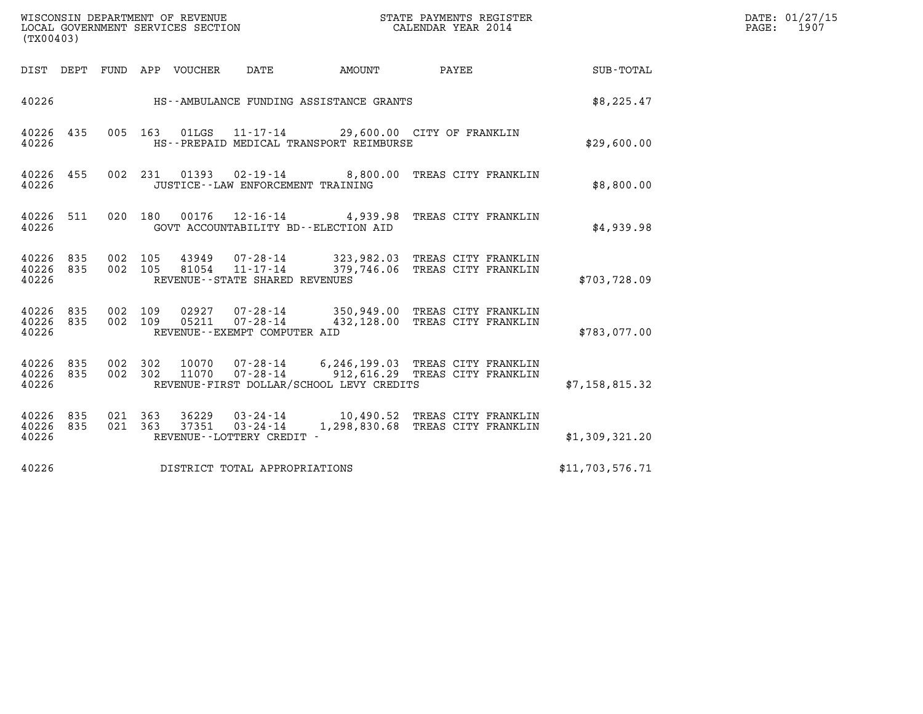| (TX00403)                       |     |                    |                    | WISCONSIN DEPARTMENT OF REVENUE<br>LOCAL GOVERNMENT SERVICES SECTION |                                                        |                                          | STATE PAYMENTS REGISTER<br>CALENDAR YEAR 2014                                                      |                 | DATE: 01/27/15<br>PAGE: 1907 |
|---------------------------------|-----|--------------------|--------------------|----------------------------------------------------------------------|--------------------------------------------------------|------------------------------------------|----------------------------------------------------------------------------------------------------|-----------------|------------------------------|
|                                 |     |                    |                    | DIST DEPT FUND APP VOUCHER DATE                                      |                                                        | AMOUNT                                   | <b>PAYEE</b>                                                                                       | SUB-TOTAL       |                              |
| 40226                           |     |                    |                    |                                                                      |                                                        | HS--AMBULANCE FUNDING ASSISTANCE GRANTS  |                                                                                                    | \$8,225.47      |                              |
| 40226 435<br>40226              |     |                    |                    |                                                                      |                                                        | HS--PREPAID MEDICAL TRANSPORT REIMBURSE  | 005 163 01LGS 11-17-14 29,600.00 CITY OF FRANKLIN                                                  | \$29,600.00     |                              |
| 40226 455<br>40226              |     |                    |                    |                                                                      | JUSTICE -- LAW ENFORCEMENT TRAINING                    |                                          | 002 231 01393 02-19-14 8,800.00 TREAS CITY FRANKLIN                                                | \$8,800.00      |                              |
| 40226 511<br>40226              |     |                    |                    |                                                                      |                                                        | GOVT ACCOUNTABILITY BD--ELECTION AID     | 020 180 00176 12-16-14 4,939.98 TREAS CITY FRANKLIN                                                | \$4,939.98      |                              |
| 40226<br>40226 835<br>40226     | 835 | 002 105            |                    | 43949<br>002 105 81054                                               | $11 - 17 - 14$<br>REVENUE - - STATE SHARED REVENUES    |                                          | 07-28-14 323,982.03 TREAS CITY FRANKLIN<br>379,746.06 TREAS CITY FRANKLIN                          | \$703,728.09    |                              |
| 40226 835<br>40226 835<br>40226 |     | 002 109            | 002 109            |                                                                      | REVENUE--EXEMPT COMPUTER AID                           |                                          | 02927  07-28-14  350,949.00 TREAS CITY FRANKLIN<br>05211  07-28-14  432,128.00 TREAS CITY FRANKLIN | \$783,077.00    |                              |
| 40226 835<br>40226 835<br>40226 |     |                    | 002 302<br>002 302 | 11070                                                                |                                                        | REVENUE-FIRST DOLLAR/SCHOOL LEVY CREDITS | 10070  07-28-14  6,246,199.03  TREAS CITY FRANKLIN<br>07-28-14 912,616.29 TREAS CITY FRANKLIN      | \$7,158,815.32  |                              |
| 40226 835<br>40226 835<br>40226 |     | 021 363<br>021 363 |                    |                                                                      | $37351$ $03 - 24 - 14$<br>REVENUE - - LOTTERY CREDIT - |                                          | 36229  03-24-14  10,490.52  TREAS CITY FRANKLIN<br>1,298,830.68 TREAS CITY FRANKLIN                | \$1,309,321.20  |                              |
| 40226                           |     |                    |                    |                                                                      | DISTRICT TOTAL APPROPRIATIONS                          |                                          |                                                                                                    | \$11,703,576.71 |                              |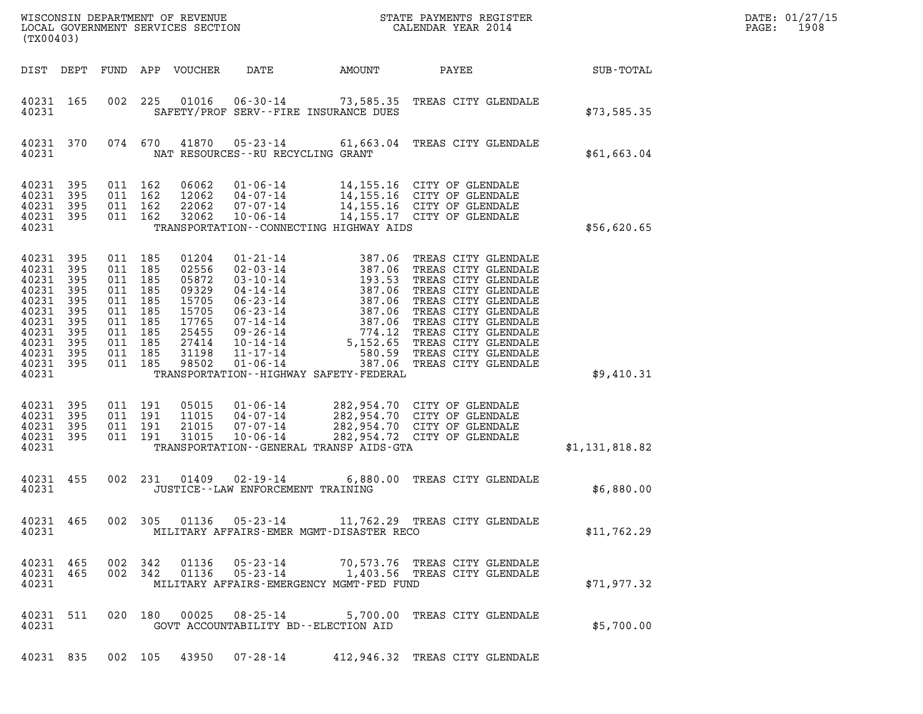| WISCONSIN DEPARTMENT OF REVENUE                               STATE PAYMENTS REGISTER LOCAL GOVERNMENT SERVICES SECTION                             CALENDAR YEAR 2014<br>LOCAL GOVERNMENT SERVICES SECTION<br>(TX00403)                                                                                                                                                                                                                                                                                                                                                                                                                                                                                                                                                                                                                                                                                                                                                                                    |                | DATE: 01/27/15<br>1908<br>PAGE: |
|-------------------------------------------------------------------------------------------------------------------------------------------------------------------------------------------------------------------------------------------------------------------------------------------------------------------------------------------------------------------------------------------------------------------------------------------------------------------------------------------------------------------------------------------------------------------------------------------------------------------------------------------------------------------------------------------------------------------------------------------------------------------------------------------------------------------------------------------------------------------------------------------------------------------------------------------------------------------------------------------------------------|----------------|---------------------------------|
| DATE<br>DIST DEPT<br>FUND APP VOUCHER<br>AMOUNT<br>PAYEE                                                                                                                                                                                                                                                                                                                                                                                                                                                                                                                                                                                                                                                                                                                                                                                                                                                                                                                                                    | SUB-TOTAL      |                                 |
| 40231 165<br>002<br>225<br>01016<br>06-30-14 73,585.35 TREAS CITY GLENDALE<br>40231<br>SAFETY/PROF SERV--FIRE INSURANCE DUES                                                                                                                                                                                                                                                                                                                                                                                                                                                                                                                                                                                                                                                                                                                                                                                                                                                                                | \$73,585.35    |                                 |
| 40231 370<br>074 670<br>41870<br>05-23-14 61,663.04 TREAS CITY GLENDALE<br>40231<br>NAT RESOURCES--RU RECYCLING GRANT                                                                                                                                                                                                                                                                                                                                                                                                                                                                                                                                                                                                                                                                                                                                                                                                                                                                                       | \$61,663.04    |                                 |
| 40231 395<br>011 162<br>06062<br>$01 - 06 - 14$<br>14,155.16 CITY OF GLENDALE<br>14,155.16 CITY OF GLENDALE<br>14,155.16 CITY OF GLENDALE<br>40231<br>395<br>011 162<br>12062<br>04-07-14<br>40231<br>395<br>011 162<br>22062<br>07-07-14<br>14,155.17 CITY OF GLENDALE<br>40231 395<br>011 162<br>32062<br>$10 - 06 - 14$<br>40231<br>TRANSPORTATION - - CONNECTING HIGHWAY AIDS                                                                                                                                                                                                                                                                                                                                                                                                                                                                                                                                                                                                                           | \$56,620.65    |                                 |
| 40231<br>395<br>011 185<br>01204<br>01-21-14<br>02-03-14<br>03-10-14<br>03-10-14<br>04-14-14<br>06-23-14<br>06-23-14<br>07-14-14<br>09-26-14<br>09-26-14<br>10-14-14<br>09-26-14<br>09-26-14<br>09-26-14<br>09-26-14<br>09-26-14<br>09-26-14<br>09-26-14<br>09-26-14<br>01-06-14<br>05-14<br>05-14<br>05-15<br>0<br>TREAS CITY GLENDALE<br>40231 395<br>TREAS CITY GLENDALE<br>011 185<br>02556<br>40231<br>TREAS CITY GLENDALE<br>395<br>011 185<br>05872<br>011 185<br>40231<br>395<br>09329<br>TREAS CITY GLENDALE<br>TREAS CITY GLENDALE<br>40231<br>395<br>011 185<br>15705<br>TREAS CITY GLENDALE<br>40231 395<br>011 185<br>15705<br>TREAS CITY GLENDALE<br>40231<br>395<br>011 185<br>17765<br>40231<br>395<br>011 185<br>25455<br>TREAS CITY GLENDALE<br>TREAS CITY GLENDALE<br>40231<br>395<br>011 185<br>27414<br>40231 395<br>011 185<br>31198<br>TREAS CITY GLENDALE<br>TREAS CITY GLENDALE<br>40231 395<br>011 185<br>98502<br>387.06<br>40231<br>TRANSPORTATION - - HIGHWAY SAFETY - FEDERAL | \$9,410.31     |                                 |
| 40231<br>395<br>011 191<br>05015<br>$01 - 06 - 14$<br>282,954.70 CITY OF GLENDALE<br>282,954.70 CITY OF GLENDALE<br>40231<br>395<br>011 191<br>11015<br>04-07-14<br>282,954.70 CITY OF GLENDALE<br>40231<br>011 191<br>21015<br>07-07-14<br>395<br>40231 395<br>011 191<br>31015<br>$10 - 06 - 14$<br>282,954.72 CITY OF GLENDALE<br>40231<br>TRANSPORTATION--GENERAL TRANSP AIDS-GTA                                                                                                                                                                                                                                                                                                                                                                                                                                                                                                                                                                                                                       | \$1,131,818.82 |                                 |
| 40231 455<br>002 231 01409<br>02-19-14<br>6,880.00 TREAS CITY GLENDALE<br>40231<br>JUSTICE - - LAW ENFORCEMENT TRAINING                                                                                                                                                                                                                                                                                                                                                                                                                                                                                                                                                                                                                                                                                                                                                                                                                                                                                     | \$6,880.00     |                                 |
| 002 305 01136<br>05-23-14 11,762.29 TREAS CITY GLENDALE<br>40231 465<br>40231<br>MILITARY AFFAIRS-EMER MGMT-DISASTER RECO                                                                                                                                                                                                                                                                                                                                                                                                                                                                                                                                                                                                                                                                                                                                                                                                                                                                                   | \$11,762.29    |                                 |
| 002 342 01136<br>05-23-14<br>40231 465<br>70,573.76 TREAS CITY GLENDALE<br>$05 - 23 - 14$<br>1,403.56 TREAS CITY GLENDALE<br>40231 465<br>002 342<br>01136<br>40231<br>MILITARY AFFAIRS-EMERGENCY MGMT-FED FUND                                                                                                                                                                                                                                                                                                                                                                                                                                                                                                                                                                                                                                                                                                                                                                                             | \$71,977.32    |                                 |
| 40231 511<br>020 180 00025<br>$08 - 25 - 14$<br>5,700.00 TREAS CITY GLENDALE<br>40231<br>GOVT ACCOUNTABILITY BD--ELECTION AID                                                                                                                                                                                                                                                                                                                                                                                                                                                                                                                                                                                                                                                                                                                                                                                                                                                                               | \$5,700.00     |                                 |
| 40231 835 002 105 43950 07-28-14 412,946.32 TREAS CITY GLENDALE                                                                                                                                                                                                                                                                                                                                                                                                                                                                                                                                                                                                                                                                                                                                                                                                                                                                                                                                             |                |                                 |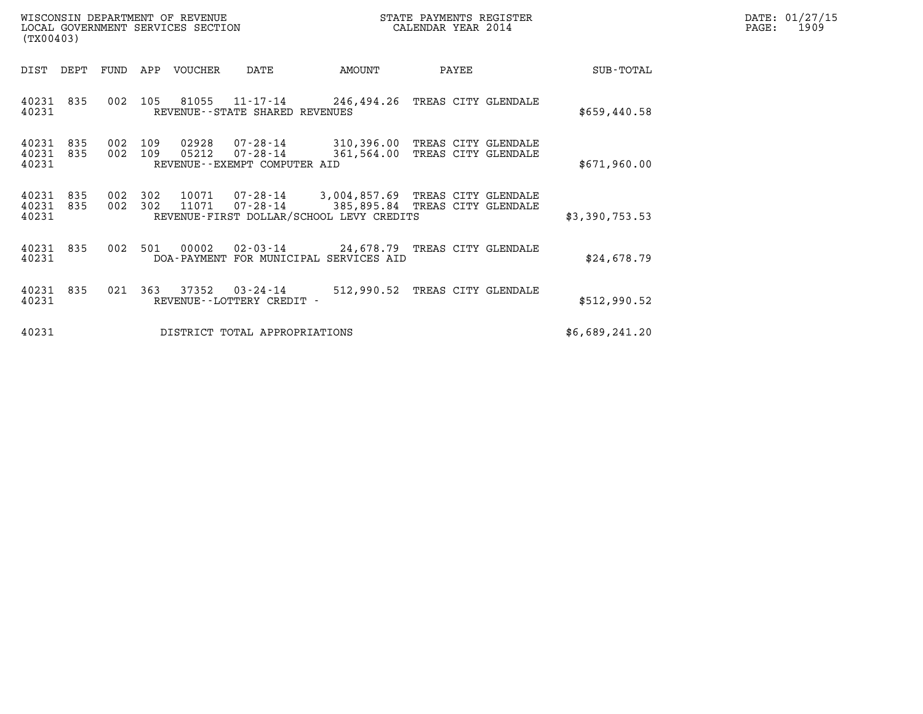| WISCONSIN DEPARTMENT OF REVENUE<br>STATE PAYMENTS REGISTER<br>LOCAL GOVERNMENT SERVICES SECTION<br>CALENDAR YEAR 2014<br>(TX00403) |            |                    |     |                |                                                                                                            |                                                                  |       |  |                | DATE: 01/27/15<br>$\mathtt{PAGE:}$<br>1909 |
|------------------------------------------------------------------------------------------------------------------------------------|------------|--------------------|-----|----------------|------------------------------------------------------------------------------------------------------------|------------------------------------------------------------------|-------|--|----------------|--------------------------------------------|
| DIST DEPT                                                                                                                          |            | FUND               |     | APP VOUCHER    | DATE                                                                                                       | AMOUNT                                                           | PAYEE |  | SUB-TOTAL      |                                            |
| 40231 835<br>40231                                                                                                                 |            | 002                | 105 |                | 81055 11-17-14<br>REVENUE--STATE SHARED REVENUES                                                           | 246,494.26 TREAS CITY GLENDALE                                   |       |  | \$659,440.58   |                                            |
| 40231<br>40231<br>40231                                                                                                            | 835<br>835 | 002 109<br>002 109 |     | 02928<br>05212 | 07-28-14<br>07-28-14<br>REVENUE--EXEMPT COMPUTER AID                                                       | 310,396.00 TREAS CITY GLENDALE<br>361,564.00 TREAS CITY GLENDALE |       |  | \$671,960.00   |                                            |
| 40231<br>40231<br>40231                                                                                                            | 835<br>835 | 002 302<br>002 302 |     | 11071          | 10071  07-28-14  3,004,857.69  TREAS CITY GLENDALE<br>07-28-14<br>REVENUE-FIRST DOLLAR/SCHOOL LEVY CREDITS | 385,895.84 TREAS CITY GLENDALE                                   |       |  | \$3,390,753.53 |                                            |
| 40231<br>40231                                                                                                                     | 835        | 002 501            |     | 00002          | 02-03-14 24,678.79 TREAS CITY GLENDALE<br>DOA-PAYMENT FOR MUNICIPAL SERVICES AID                           |                                                                  |       |  | \$24,678.79    |                                            |
| 40231<br>40231                                                                                                                     | 835        | 021                | 363 |                | 37352 03-24-14<br>REVENUE--LOTTERY CREDIT -                                                                | 512,990.52 TREAS CITY GLENDALE                                   |       |  | \$512,990.52   |                                            |
| 40231                                                                                                                              |            |                    |     |                | DISTRICT TOTAL APPROPRIATIONS                                                                              |                                                                  |       |  | \$6,689,241.20 |                                            |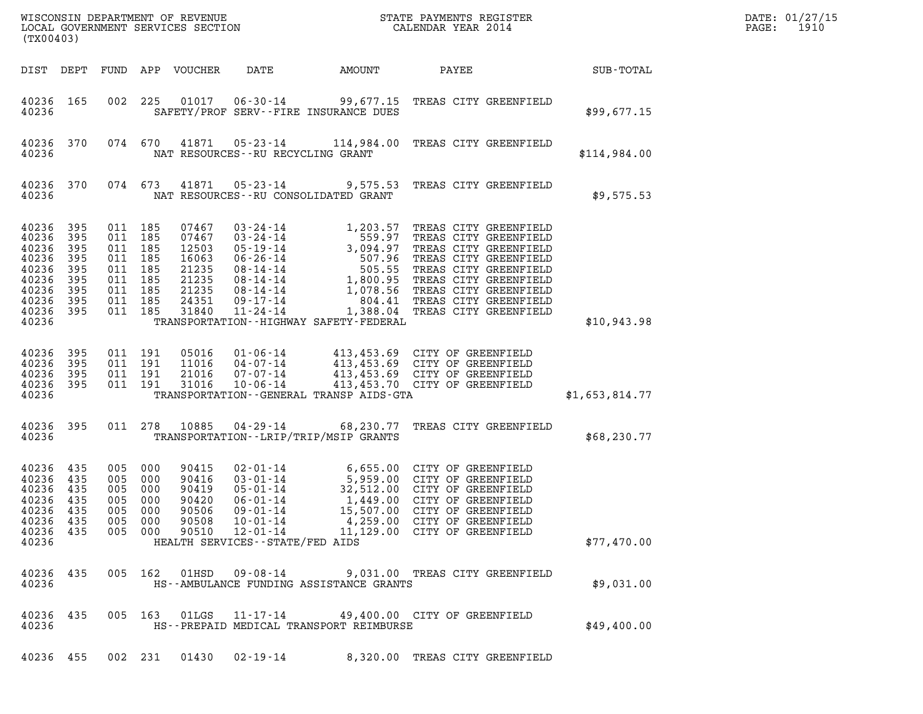| (TX00403)                                                                                  |                                                      |                                                                                                 |                               | $\tt WISCONSIM DEPARTMENT OF REVENUE$ $\tt WISCONSIMENT$ SERVICES SECTION $\tt WISCONERNMENT$ SERVICES SECTION $\tt CALENDAR$ YEAR 2014 |                                                                                                               | DATE: 01/27/15<br>PAGE:<br>1910             |                                                                                                                                                                                                                                                                                        |                |  |
|--------------------------------------------------------------------------------------------|------------------------------------------------------|-------------------------------------------------------------------------------------------------|-------------------------------|-----------------------------------------------------------------------------------------------------------------------------------------|---------------------------------------------------------------------------------------------------------------|---------------------------------------------|----------------------------------------------------------------------------------------------------------------------------------------------------------------------------------------------------------------------------------------------------------------------------------------|----------------|--|
| DIST DEPT                                                                                  |                                                      |                                                                                                 |                               | FUND APP VOUCHER                                                                                                                        | DATE                                                                                                          | AMOUNT                                      | PAYEE                                                                                                                                                                                                                                                                                  | SUB-TOTAL      |  |
| 40236 165<br>40236                                                                         |                                                      | 002                                                                                             | 225                           | 01017                                                                                                                                   |                                                                                                               | SAFETY/PROF SERV--FIRE INSURANCE DUES       | 06-30-14 99,677.15 TREAS CITY GREENFIELD                                                                                                                                                                                                                                               | \$99,677.15    |  |
| 40236 370<br>40236                                                                         |                                                      |                                                                                                 | 074 670                       |                                                                                                                                         | NAT RESOURCES--RU RECYCLING GRANT                                                                             |                                             | 41871  05-23-14  114,984.00  TREAS CITY GREENFIELD                                                                                                                                                                                                                                     | \$114,984.00   |  |
| 40236 370<br>40236                                                                         |                                                      |                                                                                                 | 074 673                       | 41871                                                                                                                                   |                                                                                                               | NAT RESOURCES - - RU CONSOLIDATED GRANT     | 05-23-14 9,575.53 TREAS CITY GREENFIELD                                                                                                                                                                                                                                                | \$9,575.53     |  |
| 40236<br>40236<br>40236<br>40236<br>40236<br>40236<br>40236<br>40236<br>40236 395<br>40236 | 395<br>395<br>395<br>395<br>395<br>395<br>395<br>395 | 011 185<br>011 185<br>011 185<br>011 185<br>011 185<br>011 185<br>011 185<br>011 185<br>011 185 |                               | 07467<br>07467<br>12503<br>16063<br>21235<br>21235<br>21235<br>24351<br>31840                                                           | $11 - 24 - 14$                                                                                                | TRANSPORTATION - - HIGHWAY SAFETY - FEDERAL | 03-24-14<br>03-24-14<br>559.97 TREAS CITY GREENFIELD<br>05-19-14<br>3,094.97 TREAS CITY GREENFIELD<br>06-26-14<br>507.96 TREAS CITY GREENFIELD<br>08-14-14<br>1,800.95 TREAS CITY GREENFIELD<br>08-14-14<br>1,078.56 TREAS CITY GREENFIELD<br>09-17-<br>1,388.04 TREAS CITY GREENFIELD | \$10,943.98    |  |
| 40236<br>40236<br>40236<br>40236<br>40236                                                  | 395<br>395<br>395<br>395                             | 011 191                                                                                         | 011 191<br>011 191<br>011 191 | 05016<br>11016<br>21016<br>31016                                                                                                        |                                                                                                               | TRANSPORTATION--GENERAL TRANSP AIDS-GTA     | 01-06-14 413,453.69 CITY OF GREENFIELD<br>04-07-14 413,453.69 CITY OF GREENFIELD<br>07-07-14 413,453.69 CITY OF GREENFIELD<br>10-06-14 413,453.70 CITY OF GREENFIELD<br>413,453.70 CITY OF GREENFIELD                                                                                  | \$1,653,814.77 |  |
| 40236<br>40236                                                                             | 395                                                  | 011 278                                                                                         |                               | 10885                                                                                                                                   |                                                                                                               | TRANSPORTATION - - LRIP/TRIP/MSIP GRANTS    | 04-29-14 68,230.77 TREAS CITY GREENFIELD                                                                                                                                                                                                                                               | \$68,230.77    |  |
| 40236<br>40236<br>40236<br>40236<br>40236<br>40236 435<br>40236 435<br>40236               | 435<br>435<br>435<br>435<br>435                      | 005 000<br>005 000<br>005<br>005 000<br>005 000<br>005 000<br>005 000                           | 000                           | 90415<br>90416<br>90419<br>90420<br>90506<br>90508<br>90510                                                                             | $05 - 01 - 14$<br>$06 - 01 - 14$<br>09-01-14<br>$10 - 01 - 14$<br>12-01-14<br>HEALTH SERVICES--STATE/FED AIDS |                                             | 02-01-14 6,655.00 CITY OF GREENFIELD<br>03-01-14 5,959.00 CITY OF GREENFIELD<br>05-01-14 32,512.00 CITY OF GREENFIELD<br>32,512.00 CITY OF GREENFIELD<br>1,449.00 CITY OF GREENFIELD<br>15,507.00 CITY OF GREENFIELD<br>4,259.00 CITY OF GREENFIELD<br>11,129.00 CITY OF GREENFIELD    | \$77,470.00    |  |
| 40236 435<br>40236                                                                         |                                                      |                                                                                                 | 005 162                       | 01HSD                                                                                                                                   | 09-08-14                                                                                                      | HS--AMBULANCE FUNDING ASSISTANCE GRANTS     | 9,031.00 TREAS CITY GREENFIELD                                                                                                                                                                                                                                                         | \$9,031.00     |  |
| 40236 435<br>40236                                                                         |                                                      |                                                                                                 | 005 163                       | 01LGS                                                                                                                                   | 11-17-14                                                                                                      | HS--PREPAID MEDICAL TRANSPORT REIMBURSE     | 49,400.00 CITY OF GREENFIELD                                                                                                                                                                                                                                                           | \$49,400.00    |  |
| 40236 455                                                                                  |                                                      |                                                                                                 | 002 231                       | 01430                                                                                                                                   | $02 - 19 - 14$                                                                                                |                                             | 8,320.00 TREAS CITY GREENFIELD                                                                                                                                                                                                                                                         |                |  |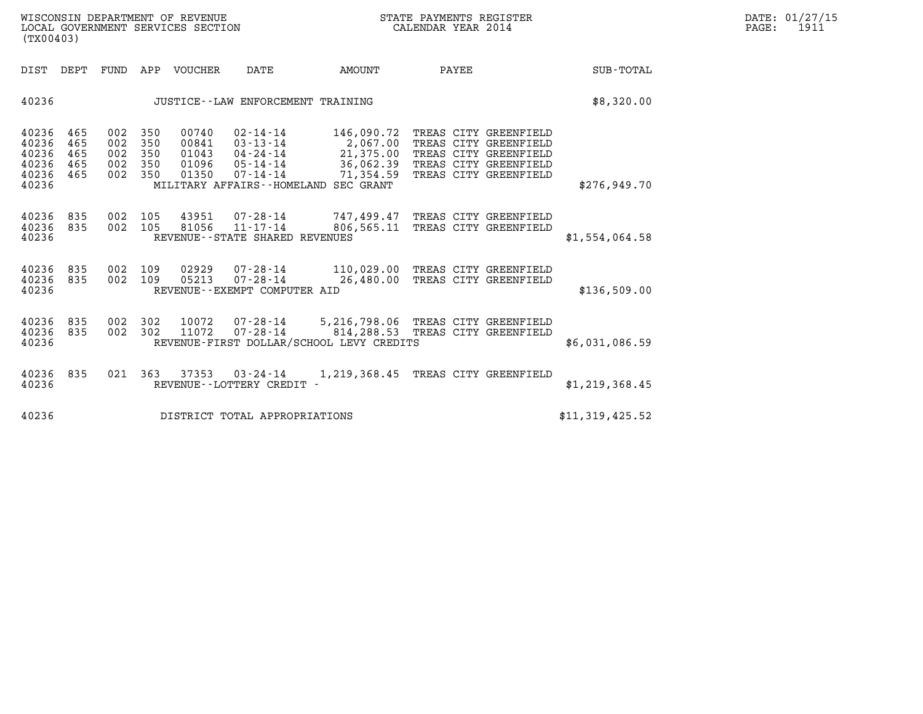| WISCONSIN DEPARTMENT OF REVENUE<br>LOCAL GOVERNMENT SERVICES SECTION<br>(TX00403) | STATE PAYMENTS REGISTER<br>CALENDAR YEAR 2014 | DATE: 01/27/15<br>1911<br>PAGE: |
|-----------------------------------------------------------------------------------|-----------------------------------------------|---------------------------------|

| (TX00403)                                          |                                 |                                 |                                 |                                           |                                                                      |                                                                                                                             |                                 |                                                                                                  |                  |  |
|----------------------------------------------------|---------------------------------|---------------------------------|---------------------------------|-------------------------------------------|----------------------------------------------------------------------|-----------------------------------------------------------------------------------------------------------------------------|---------------------------------|--------------------------------------------------------------------------------------------------|------------------|--|
| DIST                                               | DEPT                            | FUND                            | APP                             | <b>VOUCHER</b>                            | DATE                                                                 | AMOUNT                                                                                                                      | PAYEE                           |                                                                                                  | <b>SUB-TOTAL</b> |  |
| 40236                                              |                                 |                                 |                                 |                                           | JUSTICE - - LAW ENFORCEMENT TRAINING                                 |                                                                                                                             |                                 |                                                                                                  | \$8,320.00       |  |
| 40236<br>40236<br>40236<br>40236<br>40236<br>40236 | 465<br>465<br>465<br>465<br>465 | 002<br>002<br>002<br>002<br>002 | 350<br>350<br>350<br>350<br>350 | 00740<br>00841<br>01043<br>01096<br>01350 | 02-14-14<br>$03 - 13 - 14$<br>$04 - 24 - 14$<br>05-14-14<br>07-14-14 | 146,090.72<br>2,067.00<br>21,375.00<br>36,062.39<br>MILITARY AFFAIRS--HOMELAND SEC GRANT                                    | 71,354.59 TREAS CITY GREENFIELD | TREAS CITY GREENFIELD<br>TREAS CITY GREENFIELD<br>TREAS CITY GREENFIELD<br>TREAS CITY GREENFIELD | \$276,949.70     |  |
| 40236<br>40236<br>40236                            | 835<br>835                      | 002<br>002                      | 105<br>105                      | 43951<br>81056                            | 07-28-14<br>11-17-14<br>REVENUE - - STATE SHARED REVENUES            | 747,499.47 TREAS CITY GREENFIELD<br>806,565.11                                                                              |                                 | TREAS CITY GREENFIELD                                                                            | \$1,554,064.58   |  |
| 40236<br>40236<br>40236                            | 835<br>835                      | 002<br>002                      | 109<br>109                      | 02929<br>05213                            | $07 - 28 - 14$<br>$07 - 28 - 14$<br>REVENUE--EXEMPT COMPUTER AID     | 110,029.00 TREAS CITY GREENFIELD                                                                                            | 26,480.00 TREAS CITY GREENFIELD |                                                                                                  | \$136,509.00     |  |
| 40236<br>40236<br>40236                            | 835<br>835                      | 002<br>002                      | 302<br>302                      | 10072<br>11072                            | 07-28-14                                                             | 07-28-14 5,216,798.06 TREAS CITY GREENFIELD<br>814,288.53 TREAS CITY GREENFIELD<br>REVENUE-FIRST DOLLAR/SCHOOL LEVY CREDITS |                                 |                                                                                                  | \$6,031,086.59   |  |
| 40236<br>40236                                     | 835                             | 021                             | 363                             | 37353                                     | $03 - 24 - 14$<br>REVENUE - - LOTTERY CREDIT -                       | 1,219,368.45 TREAS CITY GREENFIELD                                                                                          |                                 |                                                                                                  | \$1, 219, 368.45 |  |
| 40236                                              |                                 |                                 |                                 |                                           | DISTRICT TOTAL APPROPRIATIONS                                        |                                                                                                                             |                                 |                                                                                                  | \$11,319,425.52  |  |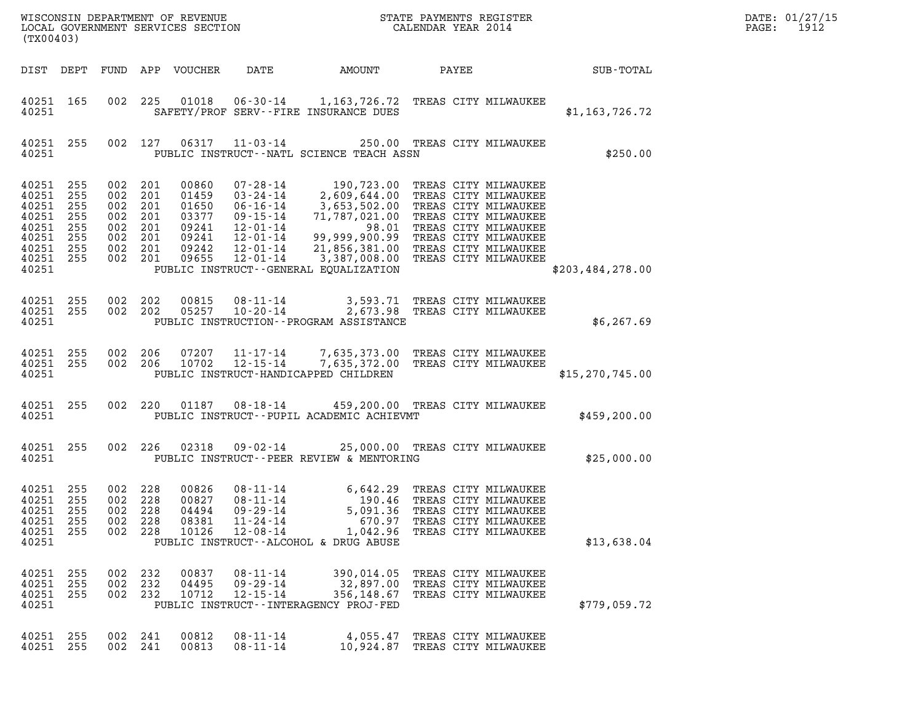| DATE: | 01/27/15 |
|-------|----------|
| PAGE: | 1912     |

| (TX00403)                                                                             |                                        |                                                   |                                                   |                                                                      |                                                                                              | ${\tt WISCOONSIM} \begin{tabular}{lcccc} \texttt{WE} & \texttt{R1} & \texttt{R1} & \texttt{R2} & \texttt{R3} \\ \texttt{N1} & \texttt{S2} & \texttt{S3} & \texttt{R4} & \texttt{R5} \\ \texttt{N2} & \texttt{A1} & \texttt{B2} & \texttt{B3} & \texttt{S4} & \texttt{R5} \\ \texttt{N3} & \texttt{S4} & \texttt{S5} & \texttt{S5} & \texttt{S6} & \texttt{S6} \\ \texttt{N4} & \texttt{N5} & \texttt{N6} & \texttt{$                                                                                                                                         |       |                                                                                                     |                                               | DATE: 01/27/15<br>PAGE:<br>1912 |
|---------------------------------------------------------------------------------------|----------------------------------------|---------------------------------------------------|---------------------------------------------------|----------------------------------------------------------------------|----------------------------------------------------------------------------------------------|--------------------------------------------------------------------------------------------------------------------------------------------------------------------------------------------------------------------------------------------------------------------------------------------------------------------------------------------------------------------------------------------------------------------------------------------------------------------------------------------------------------------------------------------------------------|-------|-----------------------------------------------------------------------------------------------------|-----------------------------------------------|---------------------------------|
| DIST DEPT                                                                             |                                        |                                                   |                                                   | FUND APP VOUCHER                                                     | DATE                                                                                         | <b>AMOUNT</b>                                                                                                                                                                                                                                                                                                                                                                                                                                                                                                                                                | PAYEE |                                                                                                     | $\operatorname{SUB}$ - $\operatorname{TOTAL}$ |                                 |
| 40251 165<br>40251                                                                    |                                        | 002                                               |                                                   |                                                                      |                                                                                              | 225  01018  06-30-14  1,163,726.72  TREAS CITY MILWAUKEE<br>SAFETY/PROF SERV--FIRE INSURANCE DUES                                                                                                                                                                                                                                                                                                                                                                                                                                                            |       |                                                                                                     | \$1,163,726.72                                |                                 |
| 40251 255<br>40251                                                                    |                                        |                                                   |                                                   |                                                                      |                                                                                              | 002 127 06317 11-03-14 250.00 TREAS CITY MILWAUKEE<br>PUBLIC INSTRUCT--NATL SCIENCE TEACH ASSN                                                                                                                                                                                                                                                                                                                                                                                                                                                               |       |                                                                                                     | \$250.00                                      |                                 |
| 40251<br>40251<br>40251<br>40251<br>40251<br>40251<br>40251 255<br>40251 255<br>40251 | 255<br>255<br>255<br>255<br>255<br>255 | 002<br>002<br>002<br>002<br>002<br>002<br>002 201 | 201<br>201<br>201<br>201<br>002 201<br>201<br>201 | 00860<br>01459<br>01650<br>03377<br>09241<br>09241<br>09242<br>09655 | $07 - 28 - 14$<br>$03 - 24 - 14$<br>$06 - 16 - 14$<br>09-15-14<br>12-01-14<br>$12 - 01 - 14$ | 190,723.00 TREAS CITY MILWAUKEE<br>2,609,644.00 TREAS CITY MILWAUKEE<br>3,653,502.00 TREAS CITY MILWAUKEE<br>71,787,021.00 TREAS CITY MILWAUKEE<br>and the first state of the state of the state of the state of the state of the state of the state of the state of the state of the state of the state of the state of the state of the state of the state of the state of the<br>12-01-14 99,999,900.99 TREAS CITY MILWAUKEE<br>12-01-14 21,856,381.00 TREAS CITY MILWAUKEE<br>3,387,008.00 TREAS CITY MILWAUKEE<br>PUBLIC INSTRUCT--GENERAL EQUALIZATION |       | 98.01 TREAS CITY MILWAUKEE                                                                          | \$203,484,278.00                              |                                 |
| 40251 255<br>40251 255<br>40251                                                       |                                        | 002 202                                           | 002 202                                           | 00815<br>05257                                                       |                                                                                              | 08-11-14 3,593.71 TREAS CITY MILWAUKEE<br>10-20-14 2,673.98 TREAS CITY MILWAUKEE<br>PUBLIC INSTRUCTION--PROGRAM ASSISTANCE                                                                                                                                                                                                                                                                                                                                                                                                                                   |       |                                                                                                     | \$6, 267.69                                   |                                 |
| 40251 255<br>40251 255<br>40251                                                       |                                        | 002 206                                           | 002 206                                           | 07207<br>10702                                                       | 11-17-14<br>$12 - 15 - 14$                                                                   | 7,635,373.00 TREAS CITY MILWAUKEE<br>7,635,372.00 TREAS CITY MILWAUKEE<br>PUBLIC INSTRUCT-HANDICAPPED CHILDREN                                                                                                                                                                                                                                                                                                                                                                                                                                               |       |                                                                                                     | \$15, 270, 745.00                             |                                 |
| 40251 255<br>40251                                                                    |                                        |                                                   | 002 220                                           |                                                                      |                                                                                              | 01187  08-18-14  459,200.00 TREAS CITY MILWAUKEE<br>PUBLIC INSTRUCT--PUPIL ACADEMIC ACHIEVMT                                                                                                                                                                                                                                                                                                                                                                                                                                                                 |       |                                                                                                     | \$459,200.00                                  |                                 |
| 40251 255<br>40251                                                                    |                                        | 002 226                                           |                                                   | 02318                                                                | $09 - 02 - 14$                                                                               | 25,000.00 TREAS CITY MILWAUKEE<br>PUBLIC INSTRUCT--PEER REVIEW & MENTORING                                                                                                                                                                                                                                                                                                                                                                                                                                                                                   |       |                                                                                                     | \$25,000.00                                   |                                 |
| 40251<br>40251 255<br>40251<br>40251<br>40251<br>40251                                | 255<br>255<br>255<br>255               | 002<br>002 228<br>002<br>002<br>002               | 228<br>228<br>228<br>228                          | 00826<br>00827<br>04494<br>08381<br>10126                            | $08 - 11 - 14$<br>$08 - 11 - 14$<br>$09 - 29 - 14$<br>$11 - 24 - 14$<br>$12 - 08 - 14$       | 6,642.29 TREAS CITY MILWAUKEE<br>5,091.36<br>670.97<br>1,042.96<br>PUBLIC INSTRUCT--ALCOHOL & DRUG ABUSE                                                                                                                                                                                                                                                                                                                                                                                                                                                     |       | 190.46 TREAS CITY MILWAUKEE<br>TREAS CITY MILWAUKEE<br>TREAS CITY MILWAUKEE<br>TREAS CITY MILWAUKEE | \$13,638.04                                   |                                 |
| 40251<br>40251<br>40251 255<br>40251                                                  | 255<br>255                             | 002<br>002<br>002 232                             | 232<br>232                                        | 00837<br>04495<br>10712                                              | $08 - 11 - 14$<br>$09 - 29 - 14$<br>$12 - 15 - 14$                                           | 390,014.05<br>32,897.00<br>356,148.67<br>PUBLIC INSTRUCT--INTERAGENCY PROJ-FED                                                                                                                                                                                                                                                                                                                                                                                                                                                                               |       | TREAS CITY MILWAUKEE<br>TREAS CITY MILWAUKEE<br>TREAS CITY MILWAUKEE                                | \$779,059.72                                  |                                 |
| 40251<br>40251                                                                        | 255<br>255                             | 002<br>002 241                                    | 241                                               | 00812<br>00813                                                       | $08 - 11 - 14$<br>$08 - 11 - 14$                                                             | 4,055.47<br>10,924.87                                                                                                                                                                                                                                                                                                                                                                                                                                                                                                                                        |       | TREAS CITY MILWAUKEE<br>TREAS CITY MILWAUKEE                                                        |                                               |                                 |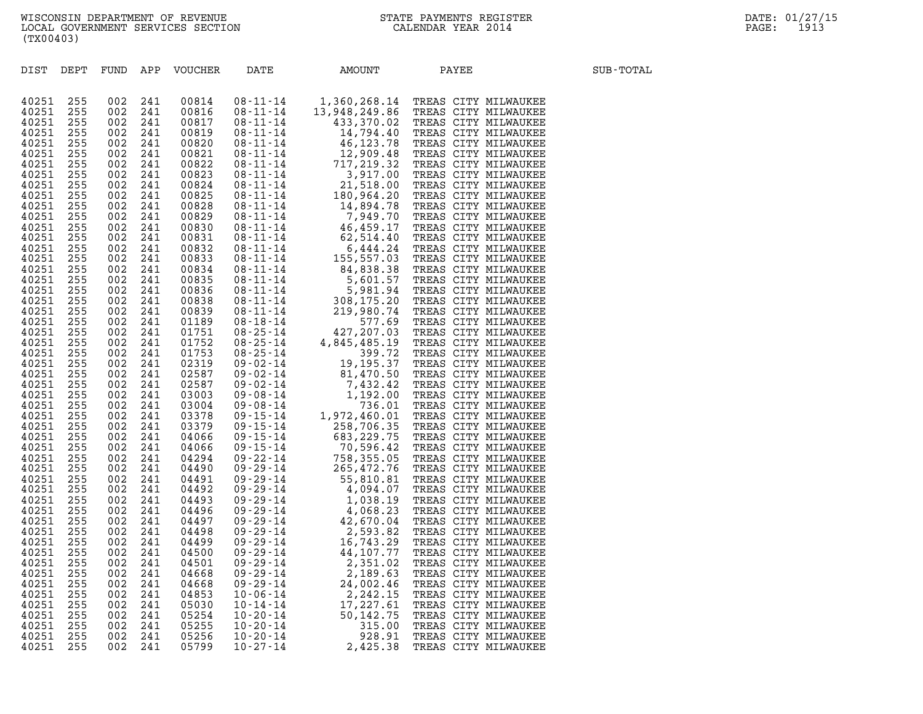| (TX00403)                                                                                                                                                                                                                                                                                                      |                                                                                                                                                                                                                                            |                                                                                                                                                                                                                                            |                                                                                                                                                                                                                                            |                                                                                                                                                                                                                                                                                                                |                                                                                                                                                                |                                                                                                         |                                                                                                                                                                                                                                          |           |
|----------------------------------------------------------------------------------------------------------------------------------------------------------------------------------------------------------------------------------------------------------------------------------------------------------------|--------------------------------------------------------------------------------------------------------------------------------------------------------------------------------------------------------------------------------------------|--------------------------------------------------------------------------------------------------------------------------------------------------------------------------------------------------------------------------------------------|--------------------------------------------------------------------------------------------------------------------------------------------------------------------------------------------------------------------------------------------|----------------------------------------------------------------------------------------------------------------------------------------------------------------------------------------------------------------------------------------------------------------------------------------------------------------|----------------------------------------------------------------------------------------------------------------------------------------------------------------|---------------------------------------------------------------------------------------------------------|------------------------------------------------------------------------------------------------------------------------------------------------------------------------------------------------------------------------------------------|-----------|
| $_{\tt DIST}$                                                                                                                                                                                                                                                                                                  | DEPT                                                                                                                                                                                                                                       | FUND                                                                                                                                                                                                                                       | APP                                                                                                                                                                                                                                        | VOUCHER                                                                                                                                                                                                                                                                                                        | DATE                                                                                                                                                           | AMOUNT                                                                                                  | PAYEE                                                                                                                                                                                                                                    | SUB-TOTAL |
| 40251<br>40251<br>40251<br>40251<br>40251<br>40251<br>40251<br>40251<br>40251<br>40251<br>40251<br>40251<br>40251<br>40251<br>40251<br>40251<br>40251<br>40251<br>40251<br>40251<br>40251<br>40251<br>40251<br>40251<br>40251<br>40251<br>40251<br>40251<br>40251<br>40251<br>40251<br>40251<br>40251<br>40251 | 255<br>255<br>255<br>255<br>255<br>255<br>255<br>255<br>255<br>255<br>255<br>255<br>255<br>255<br>255<br>255<br>255<br>255<br>255<br>255<br>255<br>255<br>255<br>255<br>255<br>255<br>255<br>255<br>255<br>255<br>255<br>255<br>255<br>255 | 002<br>002<br>002<br>002<br>002<br>002<br>002<br>002<br>002<br>002<br>002<br>002<br>002<br>002<br>002<br>002<br>002<br>002<br>002<br>002<br>002<br>002<br>002<br>002<br>002<br>002<br>002<br>002<br>002<br>002<br>002<br>002<br>002<br>002 | 241<br>241<br>241<br>241<br>241<br>241<br>241<br>241<br>241<br>241<br>241<br>241<br>241<br>241<br>241<br>241<br>241<br>241<br>241<br>241<br>241<br>241<br>241<br>241<br>241<br>241<br>241<br>241<br>241<br>241<br>241<br>241<br>241<br>241 | 00814<br>00816<br>00817<br>00819<br>00820<br>00821<br>00822<br>00823<br>00824<br>00825<br>00828<br>00829<br>00830<br>00831<br>00832<br>00833<br>00834<br>00835<br>00836<br>00838<br>00839<br>01189<br>01751<br>01752<br>01753<br>02319<br>02587<br>02587<br>03003<br>03004<br>03378<br>03379<br>04066<br>04066 |                                                                                                                                                                |                                                                                                         | RESERVE MINARON PRESS CITY MILMAUKEE 081-11-14<br>13,948,249,86 TREAS CITY MILMAUKEE 081-11-14<br>14,794,40 TREAS CITY MILMAUKEE 081-11-14<br>14,794,40 TREAS CITY MILMAUKEE 081-11-14<br>14,794,40 TREAS CITY MILMAUKEE 08-11-14<br>14, |           |
| 40251<br>40251<br>40251<br>40251<br>40251<br>40251<br>40251<br>40251<br>40251<br>40251<br>40251<br>40251<br>40251<br>40251<br>40251<br>40251<br>40251<br>40251<br>40251                                                                                                                                        | 255<br>255<br>255<br>255<br>255<br>255<br>255<br>255<br>255<br>255<br>255<br>255<br>255<br>255<br>255<br>255<br>255<br>255<br>255                                                                                                          | 002<br>002<br>002<br>002<br>002<br>002<br>002<br>002<br>002<br>002<br>002<br>002<br>002<br>002<br>002<br>002<br>002<br>002<br>002                                                                                                          | 241<br>241<br>241<br>241<br>241<br>241<br>241<br>241<br>241<br>241<br>241<br>241<br>241<br>241<br>241<br>241<br>241<br>241<br>241                                                                                                          | 04294<br>04490<br>04491<br>04492<br>04493<br>04496<br>04497<br>04498<br>04499<br>04500<br>04501<br>04668<br>04668<br>04853<br>05030<br>05254<br>05255<br>05256<br>05799                                                                                                                                        | $09 - 29 - 14$<br>$09 - 29 - 14$<br>$09 - 29 - 14$<br>$10 - 06 - 14$<br>$10 - 14 - 14$<br>$10 - 20 - 14$<br>$10 - 20 - 14$<br>$10 - 20 - 14$<br>$10 - 27 - 14$ | 2,351.02<br>2,189.63<br>24,002.46<br>2,242.15<br>17,227.61<br>50,142.75<br>315.00<br>928.91<br>2,425.38 | TREAS CITY MILWAUKEE<br>TREAS CITY MILWAUKEE<br>TREAS CITY MILWAUKEE<br>TREAS CITY MILWAUKEE<br>TREAS CITY MILWAUKEE<br>TREAS CITY MILWAUKEE<br>TREAS CITY MILWAUKEE<br>TREAS CITY MILWAUKEE<br>TREAS CITY MILWAUKEE                     |           |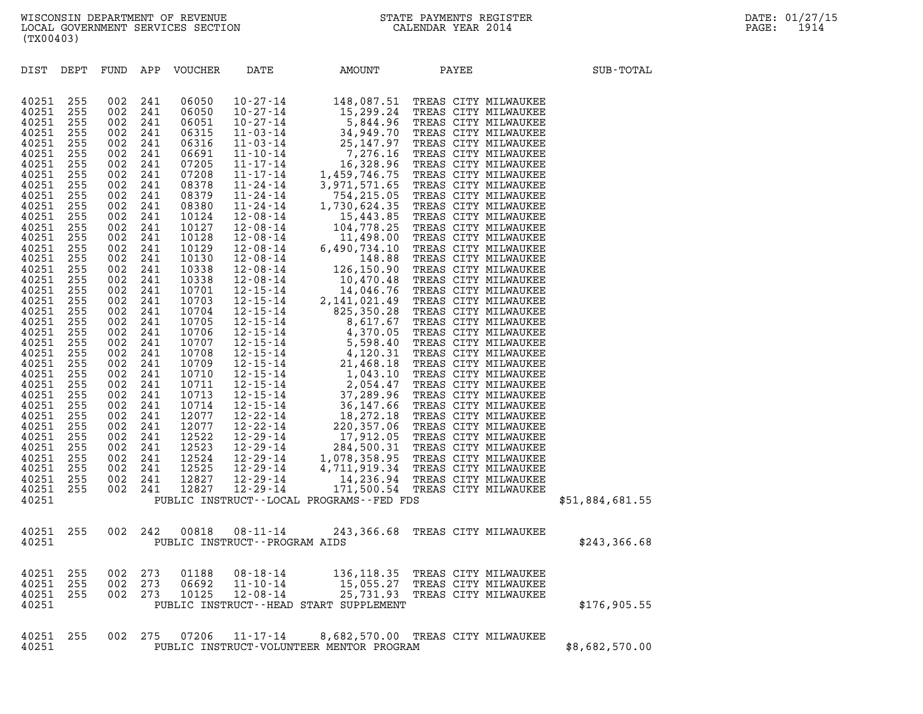| (TX00403)                                                                                                                                                                                                                                                                                                                                                   |                                                                                                                                                                                                                                                                        |                                                                                                                                                                                                                                                                        |                                                                                                                                                                                                                                                                        |                                                                                                                                                                                                                                                                                                                                                    |                                                                            |                                                                                                                                                  |                      |                 |  |
|-------------------------------------------------------------------------------------------------------------------------------------------------------------------------------------------------------------------------------------------------------------------------------------------------------------------------------------------------------------|------------------------------------------------------------------------------------------------------------------------------------------------------------------------------------------------------------------------------------------------------------------------|------------------------------------------------------------------------------------------------------------------------------------------------------------------------------------------------------------------------------------------------------------------------|------------------------------------------------------------------------------------------------------------------------------------------------------------------------------------------------------------------------------------------------------------------------|----------------------------------------------------------------------------------------------------------------------------------------------------------------------------------------------------------------------------------------------------------------------------------------------------------------------------------------------------|----------------------------------------------------------------------------|--------------------------------------------------------------------------------------------------------------------------------------------------|----------------------|-----------------|--|
| DIST                                                                                                                                                                                                                                                                                                                                                        | DEPT                                                                                                                                                                                                                                                                   | FUND APP                                                                                                                                                                                                                                                               |                                                                                                                                                                                                                                                                        | VOUCHER                                                                                                                                                                                                                                                                                                                                            | DATE                                                                       | AMOUNT                                                                                                                                           | PAYEE                | SUB-TOTAL       |  |
| 40251<br>40251<br>40251<br>40251<br>40251<br>40251<br>40251<br>40251<br>40251<br>40251<br>40251<br>40251<br>40251<br>40251<br>40251<br>40251<br>40251<br>40251<br>40251<br>40251<br>40251<br>40251<br>40251<br>40251<br>40251<br>40251<br>40251<br>40251<br>40251<br>40251<br>40251<br>40251<br>40251<br>40251<br>40251<br>40251<br>40251<br>40251<br>40251 | 255<br>255<br>255<br>255<br>255<br>255<br>255<br>255<br>255<br>255<br>255<br>255<br>255<br>255<br>255<br>255<br>255<br>255<br>255<br>255<br>255<br>255<br>255<br>255<br>255<br>255<br>255<br>255<br>255<br>255<br>255<br>255<br>255<br>255<br>255<br>255<br>255<br>255 | 002<br>002<br>002<br>002<br>002<br>002<br>002<br>002<br>002<br>002<br>002<br>002<br>002<br>002<br>002<br>002<br>002<br>002<br>002<br>002<br>002<br>002<br>002<br>002<br>002<br>002<br>002<br>002<br>002<br>002<br>002<br>002<br>002<br>002<br>002<br>002<br>002<br>002 | 241<br>241<br>241<br>241<br>241<br>241<br>241<br>241<br>241<br>241<br>241<br>241<br>241<br>241<br>241<br>241<br>241<br>241<br>241<br>241<br>241<br>241<br>241<br>241<br>241<br>241<br>241<br>241<br>241<br>241<br>241<br>241<br>241<br>241<br>241<br>241<br>241<br>241 | 06050<br>06050<br>06051<br>06315<br>06316<br>06691<br>07205<br>07208<br>08378<br>08379<br>08380<br>10124<br>10127<br>10128<br>10129<br>10130<br>10338<br>10338<br>10701<br>10703<br>10704<br>10705<br>10706<br>10707<br>10708<br>10709<br>10710<br>10711<br>10713<br>10714<br>12077<br>12077<br>12522<br>12523<br>12524<br>12525<br>12827<br>12827 | $10 - 27 - 14$<br>12-29-14<br>12-29-14<br>$12 - 29 - 14$<br>$12 - 29 - 14$ | 148,087.51 TREAS CITY MILWAUKEE<br>14,236.94 TREAS CITY MILWAUKEE<br>171,500.54 TREAS CITY MILWAUKEE<br>PUBLIC INSTRUCT--LOCAL PROGRAMS--FED FDS |                      | \$51,884,681.55 |  |
| 40251<br>40251                                                                                                                                                                                                                                                                                                                                              | 255                                                                                                                                                                                                                                                                    | 002                                                                                                                                                                                                                                                                    | 242                                                                                                                                                                                                                                                                    | 00818                                                                                                                                                                                                                                                                                                                                              | $08 - 11 - 14$<br>PUBLIC INSTRUCT - - PROGRAM AIDS                         | 243,366.68 TREAS CITY MILWAUKEE                                                                                                                  |                      | \$243,366.68    |  |
| 40251<br>40251<br>40251<br>40251                                                                                                                                                                                                                                                                                                                            | 255<br>255<br>255                                                                                                                                                                                                                                                      | 002<br>002<br>002                                                                                                                                                                                                                                                      | 273<br>273<br>273                                                                                                                                                                                                                                                      | 01188<br>06692<br>10125                                                                                                                                                                                                                                                                                                                            | 08-18-14<br>$11 - 10 - 14$<br>$12 - 08 - 14$                               | 136,118.35 TREAS CITY MILWAUKEE<br>15,055.27 TREAS CITY MILWAUKEE<br>25,731.93<br>PUBLIC INSTRUCT--HEAD START SUPPLEMENT                         | TREAS CITY MILWAUKEE | \$176,905.55    |  |
| 40251<br>40251                                                                                                                                                                                                                                                                                                                                              | 255                                                                                                                                                                                                                                                                    | 002                                                                                                                                                                                                                                                                    | 275                                                                                                                                                                                                                                                                    | 07206                                                                                                                                                                                                                                                                                                                                              | $11 - 17 - 14$                                                             | 8,682,570.00 TREAS CITY MILWAUKEE<br>PUBLIC INSTRUCT-VOLUNTEER MENTOR PROGRAM                                                                    |                      | \$8,682,570.00  |  |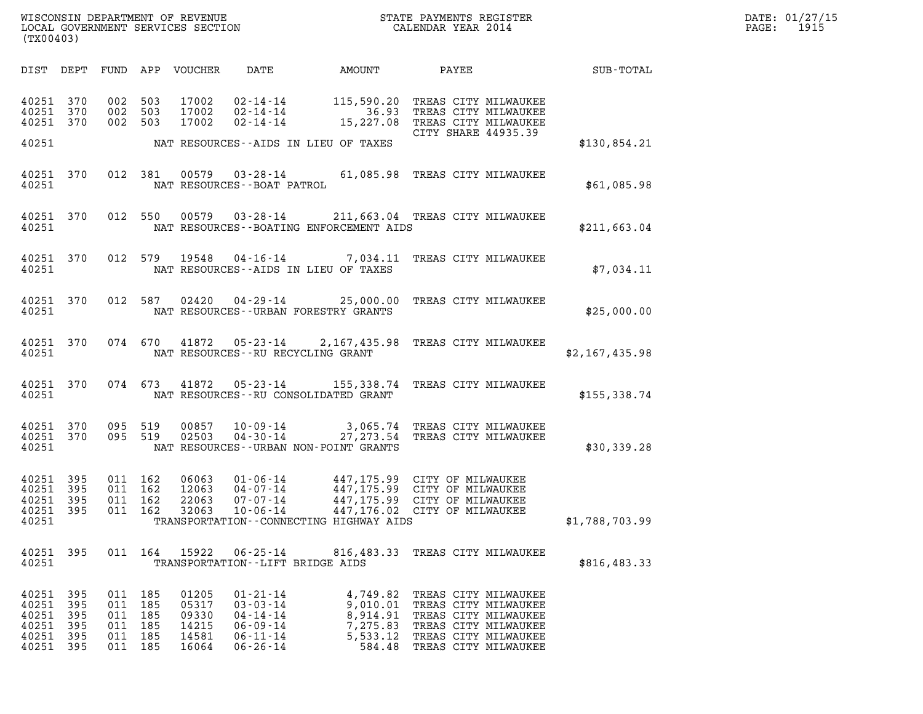| WISCONSIN DEPARTMENT OF REVENUE   | STATE PAYMENTS REGISTER | DATE: 01/27/15 |
|-----------------------------------|-------------------------|----------------|
| LOCAL GOVERNMENT SERVICES SECTION | CALENDAR YEAR 2014      | 1915<br>PAGE:  |

| (TX00403)                                                  |                          |                                                                |         |                                                    |                                                                                                          |                                               | WISCONSIN DEPARTMENT OF REVENUE<br>LOCAL GOVERNMENT SERVICES SECTION TERMS OF THE CALENDAR YEAR 2014                                                                |                | DATE: 01/27/15<br>PAGE: 1915 |
|------------------------------------------------------------|--------------------------|----------------------------------------------------------------|---------|----------------------------------------------------|----------------------------------------------------------------------------------------------------------|-----------------------------------------------|---------------------------------------------------------------------------------------------------------------------------------------------------------------------|----------------|------------------------------|
|                                                            |                          |                                                                |         |                                                    |                                                                                                          |                                               | DIST DEPT FUND APP VOUCHER DATE AMOUNT PAYEE TOTAL                                                                                                                  |                |                              |
| 40251 370<br>40251 370<br>40251 370                        |                          | 002 503<br>002 503<br>002 503                                  |         |                                                    |                                                                                                          |                                               | 17002 02-14-14 115,590.20 TREAS CITY MILWAUKEE<br>17002 02-14-14 36.93 TREAS CITY MILWAUKEE<br>17002 02-14-14 15,227.08 TREAS CITY MILWAUKEE<br>CITY SHARE 44935.39 |                |                              |
|                                                            |                          |                                                                |         |                                                    |                                                                                                          | 40251 NAT RESOURCES--AIDS IN LIEU OF TAXES    |                                                                                                                                                                     | \$130,854.21   |                              |
|                                                            |                          |                                                                |         |                                                    | 40251 NAT RESOURCES--BOAT PATROL                                                                         |                                               | 40251 370 012 381 00579 03-28-14 61,085.98 TREAS CITY MILWAUKEE                                                                                                     | \$61,085.98    |                              |
|                                                            |                          |                                                                |         |                                                    |                                                                                                          | 40251 NAT RESOURCES--BOATING ENFORCEMENT AIDS | 40251 370 012 550 00579 03-28-14 211,663.04 TREAS CITY MILWAUKEE                                                                                                    | \$211,663.04   |                              |
|                                                            |                          |                                                                |         |                                                    |                                                                                                          | 40251 NAT RESOURCES--AIDS IN LIEU OF TAXES    | 40251 370 012 579 19548 04-16-14 7,034.11 TREAS CITY MILWAUKEE                                                                                                      | \$7,034.11     |                              |
|                                                            |                          |                                                                |         |                                                    |                                                                                                          | 40251 NAT RESOURCES - URBAN FORESTRY GRANTS   | 40251 370 012 587 02420 04-29-14 25,000.00 TREAS CITY MILWAUKEE                                                                                                     | \$25,000.00    |                              |
|                                                            |                          |                                                                |         |                                                    | 40251 NAT RESOURCES--RU RECYCLING GRANT                                                                  |                                               | 40251 370 074 670 41872 05-23-14 2,167,435.98 TREAS CITY MILWAUKEE                                                                                                  | \$2,167,435.98 |                              |
|                                                            |                          |                                                                |         |                                                    |                                                                                                          |                                               | 40251 370 074 673 41872 05-23-14 155,338.74 TREAS CITY MILWAUKEE                                                                                                    | \$155,338.74   |                              |
| 40251 370<br>40251 370<br>40251                            |                          |                                                                |         |                                                    |                                                                                                          | NAT RESOURCES--URBAN NON-POINT GRANTS         | 095 519 00857 10-09-14 3,065.74 TREAS CITY MILWAUKEE<br>095 519 02503 04-30-14 27,273.54 TREAS CITY MILWAUKEE                                                       | \$30,339.28    |                              |
| 40251 395<br>40251 395<br>40251 395<br>40251 395<br>40251  |                          | 011 162<br>011 162<br>011 162                                  | 011 162 | 06063<br>12063<br>22063<br>32063                   |                                                                                                          | TRANSPORTATION -- CONNECTING HIGHWAY AIDS     | 01-06-14 447,175.99 CITY OF MILWAUKEE<br>04-07-14 447,175.99 CITY OF MILWAUKEE<br>07-07-14 447,175.99 CITY OF MILWAUKEE<br>10-06-14 447,176.02 CITY OF MILWAUKEE    | \$1,788,703.99 |                              |
| 40251 395<br>40251                                         |                          |                                                                |         |                                                    | TRANSPORTATION--LIFT BRIDGE AIDS                                                                         |                                               | 011 164 15922 06-25-14 816,483.33 TREAS CITY MILWAUKEE                                                                                                              | \$816,483.33   |                              |
| 40251<br>40251<br>40251<br>40251<br>40251 395<br>40251 395 | 395<br>395<br>395<br>395 | 011 185<br>011 185<br>011 185<br>011 185<br>011 185<br>011 185 |         | 01205<br>05317<br>09330<br>14215<br>14581<br>16064 | $01 - 21 - 14$<br>$03 - 03 - 14$<br>$04 - 14 - 14$<br>$06 - 09 - 14$<br>$06 - 11 - 14$<br>$06 - 26 - 14$ | 9,010.01<br>8,914.91<br>7,275.83<br>5,533.12  | 4,749.82 TREAS CITY MILWAUKEE<br>TREAS CITY MILWAUKEE<br>TREAS CITY MILWAUKEE<br>TREAS CITY MILWAUKEE<br>TREAS CITY MILWAUKEE<br>584.48 TREAS CITY MILWAUKEE        |                |                              |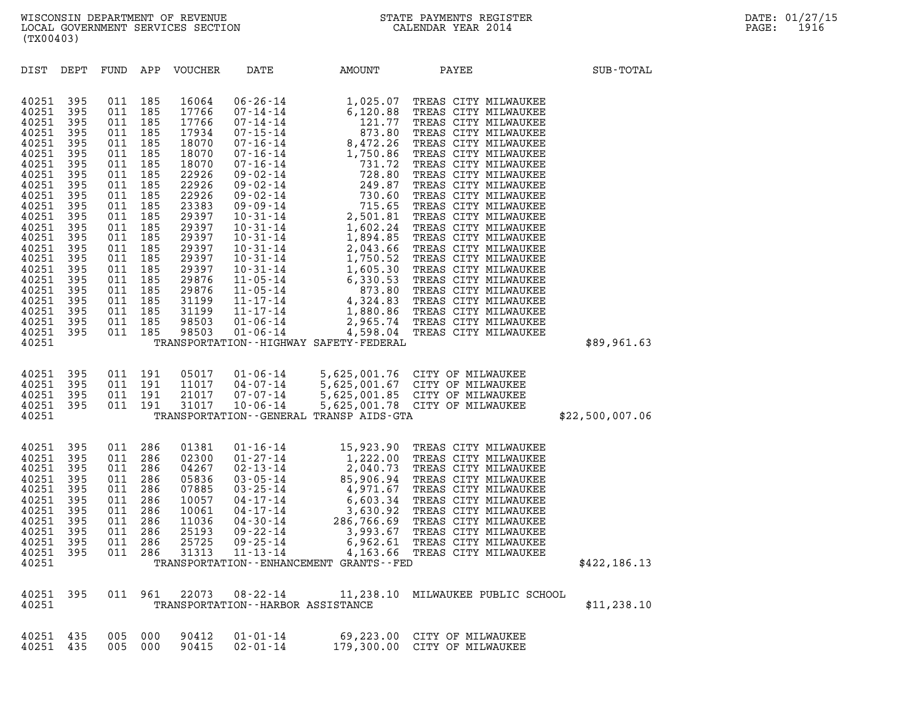| (TX00403)                                                                                                                                                                                                                                                                                                                                                                             |                                                                                                                                                                                                                                                                                                                                |                                                                                                                                                                                                                                                                                                                                                        |                                                                                                                                                                        |                                                                                                                                                                                                                                                                               |                 |
|---------------------------------------------------------------------------------------------------------------------------------------------------------------------------------------------------------------------------------------------------------------------------------------------------------------------------------------------------------------------------------------|--------------------------------------------------------------------------------------------------------------------------------------------------------------------------------------------------------------------------------------------------------------------------------------------------------------------------------|--------------------------------------------------------------------------------------------------------------------------------------------------------------------------------------------------------------------------------------------------------------------------------------------------------------------------------------------------------|------------------------------------------------------------------------------------------------------------------------------------------------------------------------|-------------------------------------------------------------------------------------------------------------------------------------------------------------------------------------------------------------------------------------------------------------------------------|-----------------|
| DIST<br>DEPT                                                                                                                                                                                                                                                                                                                                                                          | FUND<br>APP                                                                                                                                                                                                                                                                                                                    | VOUCHER<br>DATE                                                                                                                                                                                                                                                                                                                                        | AMOUNT                                                                                                                                                                 | PAYEE                                                                                                                                                                                                                                                                         | SUB-TOTAL       |
| 40251<br>395<br>40251<br>395<br>40251<br>395<br>40251<br>395<br>40251<br>395<br>40251<br>395<br>40251<br>395<br>40251<br>395<br>40251<br>395<br>40251<br>395<br>40251<br>395<br>40251<br>395<br>40251<br>395<br>40251<br>395<br>40251<br>395<br>40251<br>395<br>40251<br>395<br>40251<br>395<br>40251<br>395<br>40251<br>395<br>40251<br>395<br>40251<br>395<br>40251<br>395<br>40251 | 011<br>185<br>011<br>185<br>011<br>185<br>011<br>185<br>011<br>185<br>011<br>185<br>011<br>185<br>011<br>185<br>011<br>185<br>011<br>185<br>011<br>185<br>011<br>185<br>011<br>185<br>011<br>185<br>011<br>185<br>011<br>185<br>011<br>185<br>011<br>185<br>011<br>185<br>011<br>185<br>011<br>185<br>011<br>185<br>011<br>185 | 16064<br>17766<br>17766<br>17934<br>18070<br>18070<br>18070<br>22926<br>22926<br>22926<br>23383<br>29397<br>29397<br>29397<br>29397<br>29397<br>29397<br>29876<br>29876<br>$11 - 17 - 14$<br>31199<br>$11 - 17 - 14$<br>31199<br>98503<br>98503<br>TRANSPORTATION - - HIGHWAY SAFETY - FEDERAL                                                         |                                                                                                                                                                        |                                                                                                                                                                                                                                                                               | \$89,961.63     |
| 40251<br>395<br>40251<br>395<br>40251<br>395<br>40251<br>395<br>40251                                                                                                                                                                                                                                                                                                                 | 191<br>011<br>011<br>191<br>011<br>191<br>011<br>191                                                                                                                                                                                                                                                                           | 05017<br>$01 - 06 - 14$<br>11017<br>$04 - 07 - 14$<br>21017<br>$07 - 07 - 14$<br>31017<br>$10 - 06 - 14$<br>TRANSPORTATION - - GENERAL TRANSP AIDS-GTA                                                                                                                                                                                                 |                                                                                                                                                                        | 5,625,001.76 CITY OF MILWAUKEE<br>5,625,001.67 CITY OF MILWAUKEE<br>5,625,001.85 CITY OF MILWAUKEE<br>5,625,001.78 CITY OF MILWAUKEE                                                                                                                                          | \$22,500,007.06 |
| 40251<br>395<br>40251<br>395<br>40251<br>395<br>40251<br>395<br>395<br>40251<br>40251<br>395<br>40251<br>395<br>40251<br>395<br>40251<br>395<br>40251<br>395<br>395<br>40251<br>40251                                                                                                                                                                                                 | 011<br>286<br>011<br>286<br>011<br>286<br>011<br>286<br>011<br>286<br>011<br>286<br>011<br>286<br>011<br>286<br>011<br>286<br>011<br>286<br>011<br>286                                                                                                                                                                         | 01381<br>$01 - 16 - 14$<br>02300<br>$01 - 27 - 14$<br>04267<br>$02 - 13 - 14$<br>$03 - 05 - 14$<br>05836<br>07885<br>$03 - 25 - 14$<br>$04 - 17 - 14$<br>10057<br>10061<br>$04 - 17 - 14$<br>$04 - 30 - 14$<br>11036<br>$09 - 22 - 14$<br>25193<br>$09 - 25 - 14$<br>25725<br>31313<br>$11 - 13 - 14$<br>TRANSPORTATION - - ENHANCEMENT GRANTS - - FED | 15,923.90<br>$13,922.900$<br>$2,040.73$<br>$85,906.94$<br>$4,971.67$<br>$6,603.34$<br>$3,630.92$<br>$286,766.69$<br>$3,993.67$<br>$6,963.61$<br>$4,163.66$<br>4,163.66 | TREAS CITY MILWAUKEE<br>1,222.00 TREAS CITY MILWAUKEE<br>TREAS CITY MILWAUKEE<br>TREAS CITY MILWAUKEE<br>TREAS CITY MILWAUKEE<br>TREAS CITY MILWAUKEE<br>TREAS CITY MILWAUKEE<br>TREAS CITY MILWAUKEE<br>TREAS CITY MILWAUKEE<br>TREAS CITY MILWAUKEE<br>TREAS CITY MILWAUKEE | \$422,186.13    |
| 40251<br>395<br>40251                                                                                                                                                                                                                                                                                                                                                                 | 011<br>961                                                                                                                                                                                                                                                                                                                     | 22073<br>$08 - 22 - 14$<br>TRANSPORTATION--HARBOR ASSISTANCE                                                                                                                                                                                                                                                                                           |                                                                                                                                                                        | 11,238.10 MILWAUKEE PUBLIC SCHOOL                                                                                                                                                                                                                                             | \$11, 238.10    |
| 40251<br>435<br>40251<br>435                                                                                                                                                                                                                                                                                                                                                          | 005<br>000<br>005<br>000                                                                                                                                                                                                                                                                                                       | 90412<br>$01 - 01 - 14$<br>90415<br>$02 - 01 - 14$                                                                                                                                                                                                                                                                                                     |                                                                                                                                                                        | 69,223.00 CITY OF MILWAUKEE<br>179,300.00 CITY OF MILWAUKEE                                                                                                                                                                                                                   |                 |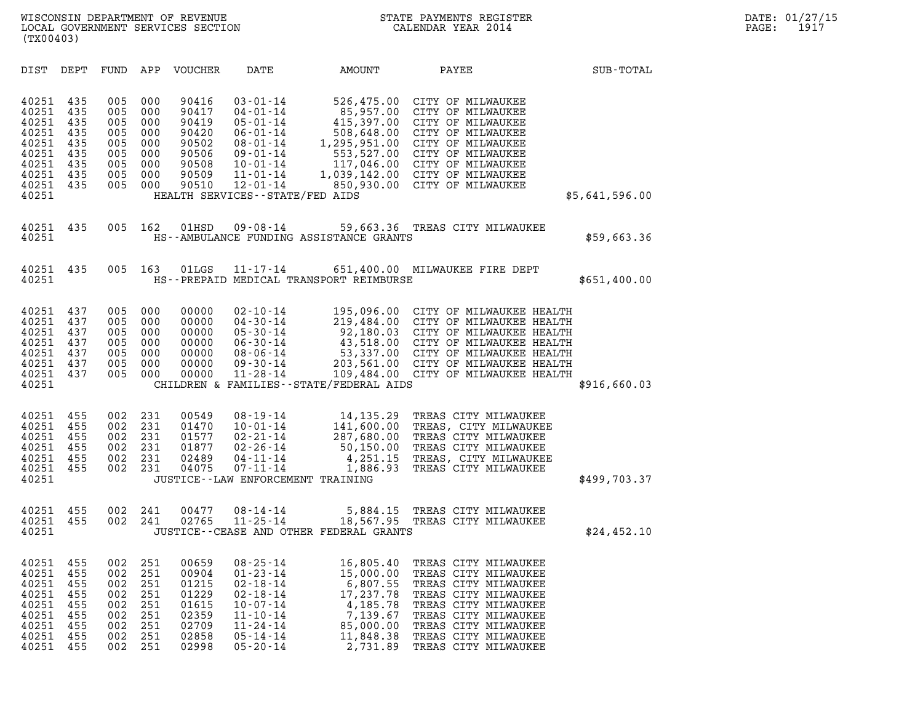| (TX00403)                                                                              |                                                             |                                                             |                                                             |                                                                               |                                                                                                                                                                                                      |                                                                                                                    |                                                                                                                                                                                                                                                                                                 |                  |
|----------------------------------------------------------------------------------------|-------------------------------------------------------------|-------------------------------------------------------------|-------------------------------------------------------------|-------------------------------------------------------------------------------|------------------------------------------------------------------------------------------------------------------------------------------------------------------------------------------------------|--------------------------------------------------------------------------------------------------------------------|-------------------------------------------------------------------------------------------------------------------------------------------------------------------------------------------------------------------------------------------------------------------------------------------------|------------------|
| DIST                                                                                   | DEPT                                                        | FUND                                                        | APP                                                         | VOUCHER                                                                       | DATE                                                                                                                                                                                                 | <b>AMOUNT</b>                                                                                                      | PAYEE                                                                                                                                                                                                                                                                                           | <b>SUB-TOTAL</b> |
| 40251<br>40251<br>40251<br>40251<br>40251<br>40251<br>40251<br>40251<br>40251<br>40251 | 435<br>435<br>435<br>435<br>435<br>435<br>435<br>435<br>435 | 005<br>005<br>005<br>005<br>005<br>005<br>005<br>005<br>005 | 000<br>000<br>000<br>000<br>000<br>000<br>000<br>000<br>000 | 90416<br>90417<br>90419<br>90420<br>90502<br>90506<br>90508<br>90509<br>90510 | $03 - 01 - 14$<br>$04 - 01 - 14$<br>$05 - 01 - 14$<br>$06 - 01 - 14$<br>$08 - 01 - 14$<br>$09 - 01 - 14$<br>$10 - 01 - 14$<br>$11 - 01 - 14$<br>$12 - 01 - 14$<br>HEALTH SERVICES - - STATE/FED AIDS |                                                                                                                    | 526,475.00 CITY OF MILWAUKEE<br>85,957.00 CITY OF MILWAUKEE<br>415,397.00 CITY OF MILWAUKEE<br>508,648.00 CITY OF MILWAUKEE<br>1,295,951.00 CITY OF MILWAUKEE<br>553,527.00 CITY OF MILWAUKEE<br>117,046.00 CITY OF MILWAUKEE<br>1,039,142.00 CITY OF MILWAUKEE<br>850,930.00 CITY OF MILWAUKEE | \$5,641,596.00   |
| 40251<br>40251                                                                         | 435                                                         | 005                                                         | 162                                                         | 01HSD                                                                         | $09 - 08 - 14$                                                                                                                                                                                       | HS--AMBULANCE FUNDING ASSISTANCE GRANTS                                                                            | 59,663.36 TREAS CITY MILWAUKEE                                                                                                                                                                                                                                                                  | \$59,663.36      |
| 40251<br>40251                                                                         | 435                                                         | 005                                                         | 163                                                         | 01LGS                                                                         | $11 - 17 - 14$                                                                                                                                                                                       | HS--PREPAID MEDICAL TRANSPORT REIMBURSE                                                                            | 651,400.00 MILWAUKEE FIRE DEPT                                                                                                                                                                                                                                                                  | \$651,400.00     |
| 40251<br>40251<br>40251<br>40251<br>40251<br>40251<br>40251<br>40251                   | 437<br>437<br>437<br>437<br>437<br>437<br>437               | 005<br>005<br>005<br>005<br>005<br>005<br>005               | 000<br>000<br>000<br>000<br>000<br>000<br>000               | 00000<br>00000<br>00000<br>00000<br>00000<br>00000<br>00000                   | $02 - 10 - 14$<br>$04 - 30 - 14$<br>$05 - 30 - 14$<br>$06 - 30 - 14$<br>$08 - 06 - 14$<br>$09 - 30 - 14$<br>$11 - 28 - 14$                                                                           | CHILDREN & FAMILIES - - STATE/FEDERAL AIDS                                                                         | 195,096.00 CITY OF MILWAUKEE HEALTH<br>219,484.00 CITY OF MILWAUKEE HEALTH<br>92,180.03 CITY OF MILWAUKEE HEALTH<br>43,518.00 CITY OF MILWAUKEE HEALTH<br>53,337.00 CITY OF MILWAUKEE HEALTH<br>203,561.00 CITY OF MILWAUKEE HEALTH<br>109,484.00 CITY OF MILWAUKEE HEALTH                      | \$916,660.03     |
| 40251<br>40251<br>40251<br>40251<br>40251<br>40251<br>40251                            | 455<br>455<br>455<br>455<br>455<br>455                      | 002<br>002<br>002<br>002<br>002<br>002                      | 231<br>231<br>231<br>231<br>231<br>231                      | 00549<br>01470<br>01577<br>01877<br>02489<br>04075                            | $08 - 19 - 14$<br>$10 - 01 - 14$<br>$02 - 21 - 14$<br>$02 - 26 - 14$<br>$04 - 11 - 14$<br>$07 - 11 - 14$                                                                                             | 14,135.29<br>141,600.00<br>287,680.00<br>50,150.00<br>4,251.15<br>1,886.93<br>JUSTICE - - LAW ENFORCEMENT TRAINING | TREAS CITY MILWAUKEE<br>TREAS, CITY MILWAUKEE<br>TREAS CITY MILWAUKEE<br>TREAS CITY MILWAUKEE<br>TREAS, CITY MILWAUKEE<br>TREAS CITY MILWAUKEE                                                                                                                                                  | \$499,703.37     |
| 40251<br>40251<br>40251                                                                | 455<br>455                                                  | 002<br>002                                                  | 241<br>241                                                  | 00477<br>02765                                                                | $08 - 14 - 14$<br>$11 - 25 - 14$                                                                                                                                                                     | JUSTICE -- CEASE AND OTHER FEDERAL GRANTS                                                                          | 5,884.15 TREAS CITY MILWAUKEE<br>18,567.95 TREAS CITY MILWAUKEE                                                                                                                                                                                                                                 | \$24,452.10      |
| 40251<br>40251<br>40251<br>40251<br>40251<br>40251<br>40251<br>40251<br>40251          | 455<br>455<br>455<br>455<br>455<br>455<br>455<br>455<br>455 | 002<br>002<br>002<br>002<br>002<br>002<br>002<br>002<br>002 | 251<br>251<br>251<br>251<br>251<br>251<br>251<br>251<br>251 | 00659<br>00904<br>01215<br>01229<br>01615<br>02359<br>02709<br>02858<br>02998 | $08 - 25 - 14$<br>$01 - 23 - 14$<br>$02 - 18 - 14$<br>$02 - 18 - 14$<br>$10 - 07 - 14$<br>$11 - 10 - 14$<br>$11 - 24 - 14$<br>$05 - 14 - 14$<br>$05 - 20 - 14$                                       | 16,805.40<br>15,000.00<br>6,807.55<br>17,237.78<br>4,185.78<br>7,139.67<br>85,000.00<br>11,848.38<br>2,731.89      | TREAS CITY MILWAUKEE<br>TREAS CITY MILWAUKEE<br>TREAS CITY MILWAUKEE<br>TREAS CITY MILWAUKEE<br>TREAS CITY MILWAUKEE<br>TREAS CITY MILWAUKEE<br>TREAS CITY MILWAUKEE<br>TREAS CITY MILWAUKEE<br>TREAS CITY MILWAUKEE                                                                            |                  |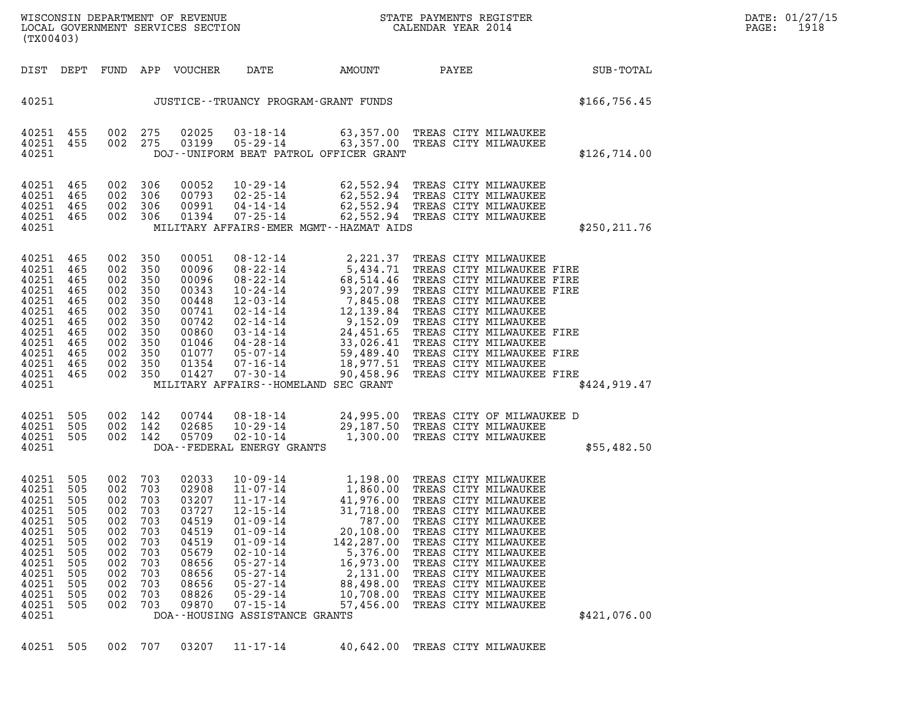|  | DA <sup>r</sup> |
|--|-----------------|
|  | PA <sub>0</sub> |

| (TX00403)                                                                                                                  |                                                                                         |                                                                                         |                                                                                         |                                                                                                                   |                                                                                                                                                                                                                                                                          |                                                                                                                                                                                              |                                                                                                                                                                                                                                                                                                                            |               |  |
|----------------------------------------------------------------------------------------------------------------------------|-----------------------------------------------------------------------------------------|-----------------------------------------------------------------------------------------|-----------------------------------------------------------------------------------------|-------------------------------------------------------------------------------------------------------------------|--------------------------------------------------------------------------------------------------------------------------------------------------------------------------------------------------------------------------------------------------------------------------|----------------------------------------------------------------------------------------------------------------------------------------------------------------------------------------------|----------------------------------------------------------------------------------------------------------------------------------------------------------------------------------------------------------------------------------------------------------------------------------------------------------------------------|---------------|--|
| DIST                                                                                                                       | DEPT                                                                                    | FUND                                                                                    | APP                                                                                     | VOUCHER                                                                                                           | DATE                                                                                                                                                                                                                                                                     | AMOUNT                                                                                                                                                                                       | PAYEE                                                                                                                                                                                                                                                                                                                      | SUB-TOTAL     |  |
| 40251                                                                                                                      |                                                                                         |                                                                                         |                                                                                         |                                                                                                                   |                                                                                                                                                                                                                                                                          | JUSTICE - - TRUANCY PROGRAM - GRANT FUNDS                                                                                                                                                    |                                                                                                                                                                                                                                                                                                                            | \$166, 756.45 |  |
| 40251<br>40251<br>40251                                                                                                    | 455<br>455                                                                              | 002<br>002                                                                              | 275<br>275                                                                              | 02025<br>03199                                                                                                    | $03 - 18 - 14$<br>$05 - 29 - 14$                                                                                                                                                                                                                                         | 63,357.00<br>63,357.00<br>DOJ--UNIFORM BEAT PATROL OFFICER GRANT                                                                                                                             | TREAS CITY MILWAUKEE<br>TREAS CITY MILWAUKEE                                                                                                                                                                                                                                                                               | \$126,714.00  |  |
| 40251<br>40251<br>40251<br>40251<br>40251                                                                                  | 465<br>465<br>465<br>465                                                                | 002<br>002<br>002<br>002                                                                | 306<br>306<br>306<br>306                                                                | 00052<br>00793<br>00991<br>01394                                                                                  | $10 - 29 - 14$<br>$02 - 25 - 14$<br>$04 - 14 - 14$<br>$07 - 25 - 14$                                                                                                                                                                                                     | 62,552.94<br>62,552.94<br>MILITARY AFFAIRS-EMER MGMT--HAZMAT AIDS                                                                                                                            | TREAS CITY MILWAUKEE<br>62,552.94 TREAS CITY MILWAUKEE<br>62,552.94 TREAS CITY MILWAUKEE<br>TREAS CITY MILWAUKEE                                                                                                                                                                                                           | \$250, 211.76 |  |
| 40251<br>40251<br>40251<br>40251<br>40251<br>40251<br>40251<br>40251<br>40251<br>40251<br>40251<br>40251<br>40251          | 465<br>465<br>465<br>465<br>465<br>465<br>465<br>465<br>465<br>465<br>465<br>465        | 002<br>002<br>002<br>002<br>002<br>002<br>002<br>002<br>002<br>002<br>002<br>002        | 350<br>350<br>350<br>350<br>350<br>350<br>350<br>350<br>350<br>350<br>350<br>350        | 00051<br>00096<br>00096<br>00343<br>00448<br>00741<br>00742<br>00860<br>01046<br>01077<br>01354<br>01427          | $08 - 12 - 14$<br>$08 - 22 - 14$<br>$08 - 22 - 14$<br>$10 - 24 - 14$<br>12-03-14<br>02-14-14<br>02-14-14<br>03-14-14<br>04-28-14<br>05-07-14<br>$07 - 16 - 14$<br>07-30-14                                                                                               | 2,221.37<br>5,434.71<br>68,514.46<br>93,207.99<br>7,845.08<br>12,139.84<br>9,152.09<br>24,451.65<br>33,026.41<br>59,489.40<br>18,977.51<br>90,458.96<br>MILITARY AFFAIRS--HOMELAND SEC GRANT | TREAS CITY MILWAUKEE<br>TREAS CITY MILWAUKEE FIRE<br>TREAS CITY MILWAUKEE FIRE<br>TREAS CITY MILWAUKEE FIRE<br>TREAS CITY MILWAUKEE<br>TREAS CITY MILWAUKEE<br>TREAS CITY MILWAUKEE<br>TREAS CITY MILWAUKEE FIRE<br>TREAS CITY MILWAUKEE<br>TREAS CITY MILWAUKEE FIRE<br>TREAS CITY MILWAUKEE<br>TREAS CITY MILWAUKEE FIRE | \$424,919.47  |  |
| 40251<br>40251<br>40251<br>40251                                                                                           | 505<br>505<br>505                                                                       | 002<br>002<br>002                                                                       | 142<br>142<br>142                                                                       | 00744<br>02685<br>05709                                                                                           | 08-18-14<br>$10 - 29 - 14$<br>$02 - 10 - 14$<br>DOA--FEDERAL ENERGY GRANTS                                                                                                                                                                                               | 1,300.00                                                                                                                                                                                     | 24,995.00 TREAS CITY OF MILWAUKEE D<br>29,187.50 TREAS CITY MILWAUKEE<br>1,300.00 TREAS CITY MILWAUKEE<br>TREAS CITY MILWAUKEE                                                                                                                                                                                             | \$55,482.50   |  |
| 40251<br>40251<br>40251<br>40251<br>40251<br>40251<br>40251<br>40251<br>40251<br>40251<br>40251<br>40251<br>40251<br>40251 | 505<br>505<br>505<br>505<br>505<br>505<br>505<br>505<br>505<br>505<br>505<br>505<br>505 | 002<br>002<br>002<br>002<br>002<br>002<br>002<br>002<br>002<br>002<br>002<br>002<br>002 | 703<br>703<br>703<br>703<br>703<br>703<br>703<br>703<br>703<br>703<br>703<br>703<br>703 | 02033<br>02908<br>03207<br>03727<br>04519<br>04519<br>04519<br>05679<br>08656<br>08656<br>08656<br>08826<br>09870 | $10 - 09 - 14$<br>$11 - 07 - 14$<br>$11 - 17 - 14$<br>$12 - 15 - 14$<br>$01 - 09 - 14$<br>$01 - 09 - 14$<br>$01 - 09 - 14$<br>$02 - 10 - 14$<br>$05 - 27 - 14$<br>$05 - 27 - 14$<br>$05 - 27 - 14$<br>$05 - 29 - 14$<br>$07 - 15 - 14$<br>DOA--HOUSING ASSISTANCE GRANTS | 1,198.00<br>1,860.00<br>41,976.00<br>31,718.00<br>787.00<br>20,108.00<br>142,287.00<br>5,376.00<br>16,973.00<br>2,131.00<br>88,498.00<br>10,708.00<br>57,456.00                              | TREAS CITY MILWAUKEE<br>TREAS CITY MILWAUKEE<br>TREAS CITY MILWAUKEE<br>TREAS CITY MILWAUKEE<br>TREAS CITY MILWAUKEE<br>TREAS CITY MILWAUKEE<br>TREAS CITY MILWAUKEE<br>TREAS CITY MILWAUKEE<br>TREAS CITY MILWAUKEE<br>TREAS CITY MILWAUKEE<br>TREAS CITY MILWAUKEE<br>TREAS CITY MILWAUKEE<br>TREAS CITY MILWAUKEE       | \$421,076.00  |  |
| 40251                                                                                                                      | 505                                                                                     |                                                                                         | 002 707                                                                                 | 03207                                                                                                             | $11 - 17 - 14$                                                                                                                                                                                                                                                           | 40,642.00                                                                                                                                                                                    | TREAS CITY MILWAUKEE                                                                                                                                                                                                                                                                                                       |               |  |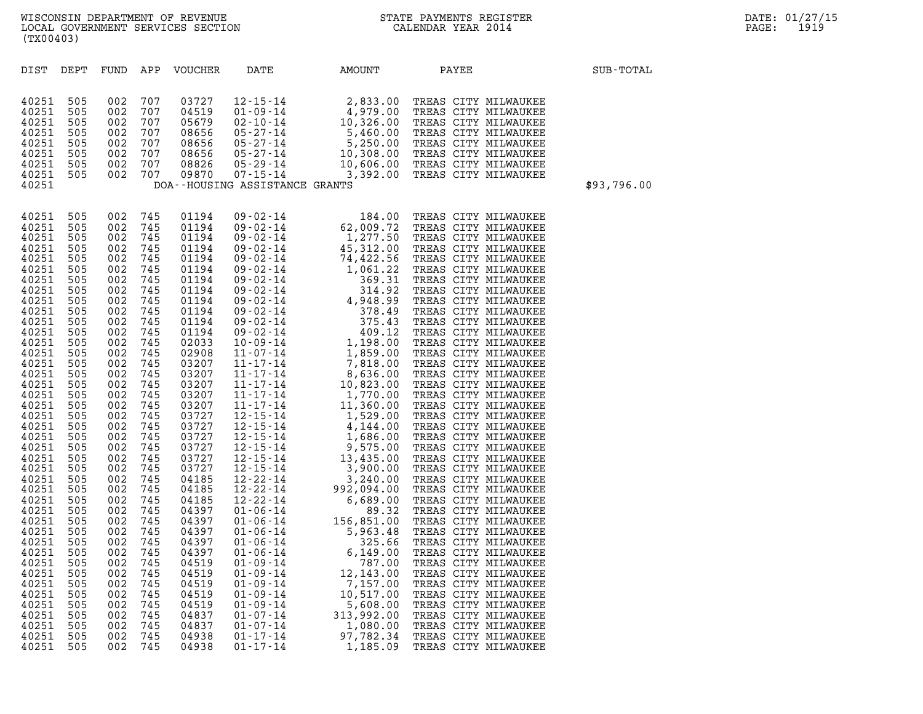| (TX00403)                                                                                                                                                                                                                                                                                                                                                                                                                                                                                                                                                                                                                                                                                                                                                                                                                                                                                                                                                                                                                                                                                                                                                                                                                                                                                                                                                                                                                                                                                                                                                                                                                                                                                                                                                                                                                                                                                                                                                                                                                                                                                                                                                                                                             |                                                                                                                                                                                                                      |             |  |  |  |  |  |  |  |  |  |  |
|-----------------------------------------------------------------------------------------------------------------------------------------------------------------------------------------------------------------------------------------------------------------------------------------------------------------------------------------------------------------------------------------------------------------------------------------------------------------------------------------------------------------------------------------------------------------------------------------------------------------------------------------------------------------------------------------------------------------------------------------------------------------------------------------------------------------------------------------------------------------------------------------------------------------------------------------------------------------------------------------------------------------------------------------------------------------------------------------------------------------------------------------------------------------------------------------------------------------------------------------------------------------------------------------------------------------------------------------------------------------------------------------------------------------------------------------------------------------------------------------------------------------------------------------------------------------------------------------------------------------------------------------------------------------------------------------------------------------------------------------------------------------------------------------------------------------------------------------------------------------------------------------------------------------------------------------------------------------------------------------------------------------------------------------------------------------------------------------------------------------------------------------------------------------------------------------------------------------------|----------------------------------------------------------------------------------------------------------------------------------------------------------------------------------------------------------------------|-------------|--|--|--|--|--|--|--|--|--|--|
| APP<br>DIST<br>DEPT<br>FUND<br><b>VOUCHER</b><br>DATE<br>AMOUNT                                                                                                                                                                                                                                                                                                                                                                                                                                                                                                                                                                                                                                                                                                                                                                                                                                                                                                                                                                                                                                                                                                                                                                                                                                                                                                                                                                                                                                                                                                                                                                                                                                                                                                                                                                                                                                                                                                                                                                                                                                                                                                                                                       | PAYEE                                                                                                                                                                                                                | SUB-TOTAL   |  |  |  |  |  |  |  |  |  |  |
| 505<br>002<br>707<br>03727<br>12-15-14<br>01-09-14<br>02-10-14<br>10,326.00 TREAS CITY MILWAUKEE<br>02-10-14<br>10,326.00 TREAS CITY MILWAUKEE<br>05-27-14<br>5,460.00 TREAS CITY MILWAUKEE<br>05-27-14<br>10,308.00 TREAS CITY MILWAUKEE<br>05-29-14<br>10,606.00 TREAS CITY MILW<br>40251<br>40251<br>505<br>002<br>707<br>04519<br>05679<br>40251<br>505<br>002<br>707<br>40251<br>505<br>002<br>707<br>08656<br>40251<br>505<br>002<br>707<br>08656<br>40251<br>505<br>002<br>707<br>08656<br>40251<br>505<br>002<br>707<br>08826<br>40251<br>505<br>002<br>707<br>09870<br>DOA--HOUSING ASSISTANCE GRANTS<br>40251                                                                                                                                                                                                                                                                                                                                                                                                                                                                                                                                                                                                                                                                                                                                                                                                                                                                                                                                                                                                                                                                                                                                                                                                                                                                                                                                                                                                                                                                                                                                                                                               |                                                                                                                                                                                                                      | \$93,796.00 |  |  |  |  |  |  |  |  |  |  |
| 505<br>002<br>745<br>01194<br>09 -02-14 62, 000 TREAS CITY MILWANKEE (109 -02-14 1, 277.50 TREAS CITY MILWANKEE (109-02-14 45, 312.00 TREAS CITY MILWANKEE (109-02-14 1, 422.56 TREAS CITY MILWANKEE (109-02-14 1, 422.56 TREAS CITY MILWANKEE (109-02-14 1,<br>40251<br>40251<br>505<br>002<br>745<br>01194<br>40251<br>505<br>002<br>745<br>01194<br>40251<br>505<br>002<br>745<br>01194<br>40251<br>505<br>002<br>745<br>01194<br>40251<br>505<br>002<br>745<br>01194<br>40251<br>505<br>002<br>745<br>01194<br>40251<br>505<br>002<br>745<br>01194<br>40251<br>505<br>002<br>745<br>01194<br>40251<br>505<br>002<br>745<br>01194<br>40251<br>505<br>002<br>745<br>01194<br>40251<br>505<br>002<br>745<br>01194<br>40251<br>505<br>002<br>745<br>02033<br>40251<br>505<br>002<br>745<br>02908<br>40251<br>505<br>002<br>745<br>03207<br>40251<br>505<br>002<br>745<br>03207<br>40251<br>505<br>002<br>745<br>03207<br>40251<br>505<br>002<br>745<br>03207<br>40251<br>505<br>002<br>745<br>03207<br>03727<br>40251<br>505<br>002<br>745<br>40251<br>505<br>002<br>745<br>03727<br>03727<br>40251<br>505<br>002<br>745<br>40251<br>505<br>002<br>745<br>03727<br>03727<br>40251<br>505<br>002<br>745<br>40251<br>505<br>002<br>745<br>03727<br>40251<br>505<br>002<br>745<br>04185<br>40251<br>505<br>002<br>745<br>04185<br>40251<br>505<br>002<br>745<br>04185<br>40251<br>505<br>002<br>745<br>04397<br>40251<br>505<br>002<br>745<br>04397<br>40251<br>505<br>002<br>745<br>04397<br>40251<br>505<br>002<br>745<br>04397<br>505<br>002<br>745<br>04397<br>40251<br>40251<br>505<br>002<br>745<br>04519<br>$01 - 09 - 14$<br>787.00<br>40251<br>505<br>745<br>04519<br>$01 - 09 - 14$<br>12,143.00<br>002<br>40251<br>505<br>002<br>745<br>04519<br>$01 - 09 - 14$<br>7,157.00<br>40251<br>505<br>002<br>745<br>04519<br>$01 - 09 - 14$<br>10,517.00<br>40251<br>505<br>002<br>745<br>04519<br>$01 - 09 - 14$<br>5,608.00<br>40251<br>505<br>745<br>04837<br>$01 - 07 - 14$<br>313,992.00<br>002<br>40251<br>505<br>002<br>745<br>04837<br>$01 - 07 - 14$<br>1,080.00<br>40251<br>505<br>745<br>04938<br>$01 - 17 - 14$<br>97,782.34<br>002<br>40251<br>505<br>002<br>745<br>04938<br>$01 - 17 - 14$<br>1,185.09 | TREAS CITY MILWAUKEE<br>TREAS CITY MILWAUKEE<br>TREAS CITY MILWAUKEE<br>TREAS CITY MILWAUKEE<br>TREAS CITY MILWAUKEE<br>TREAS CITY MILWAUKEE<br>TREAS CITY MILWAUKEE<br>TREAS CITY MILWAUKEE<br>TREAS CITY MILWAUKEE |             |  |  |  |  |  |  |  |  |  |  |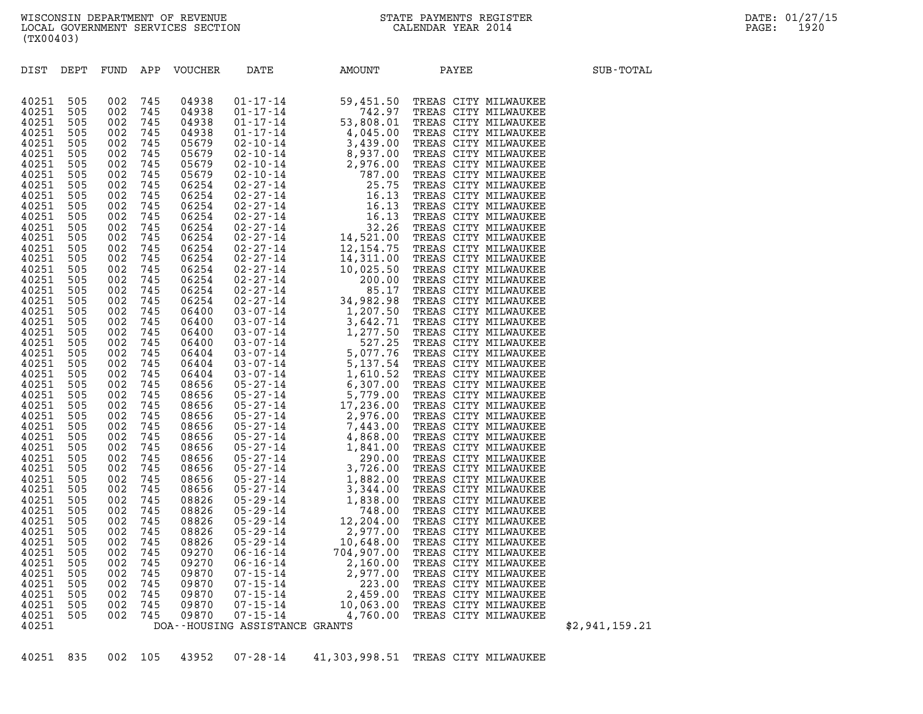| DIST           | DEPT       |            |            | FUND APP VOUCHER | DATE                           | AMOUNT        | PAYEE                | SUB-TOTAL      |
|----------------|------------|------------|------------|------------------|--------------------------------|---------------|----------------------|----------------|
| 40251          | 505        | 002        | 745        | 04938            |                                |               |                      |                |
| 40251          | 505        | 002        | 745        | 04938            |                                |               |                      |                |
| 40251          | 505        | 002        | 745        | 04938            |                                |               |                      |                |
| 40251          | 505        | 002        | 745        | 04938            |                                |               |                      |                |
| 40251          | 505        | 002        | 745        | 05679            |                                |               |                      |                |
| 40251          | 505        | 002        | 745        | 05679            |                                |               |                      |                |
| 40251<br>40251 | 505<br>505 | 002<br>002 | 745<br>745 | 05679<br>05679   |                                |               |                      |                |
| 40251          | 505        | 002        | 745        | 06254            |                                |               |                      |                |
| 40251          | 505        | 002        | 745        | 06254            |                                |               |                      |                |
| 40251          | 505        | 002        | 745        | 06254            |                                |               |                      |                |
| 40251          | 505        | 002        | 745        | 06254            |                                |               |                      |                |
| 40251          | 505        | 002        | 745        | 06254            |                                |               |                      |                |
| 40251          | 505        | 002        | 745        | 06254            |                                |               |                      |                |
| 40251          | 505        | 002        | 745        | 06254            |                                |               |                      |                |
| 40251          | 505        | 002        | 745        | 06254            |                                |               |                      |                |
| 40251          | 505        | 002        | 745        | 06254            |                                |               |                      |                |
| 40251          | 505        | 002        | 745        | 06254            |                                |               |                      |                |
| 40251          | 505        | 002        | 745        | 06254            |                                |               |                      |                |
| 40251          | 505        | 002        | 745        | 06254            |                                |               |                      |                |
| 40251<br>40251 | 505<br>505 | 002<br>002 | 745<br>745 | 06400<br>06400   |                                |               |                      |                |
| 40251          | 505        | 002        | 745        | 06400            |                                |               |                      |                |
| 40251          | 505        | 002        | 745        | 06400            |                                |               |                      |                |
| 40251          | 505        | 002        | 745        | 06404            |                                |               |                      |                |
| 40251          | 505        | 002        | 745        | 06404            |                                |               |                      |                |
| 40251          | 505        | 002        | 745        | 06404            |                                |               |                      |                |
| 40251          | 505        | 002        | 745        | 08656            |                                |               |                      |                |
| 40251          | 505        | 002        | 745        | 08656            |                                |               |                      |                |
| 40251          | 505        | 002        | 745        | 08656            |                                |               |                      |                |
| 40251          | 505        | 002        | 745        | 08656            |                                |               |                      |                |
| 40251          | 505        | 002        | 745        | 08656            |                                |               |                      |                |
| 40251          | 505        | 002        | 745        | 08656            |                                |               |                      |                |
| 40251<br>40251 | 505<br>505 | 002<br>002 | 745<br>745 | 08656<br>08656   |                                |               |                      |                |
| 40251          | 505        | 002        | 745        | 08656            |                                |               |                      |                |
| 40251          | 505        | 002        | 745        | 08656            |                                |               |                      |                |
| 40251          | 505        | 002        | 745        | 08656            |                                |               |                      |                |
| 40251          | 505        | 002        | 745        | 08826            |                                |               |                      |                |
| 40251          | 505        | 002        | 745        | 08826            |                                |               |                      |                |
| 40251          | 505        | 002        | 745        | 08826            |                                |               |                      |                |
| 40251          | 505        | 002        | 745        | 08826            |                                |               |                      |                |
| 40251          | 505        | 002        | 745        | 08826            |                                |               |                      |                |
| 40251          | 505        | 002        | 745        | 09270            |                                |               |                      |                |
| 40251          | 505        | 002        | 745        | 09270            |                                |               |                      |                |
| 40251<br>40251 | 505<br>505 | 002<br>002 | 745<br>745 | 09870<br>09870   |                                |               |                      |                |
| 40251          | 505        | 002        | 745        | 09870            |                                |               |                      |                |
| 40251          | 505        | 002        | 745        | 09870            |                                |               |                      |                |
| 40251          | 505        | 002        | 745        | 09870            |                                |               |                      |                |
| 40251          |            |            |            |                  | DOA--HOUSING ASSISTANCE GRANTS |               |                      | \$2,941,159.21 |
|                |            |            |            |                  |                                |               |                      |                |
|                |            |            |            |                  |                                |               |                      |                |
| 40251          | 835        | 002        | 105        | 43952            | $07 - 28 - 14$                 | 41,303,998.51 | TREAS CITY MILWAUKEE |                |

WISCONSIN DEPARTMENT OF REVENUE<br>LOCAL GOVERNMENT SERVICES SECTION STATE PAYMENTS REGISTER SECONDER STATE PASSES OF LATE: 01/27/15<br>DOCAL GOVERNMENT SERVICES SECTION WISCONSIN DEPARTMENT OF REVENUE<br>LOCAL GOVERNMENT SERVICES SECTION CALENDAR YEAR 2014<br>(TX00403) (TX00403) DIST DEPT FUND APP VOUCHER DATE AMOUNT PAYEE SUB-TOTAL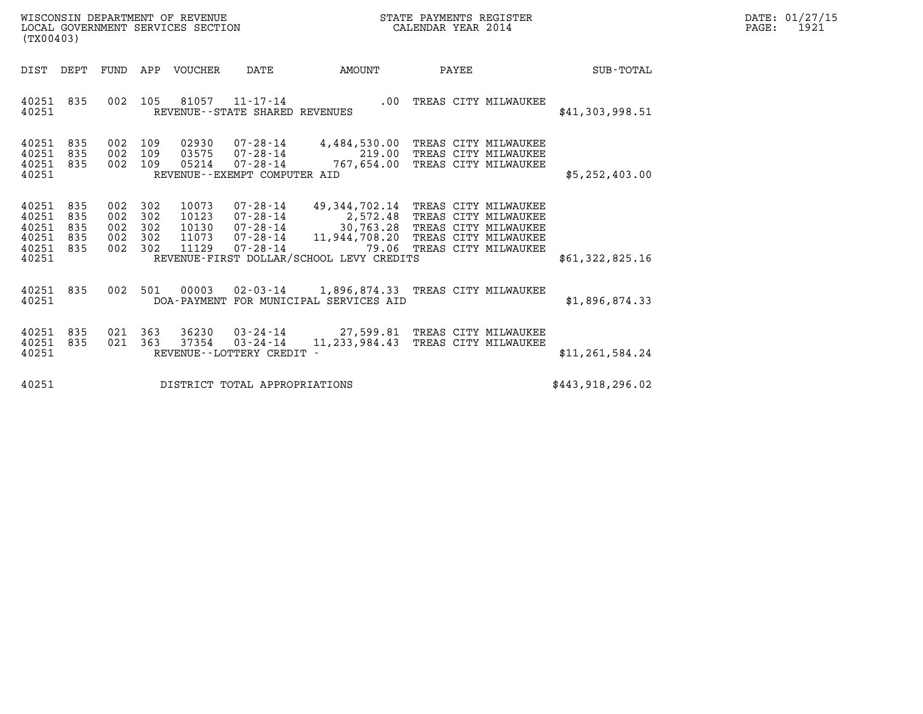| WISCONSIN DEPARTMENT OF REVENUE   | STATE PAYMENTS REGISTER | DATE: 01/27/15 |
|-----------------------------------|-------------------------|----------------|
| LOCAL GOVERNMENT SERVICES SECTION | CALENDAR YEAR 2014      | 1921<br>PAGE:  |

| (TX00403)                                          |                                 |                          |                                     | WISCONSIN DEPARTMENT OF REVENUE<br>LOCAL GOVERNMENT SERVICES SECTION |                                                                                        |                                                                                                              | STATE PAYMENTS REGISTER<br>CALENDAR YEAR 2014                                                                        |                   | DATE: 01/27/15<br>PAGE:<br>1921 |
|----------------------------------------------------|---------------------------------|--------------------------|-------------------------------------|----------------------------------------------------------------------|----------------------------------------------------------------------------------------|--------------------------------------------------------------------------------------------------------------|----------------------------------------------------------------------------------------------------------------------|-------------------|---------------------------------|
| DIST                                               | DEPT                            |                          |                                     | FUND APP VOUCHER                                                     | DATE                                                                                   | AMOUNT                                                                                                       | PAYEE                                                                                                                | SUB-TOTAL         |                                 |
| 40251 835<br>40251                                 |                                 |                          |                                     | 002 105 81057                                                        | REVENUE - - STATE SHARED REVENUES                                                      | $11 - 17 - 14$ .00                                                                                           | TREAS CITY MILWAUKEE                                                                                                 | \$41,303,998.51   |                                 |
| 40251<br>40251<br>40251 835<br>40251               | 835<br>835                      | 002 109<br>002           | 109<br>002 109                      | 02930<br>03575<br>05214                                              | 07-28-14<br>$07 - 28 - 14$<br>REVENUE--EXEMPT COMPUTER AID                             | $07 - 28 - 14$ 4, 484, 530.00<br>219.00<br>767,654.00                                                        | TREAS CITY MILWAUKEE<br>TREAS CITY MILWAUKEE<br>TREAS CITY MILWAUKEE                                                 | \$5,252,403.00    |                                 |
| 40251<br>40251<br>40251<br>40251<br>40251<br>40251 | 835<br>835<br>835<br>835<br>835 | 002<br>002<br>002<br>002 | 302<br>302<br>302<br>302<br>002 302 | 10073<br>10123<br>10130<br>11073<br>11129                            | $07 - 28 - 14$<br>$07 - 28 - 14$<br>$07 - 28 - 14$<br>$07 - 28 - 14$<br>$07 - 28 - 14$ | 49,344,702.14<br>2,572.48<br>30,763.28<br>11,944,708.20<br>79.06<br>REVENUE-FIRST DOLLAR/SCHOOL LEVY CREDITS | TREAS CITY MILWAUKEE<br>TREAS CITY MILWAUKEE<br>TREAS CITY MILWAUKEE<br>TREAS CITY MILWAUKEE<br>TREAS CITY MILWAUKEE | \$61,322,825.16   |                                 |
|                                                    |                                 |                          |                                     |                                                                      |                                                                                        |                                                                                                              |                                                                                                                      |                   |                                 |
| 40251<br>40251                                     | 835                             | 002                      | 501                                 | 00003                                                                | 02-03-14                                                                               | DOA-PAYMENT FOR MUNICIPAL SERVICES AID                                                                       | 1,896,874.33 TREAS CITY MILWAUKEE                                                                                    | \$1,896,874.33    |                                 |
| 40251<br>40251<br>40251                            | 835<br>835                      |                          | 021 363<br>021 363                  | 36230<br>37354                                                       | 03-24-14<br>$03 - 24 - 14$<br>REVENUE--LOTTERY CREDIT -                                | 27,599.81<br>11, 233, 984.43                                                                                 | TREAS CITY MILWAUKEE<br>TREAS CITY MILWAUKEE                                                                         | \$11, 261, 584.24 |                                 |
| 40251                                              |                                 |                          |                                     |                                                                      | DISTRICT TOTAL APPROPRIATIONS                                                          |                                                                                                              |                                                                                                                      | \$443,918,296.02  |                                 |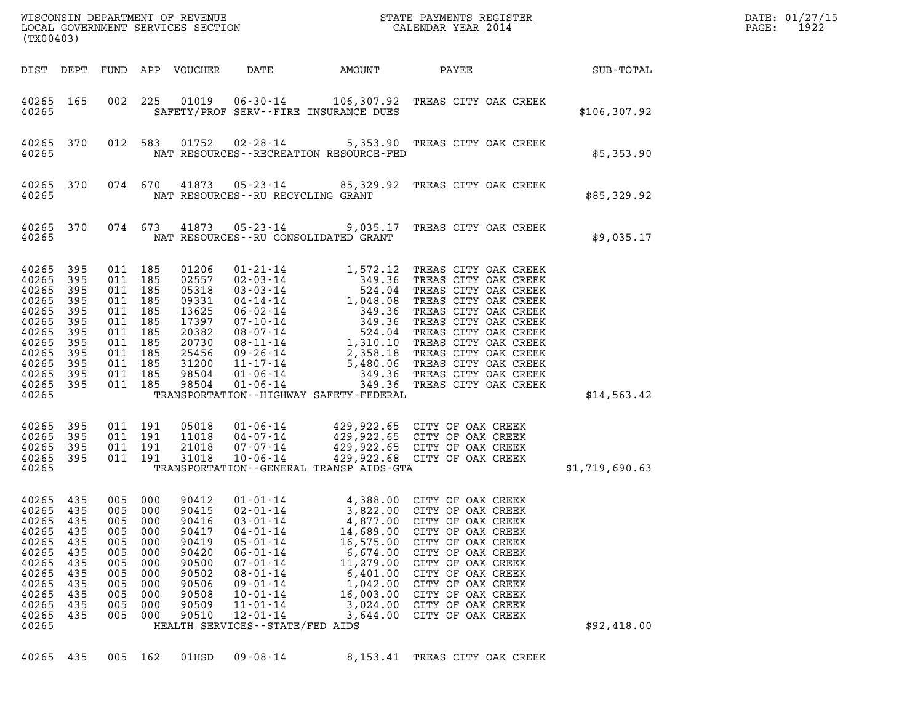| (TX00403)                                                                                                                 |                                                                           |                                                                                                                                  |                                                                                      |                                                                                                          |                                                                                                                                                                                                                                                            | DATE: 01/27/15<br>1922<br>$\mathtt{PAGE:}$                                                                                                                                                                                                                                                                               |                                                                                                                                                                                                                                                                                                     |                |  |
|---------------------------------------------------------------------------------------------------------------------------|---------------------------------------------------------------------------|----------------------------------------------------------------------------------------------------------------------------------|--------------------------------------------------------------------------------------|----------------------------------------------------------------------------------------------------------|------------------------------------------------------------------------------------------------------------------------------------------------------------------------------------------------------------------------------------------------------------|--------------------------------------------------------------------------------------------------------------------------------------------------------------------------------------------------------------------------------------------------------------------------------------------------------------------------|-----------------------------------------------------------------------------------------------------------------------------------------------------------------------------------------------------------------------------------------------------------------------------------------------------|----------------|--|
| DIST DEPT                                                                                                                 |                                                                           |                                                                                                                                  |                                                                                      | FUND APP VOUCHER                                                                                         |                                                                                                                                                                                                                                                            | DATE AMOUNT                                                                                                                                                                                                                                                                                                              | SUB-TOTAL                                                                                                                                                                                                                                                                                           |                |  |
| 40265 165<br>40265                                                                                                        |                                                                           |                                                                                                                                  |                                                                                      | 002 225 01019                                                                                            |                                                                                                                                                                                                                                                            | SAFETY/PROF SERV--FIRE INSURANCE DUES                                                                                                                                                                                                                                                                                    | 06-30-14 106,307.92 TREAS CITY OAK CREEK                                                                                                                                                                                                                                                            | \$106,307.92   |  |
| 40265 370<br>40265                                                                                                        |                                                                           |                                                                                                                                  |                                                                                      |                                                                                                          |                                                                                                                                                                                                                                                            | NAT RESOURCES - - RECREATION RESOURCE - FED                                                                                                                                                                                                                                                                              | 012 583 01752 02-28-14 5,353.90 TREAS CITY OAK CREEK                                                                                                                                                                                                                                                | \$5,353.90     |  |
| 40265 370<br>40265                                                                                                        |                                                                           |                                                                                                                                  | 074 670                                                                              |                                                                                                          | NAT RESOURCES--RU RECYCLING GRANT                                                                                                                                                                                                                          |                                                                                                                                                                                                                                                                                                                          | 41873  05-23-14  85,329.92  TREAS CITY OAK CREEK                                                                                                                                                                                                                                                    | \$85,329.92    |  |
| 40265 370<br>40265                                                                                                        |                                                                           |                                                                                                                                  | 074 673                                                                              | 41873                                                                                                    |                                                                                                                                                                                                                                                            | NAT RESOURCES--RU CONSOLIDATED GRANT                                                                                                                                                                                                                                                                                     | 05-23-14 9,035.17 TREAS CITY OAK CREEK                                                                                                                                                                                                                                                              | \$9,035.17     |  |
| 40265 395<br>40265<br>40265<br>40265<br>40265<br>40265<br>40265<br>40265<br>40265<br>40265<br>40265<br>40265 395<br>40265 | 395<br>395<br>395<br>395<br>395<br>395<br>395<br>395<br>395<br>395        | 011 185<br>011 185<br>011 185<br>011 185<br>011 185<br>011 185<br>011 185<br>011 185<br>011 185<br>011 185<br>011 185<br>011 185 |                                                                                      | 01206<br>02557<br>05318<br>09331<br>13625<br>17397<br>20382<br>20730<br>25456<br>31200<br>98504<br>98504 |                                                                                                                                                                                                                                                            | 01-21-14<br>02-03-14<br>03-03-14<br>04-14-14<br>04-14-14<br>05-02-14<br>07-10-14<br>08-07-14<br>08-11-14<br>09-26-14<br>09-26-14<br>09-26-14<br>09-26-14<br>09-26-14<br>09-26-14<br>09-26-14<br>09-26-14<br>09-26-14<br>09-26-14<br>09-26-14<br>09-06-14<br>01-06-14<br>0<br>TRANSPORTATION - - HIGHWAY SAFETY - FEDERAL | TREAS CITY OAK CREEK<br>TREAS CITY OAK CREEK<br>TREAS CITY OAK CREEK<br>TREAS CITY OAK CREEK<br>TREAS CITY OAK CREEK<br>TREAS CITY OAK CREEK<br>TREAS CITY OAK CREEK<br>TREAS CITY OAK CREEK<br>TREAS CITY OAK CREEK<br>TREAS CITY OAK CREEK<br>TREAS CITY OAK CREEK<br>349.36 TREAS CITY OAK CREEK | \$14,563.42    |  |
| 40265<br>40265<br>40265<br>40265 395<br>40265                                                                             | 395<br>395<br>- 395                                                       |                                                                                                                                  | 011 191<br>011 191<br>011 191<br>011 191                                             | 05018<br>11018<br>21018<br>31018                                                                         |                                                                                                                                                                                                                                                            | TRANSPORTATION - - GENERAL TRANSP AIDS-GTA                                                                                                                                                                                                                                                                               |                                                                                                                                                                                                                                                                                                     | \$1,719,690.63 |  |
| 40265 435<br>40265<br>40265<br>40265<br>40265<br>40265<br>40265<br>40265<br>40265<br>40265<br>40265<br>40265<br>40265     | 435<br>435<br>435<br>435<br>435<br>435<br>435<br>435<br>435<br>435<br>435 | 005<br>005<br>005<br>005<br>005<br>005<br>005<br>005<br>005<br>005<br>005                                                        | 005 000<br>000<br>000<br>000<br>000<br>000<br>000<br>000<br>000<br>000<br>000<br>000 | 90412<br>90415<br>90416<br>90417<br>90419<br>90420<br>90500<br>90502<br>90506<br>90508<br>90509<br>90510 | $01 - 01 - 14$<br>$02 - 01 - 14$<br>$03 - 01 - 14$<br>$04 - 01 - 14$<br>$05 - 01 - 14$<br>$06 - 01 - 14$<br>$07 - 01 - 14$<br>$08 - 01 - 14$<br>$09 - 01 - 14$<br>$10 - 01 - 14$<br>$11 - 01 - 14$<br>$12 - 01 - 14$<br>HEALTH SERVICES - - STATE/FED AIDS | 3,822.00<br>4,877.00<br>14,689.00<br>16,575.00<br>6,674.00<br>11,279.00<br>6,401.00<br>1,042.00<br>16,003.00<br>3,024.00<br>3,644.00                                                                                                                                                                                     | 4,388.00 CITY OF OAK CREEK<br>CITY OF OAK CREEK<br>CITY OF OAK CREEK<br>CITY OF OAK CREEK<br>CITY OF OAK CREEK<br>CITY OF OAK CREEK<br>CITY OF OAK CREEK<br>CITY OF OAK CREEK<br>CITY OF OAK CREEK<br>CITY OF OAK CREEK<br>CITY OF OAK CREEK<br>CITY OF OAK CREEK                                   | \$92,418.00    |  |
| 40265                                                                                                                     | 435                                                                       | 005 162                                                                                                                          |                                                                                      | 01HSD                                                                                                    | $09 - 08 - 14$                                                                                                                                                                                                                                             | 8,153.41                                                                                                                                                                                                                                                                                                                 | TREAS CITY OAK CREEK                                                                                                                                                                                                                                                                                |                |  |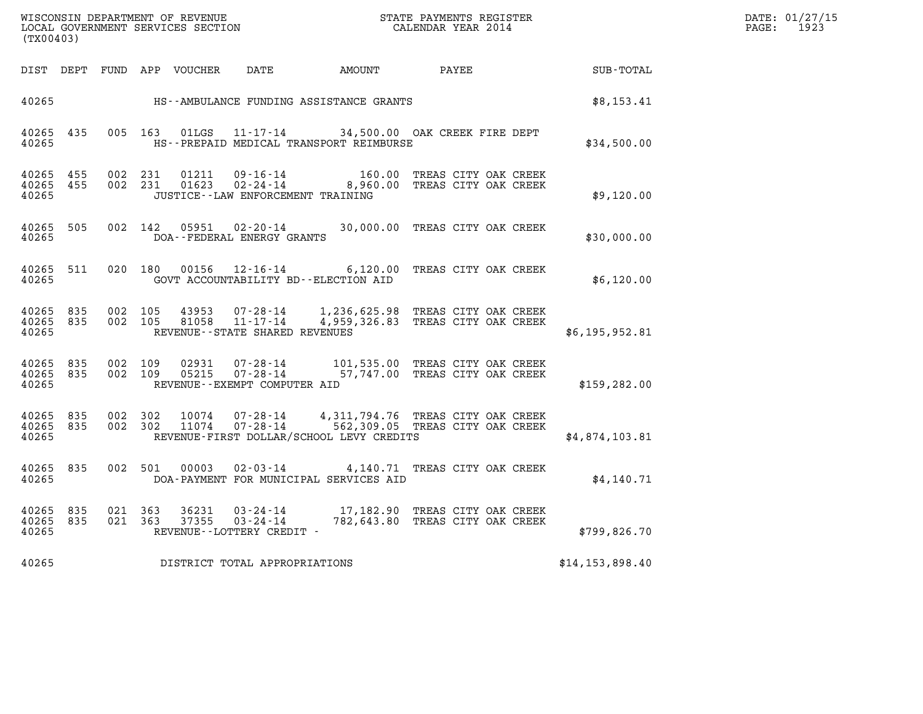| WISCONSIN DEPARTMENT OF REVENUE<br>LOCAL GOVERNMENT SERVICES SECTION<br>(TX00403) | STATE PAYMENTS REGISTER<br>CALENDAR YEAR 2014 | DATE: 01/27/15<br>1923<br>PAGE: |
|-----------------------------------------------------------------------------------|-----------------------------------------------|---------------------------------|

| (TX00403)               |            |            |            |                |                                                                  |                                                                                                                  |                                              |                   |  |
|-------------------------|------------|------------|------------|----------------|------------------------------------------------------------------|------------------------------------------------------------------------------------------------------------------|----------------------------------------------|-------------------|--|
| DIST                    | DEPT       | FUND APP   |            | VOUCHER        | DATE                                                             | AMOUNT                                                                                                           | PAYEE                                        | SUB-TOTAL         |  |
| 40265                   |            |            |            |                |                                                                  | HS--AMBULANCE FUNDING ASSISTANCE GRANTS                                                                          |                                              | \$8,153.41        |  |
| 40265<br>40265          | 435        | 005        | 163        | 01LGS          |                                                                  | 11-17-14 34,500.00 OAK CREEK FIRE DEPT<br>HS--PREPAID MEDICAL TRANSPORT REIMBURSE                                |                                              | \$34,500.00       |  |
| 40265<br>40265<br>40265 | 455<br>455 | 002<br>002 | 231<br>231 | 01211<br>01623 | 09-16-14<br>JUSTICE - - LAW ENFORCEMENT TRAINING                 | 160.00<br>$09 - 16 - 14$<br>02 - 24 - 14 - 14 - 160.00                                                           | TREAS CITY OAK CREEK<br>TREAS CITY OAK CREEK | \$9,120.00        |  |
| 40265<br>40265          | 505        | 002        | 142        | 05951          | 02-20-14<br>DOA--FEDERAL ENERGY GRANTS                           | 30,000.00                                                                                                        | TREAS CITY OAK CREEK                         | \$30,000.00       |  |
| 40265<br>40265          | 511        | 020        | 180        | 00156          | GOVT ACCOUNTABILITY BD--ELECTION AID                             | $12 - 16 - 14$ 6, 120.00                                                                                         | TREAS CITY OAK CREEK                         | \$6,120.00        |  |
| 40265<br>40265<br>40265 | 835<br>835 | 002<br>002 | 105<br>105 | 43953<br>81058 | $07 - 28 - 14$<br>11-17-14<br>REVENUE--STATE SHARED REVENUES     | 1,236,625.98 TREAS CITY OAK CREEK<br>4,959,326.83 TREAS CITY OAK CREEK                                           |                                              | \$6,195,952.81    |  |
| 40265<br>40265<br>40265 | 835<br>835 | 002<br>002 | 109<br>109 | 02931<br>05215 | $07 - 28 - 14$<br>$07 - 28 - 14$<br>REVENUE--EXEMPT COMPUTER AID | 101,535.00 TREAS CITY OAK CREEK                                                                                  | 57,747.00 TREAS CITY OAK CREEK               | \$159, 282.00     |  |
| 40265<br>40265<br>40265 | 835<br>835 | 002<br>002 | 302<br>302 | 10074<br>11074 | 07-28-14<br>$07 - 28 - 14$                                       | 4,311,794.76 TREAS CITY OAK CREEK<br>562,309.05 TREAS CITY OAK CREEK<br>REVENUE-FIRST DOLLAR/SCHOOL LEVY CREDITS |                                              | \$4,874,103.81    |  |
| 40265<br>40265          | 835        | 002        | 501        | 00003          | $02 - 03 - 14$                                                   | 4,140.71<br>DOA-PAYMENT FOR MUNICIPAL SERVICES AID                                                               | TREAS CITY OAK CREEK                         | \$4,140.71        |  |
| 40265<br>40265<br>40265 | 835<br>835 | 021<br>021 | 363<br>363 | 36231<br>37355 | $03 - 24 - 14$<br>$03 - 24 - 14$<br>REVENUE--LOTTERY CREDIT -    | 17,182.90<br>782,643.80                                                                                          | TREAS CITY OAK CREEK<br>TREAS CITY OAK CREEK | \$799,826.70      |  |
| 40265                   |            |            |            |                | DISTRICT TOTAL APPROPRIATIONS                                    |                                                                                                                  |                                              | \$14, 153, 898.40 |  |
|                         |            |            |            |                |                                                                  |                                                                                                                  |                                              |                   |  |

(TX00403)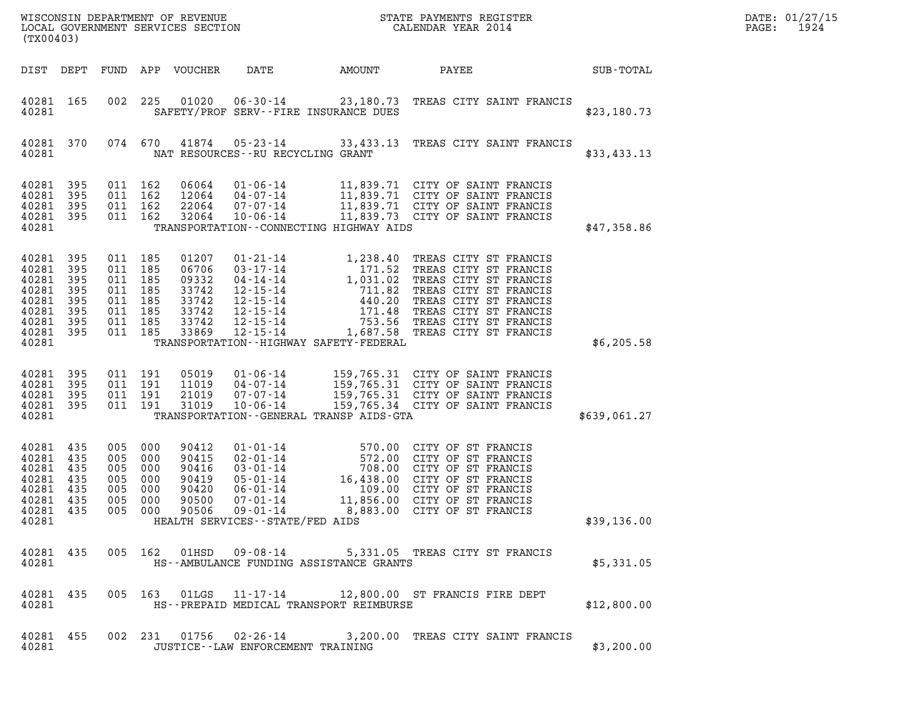| (TX00403)                                                                         |                                               |                                                                                  |                                   | WISCONSIN DEPARTMENT OF REVENUE<br>LOCAL GOVERNMENT SERVICES SECTION |                                                          |                                                                                                                                                                                                                                         | STATE PAYMENTS REGISTER<br>CALENDAR YEAR 2014                                                                                                                                                                                                                                                              |              | DATE: 01/27/15<br>1924<br>PAGE: |
|-----------------------------------------------------------------------------------|-----------------------------------------------|----------------------------------------------------------------------------------|-----------------------------------|----------------------------------------------------------------------|----------------------------------------------------------|-----------------------------------------------------------------------------------------------------------------------------------------------------------------------------------------------------------------------------------------|------------------------------------------------------------------------------------------------------------------------------------------------------------------------------------------------------------------------------------------------------------------------------------------------------------|--------------|---------------------------------|
| DIST DEPT                                                                         |                                               |                                                                                  |                                   | FUND APP VOUCHER                                                     | DATE                                                     | AMOUNT                                                                                                                                                                                                                                  | PAYEE                                                                                                                                                                                                                                                                                                      | SUB-TOTAL    |                                 |
| 40281 165<br>40281                                                                |                                               | 002                                                                              | 225                               |                                                                      |                                                          | SAFETY/PROF SERV--FIRE INSURANCE DUES                                                                                                                                                                                                   | 01020  06-30-14  23,180.73  TREAS CITY SAINT FRANCIS                                                                                                                                                                                                                                                       | \$23,180.73  |                                 |
| 40281 370<br>40281                                                                |                                               |                                                                                  | 074 670                           |                                                                      | NAT RESOURCES - - RU RECYCLING GRANT                     |                                                                                                                                                                                                                                         | 41874  05-23-14  33,433.13  TREAS CITY SAINT FRANCIS                                                                                                                                                                                                                                                       | \$33,433.13  |                                 |
| 40281<br>40281<br>40281<br>40281 395<br>40281                                     | 395<br>395<br>395                             | 011 162<br>011 162<br>011 162<br>011 162                                         |                                   | 06064<br>12064<br>22064<br>32064                                     | 04-07-14<br>07-07-14<br>$10 - 06 - 14$                   | TRANSPORTATION -- CONNECTING HIGHWAY AIDS                                                                                                                                                                                               | 01-06-14 11,839.71 CITY OF SAINT FRANCIS<br>---, ---<br>11,839.71 CITY OF SAINT FRANCIS<br>11,839.71 CITY OF SAINT FRANCIS<br>11,839.73 CITY OF SAINT FRANCIS                                                                                                                                              | \$47,358.86  |                                 |
| 40281<br>40281<br>40281<br>40281<br>40281<br>40281<br>40281<br>40281 395<br>40281 | 395<br>395<br>395<br>395<br>395<br>395<br>395 | 011 185<br>011 185<br>011<br>011 185<br>011 185<br>011 185<br>011 185<br>011 185 | 185                               | 01207<br>06706<br>09332<br>33742<br>33742<br>33742<br>33742<br>33869 | $12 - 15 - 14$<br>12-15-14                               | TRANSPORTATION - - HIGHWAY SAFETY - FEDERAL                                                                                                                                                                                             | 01-21-14 1,238.40 TREAS CITY ST FRANCIS<br>03-17-14 171.52 TREAS CITY ST FRANCIS<br>04-14-14 1,031.02 TREAS CITY ST FRANCIS<br>12-15-14 711.82 TREAS CITY ST FRANCIS<br>12-15-14 440.20 TREAS CITY ST FRANCIS<br>12-15-14 171.48 TREAS C<br>753.56 TREAS CITY ST FRANCIS<br>1,687.58 TREAS CITY ST FRANCIS | \$6,205.58   |                                 |
| 40281 395<br>40281<br>40281 395<br>40281 395<br>40281                             | 395                                           | 011 191<br>011 191<br>011 191<br>011 191                                         |                                   | 05019<br>11019<br>21019<br>31019                                     | $01 - 06 - 14$<br>04-07-14<br>07-07-14<br>$10 - 06 - 14$ | TRANSPORTATION--GENERAL TRANSP AIDS-GTA                                                                                                                                                                                                 | 159,765.31 CITY OF SAINT FRANCIS<br>159,765.31 CITY OF SAINT FRANCIS<br>159,765.31 CITY OF SAINT FRANCIS<br>159,765.34 CITY OF SAINT FRANCIS                                                                                                                                                               | \$639,061.27 |                                 |
| 40281 435<br>40281 435<br>40281<br>40281<br>40281<br>40281 435<br>40281           | 435<br>435<br>435<br>40281 435                | 005<br>005 000<br>005<br>005<br>005<br>005                                       | 000<br>- 000<br>000<br>000<br>000 | 90412<br>90415<br>90416<br>90419<br>90420<br>90500                   | $07 - 01 - 14$<br>HEALTH SERVICES--STATE/FED AIDS        | $\begin{array}{cccc} 01\text{-} 01\text{-} 14 & 570.00 \\ 02\text{-} 01\text{-} 14 & 572.00 \\ 03\text{-} 01\text{-} 14 & 708.00 \\ 05\text{-} 01\text{-} 14 & 16,438.00 \\ 06\text{-} 01\text{-} 14 & 109.00 \end{array}$<br>11,856.00 | 570.00 CITY OF ST FRANCIS<br>572.00 CITY OF ST FRANCIS<br>CITY OF ST FRANCIS<br>CITY OF ST FRANCIS<br>CITY OF ST FRANCIS<br>CITY OF ST FRANCIS<br>005 000 90506 09-01-14 8,883.00 CITY OF ST FRANCIS                                                                                                       | \$39,136.00  |                                 |
| 40281 435<br>40281                                                                |                                               |                                                                                  |                                   |                                                                      |                                                          | HS--AMBULANCE FUNDING ASSISTANCE GRANTS                                                                                                                                                                                                 | 005 162 01HSD 09-08-14 5,331.05 TREAS CITY ST FRANCIS                                                                                                                                                                                                                                                      | \$5,331.05   |                                 |
| 40281 435<br>40281                                                                |                                               |                                                                                  |                                   |                                                                      |                                                          | HS--PREPAID MEDICAL TRANSPORT REIMBURSE                                                                                                                                                                                                 | 005 163 01LGS 11-17-14 12,800.00 ST FRANCIS FIRE DEPT                                                                                                                                                                                                                                                      | \$12,800.00  |                                 |
| 40281 455<br>40281                                                                |                                               |                                                                                  |                                   |                                                                      | JUSTICE - - LAW ENFORCEMENT TRAINING                     |                                                                                                                                                                                                                                         | 002 231 01756 02-26-14 3,200.00 TREAS CITY SAINT FRANCIS                                                                                                                                                                                                                                                   | \$3,200.00   |                                 |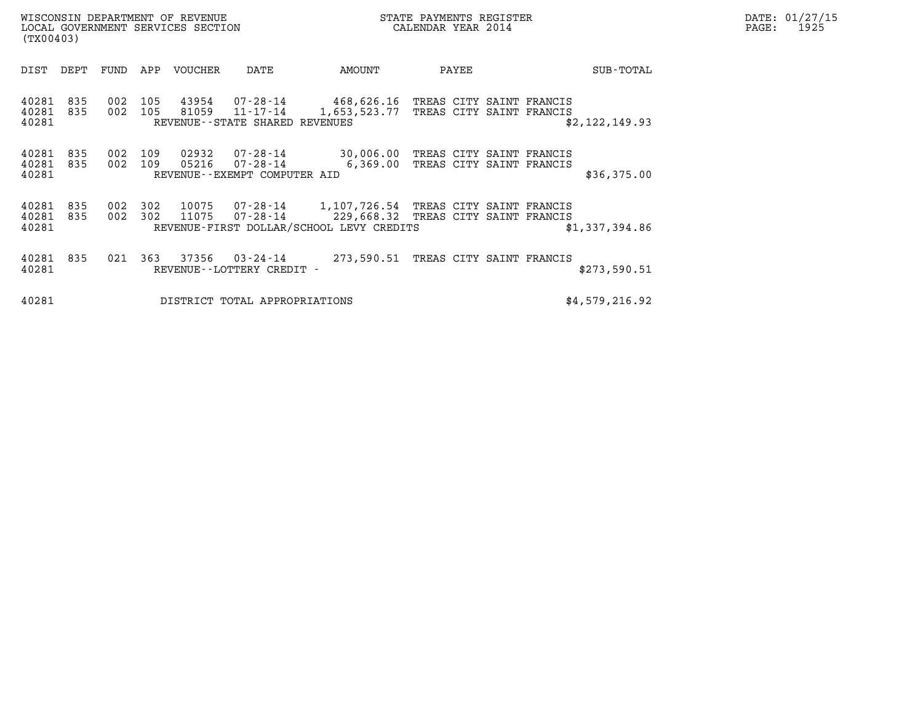| WISCONSIN DEPARTMENT OF REVENUE<br>LOCAL GOVERNMENT SERVICES SECTION | STATE PAYMENTS REGISTER<br>CALENDAR YEAR 2014 | DATE: 01/27/15<br>1925<br>PAGE: |
|----------------------------------------------------------------------|-----------------------------------------------|---------------------------------|

| WISCONSIN DEPARTMENT OF REVENUE<br>LOCAL GOVERNMENT SERVICES SECTION<br>(TX00403) |            |            |            |                |                                                           |                                                                                                | STATE PAYMENTS REGISTER<br>CALENDAR YEAR 2014 |       |  |                                                      |                |  | DATE: 01/27/15<br>1925<br>PAGE: |  |
|-----------------------------------------------------------------------------------|------------|------------|------------|----------------|-----------------------------------------------------------|------------------------------------------------------------------------------------------------|-----------------------------------------------|-------|--|------------------------------------------------------|----------------|--|---------------------------------|--|
| DIST                                                                              | DEPT       | FUND       |            | APP VOUCHER    | DATE                                                      | AMOUNT                                                                                         |                                               | PAYEE |  |                                                      | SUB-TOTAL      |  |                                 |  |
| 40281<br>40281<br>40281                                                           | 835<br>835 | 002<br>002 | 105<br>105 | 43954<br>81059 | 07-28-14<br>11-17-14<br>REVENUE - - STATE SHARED REVENUES | 468,626.16<br>1,653,523.77                                                                     |                                               |       |  | TREAS CITY SAINT FRANCIS<br>TREAS CITY SAINT FRANCIS | \$2,122,149.93 |  |                                 |  |
| 40281<br>40281<br>40281                                                           | 835<br>835 | 002<br>002 | 109<br>109 | 02932<br>05216 | 07-28-14<br>07-28-14<br>REVENUE--EXEMPT COMPUTER AID      | 30,006.00<br>6,369.00                                                                          |                                               |       |  | TREAS CITY SAINT FRANCIS<br>TREAS CITY SAINT FRANCIS | \$36,375.00    |  |                                 |  |
| 40281<br>40281<br>40281                                                           | 835<br>835 | 002<br>002 | 302<br>302 | 10075<br>11075 |                                                           | 07-28-14 1,107,726.54<br>$07 - 28 - 14$ 229,668.32<br>REVENUE-FIRST DOLLAR/SCHOOL LEVY CREDITS |                                               |       |  | TREAS CITY SAINT FRANCIS<br>TREAS CITY SAINT FRANCIS | \$1,337,394.86 |  |                                 |  |
| 40281<br>40281                                                                    | 835        | 021        | 363        | 37356          | REVENUE--LOTTERY CREDIT -                                 | $03 - 24 - 14$ 273,590.51                                                                      |                                               |       |  | TREAS CITY SAINT FRANCIS                             | \$273,590.51   |  |                                 |  |
| 40281                                                                             |            |            |            |                | DISTRICT TOTAL APPROPRIATIONS                             |                                                                                                |                                               |       |  |                                                      | \$4,579,216.92 |  |                                 |  |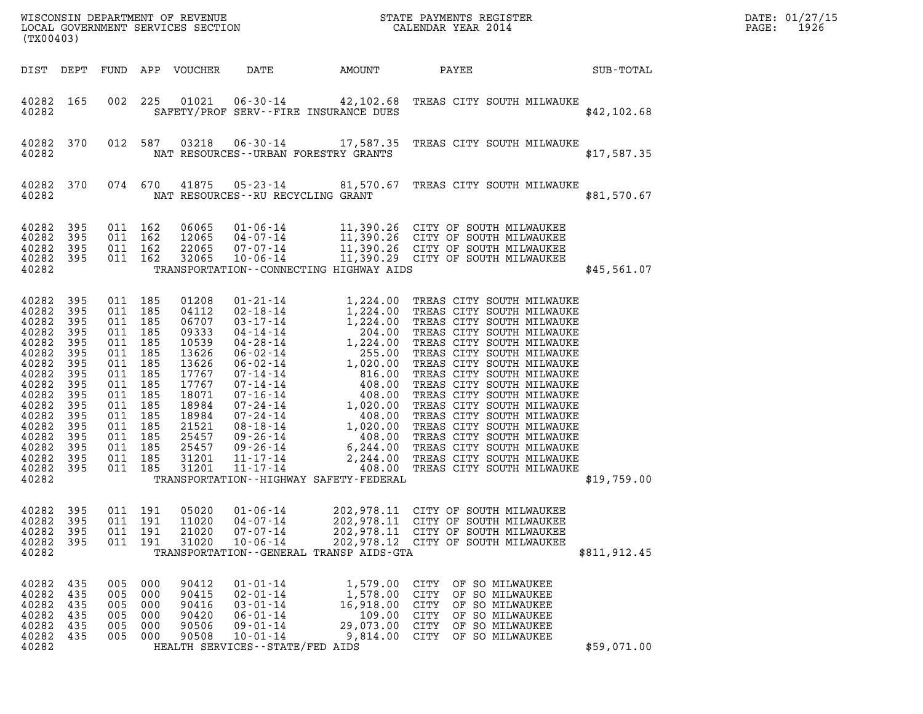| (TX00403)                                                                                                                                                      |                                                                                                                     |                                                                                                                                                               |                                        |                                                                                                                                                       |                                                                                                                                                                                                                                                                                                                           |                                                                                                                                                                                                                                                                                      | ${\tt WISCONSIM\ DEPARTMENT\ OF\ REVENUE}\qquad \qquad {\tt STATE\ PAYMENTS\ REGISTER} \\ {\tt LOCAL\ GOVERNMENT\ SERVICES\ SECTION}\qquad \qquad {\tt CALENDAR\ YEAR\ 2014}$                                                                                                                                                                                                                                                                                                                                                                               |              | DATE: 01/27/15<br>1926<br>PAGE: |
|----------------------------------------------------------------------------------------------------------------------------------------------------------------|---------------------------------------------------------------------------------------------------------------------|---------------------------------------------------------------------------------------------------------------------------------------------------------------|----------------------------------------|-------------------------------------------------------------------------------------------------------------------------------------------------------|---------------------------------------------------------------------------------------------------------------------------------------------------------------------------------------------------------------------------------------------------------------------------------------------------------------------------|--------------------------------------------------------------------------------------------------------------------------------------------------------------------------------------------------------------------------------------------------------------------------------------|-------------------------------------------------------------------------------------------------------------------------------------------------------------------------------------------------------------------------------------------------------------------------------------------------------------------------------------------------------------------------------------------------------------------------------------------------------------------------------------------------------------------------------------------------------------|--------------|---------------------------------|
| DIST DEPT                                                                                                                                                      |                                                                                                                     |                                                                                                                                                               |                                        | FUND APP VOUCHER                                                                                                                                      | DATE                                                                                                                                                                                                                                                                                                                      | AMOUNT                                                                                                                                                                                                                                                                               | PAYEE                                                                                                                                                                                                                                                                                                                                                                                                                                                                                                                                                       | SUB-TOTAL    |                                 |
| 40282 165<br>40282                                                                                                                                             |                                                                                                                     | 002                                                                                                                                                           | 225                                    | 01021                                                                                                                                                 | $06 - 30 - 14$<br>SAFETY/PROF SERV--FIRE INSURANCE DUES                                                                                                                                                                                                                                                                   |                                                                                                                                                                                                                                                                                      | 42,102.68 TREAS CITY SOUTH MILWAUKE                                                                                                                                                                                                                                                                                                                                                                                                                                                                                                                         | \$42,102.68  |                                 |
| 40282<br>40282                                                                                                                                                 | 370                                                                                                                 |                                                                                                                                                               | 012 587                                | 03218                                                                                                                                                 | NAT RESOURCES - - URBAN FORESTRY GRANTS                                                                                                                                                                                                                                                                                   |                                                                                                                                                                                                                                                                                      | 06-30-14 17,587.35 TREAS CITY SOUTH MILWAUKE                                                                                                                                                                                                                                                                                                                                                                                                                                                                                                                | \$17,587.35  |                                 |
| 40282<br>40282                                                                                                                                                 | 370                                                                                                                 |                                                                                                                                                               | 074 670                                | 41875                                                                                                                                                 | NAT RESOURCES -- RU RECYCLING GRANT                                                                                                                                                                                                                                                                                       |                                                                                                                                                                                                                                                                                      | 05-23-14 81,570.67 TREAS CITY SOUTH MILWAUKE                                                                                                                                                                                                                                                                                                                                                                                                                                                                                                                | \$81,570.67  |                                 |
| 40282<br>40282<br>40282<br>40282<br>40282                                                                                                                      | 395<br>395<br>395<br>395                                                                                            | 011 162<br>011 162<br>011 162                                                                                                                                 | 011 162                                | 06065<br>12065<br>22065<br>32065                                                                                                                      | TRANSPORTATION - - CONNECTING HIGHWAY AIDS                                                                                                                                                                                                                                                                                |                                                                                                                                                                                                                                                                                      |                                                                                                                                                                                                                                                                                                                                                                                                                                                                                                                                                             | \$45,561.07  |                                 |
| 40282<br>40282<br>40282<br>40282<br>40282<br>40282<br>40282<br>40282<br>40282<br>40282<br>40282<br>40282<br>40282<br>40282<br>40282<br>40282<br>40282<br>40282 | 395<br>395<br>395<br>395<br>395<br>395<br>395<br>395<br>395<br>395<br>395<br>395<br>395<br>395<br>395<br>395<br>395 | 011 185<br>011 185<br>011 185<br>011 185<br>011 185<br>011 185<br>011 185<br>011 185<br>011 185<br>011 185<br>011<br>011 185<br>011 185<br>011 185<br>011 185 | 185<br>011 185<br>011 185              | 01208<br>04112<br>06707<br>09333<br>10539<br>13626<br>13626<br>17767<br>17767<br>18071<br>18984<br>18984<br>21521<br>25457<br>25457<br>31201<br>31201 | $01 - 21 - 14$<br>$02 - 18 - 14$<br>$03 - 17 - 14$<br>04-14-14<br>$04 - 28 - 14$<br>$06 - 02 - 14$<br>$06 - 02 - 14$<br>07-14-14<br>$07 - 14 - 14$<br>$07 - 16 - 14$<br>$07 - 24 - 14$<br>07-24-14<br>$08 - 18 - 14$<br>09-26-14<br>09-26-14<br>11-17-14<br>$11 - 17 - 14$<br>TRANSPORTATION - - HIGHWAY SAFETY - FEDERAL | 1,224.00<br>1,224.00<br>204.00<br>204.00<br>204.00<br>255.00<br>1,020.00<br>816.00<br>408.00<br>408.00<br>408.00<br>408.00<br>408.00<br>408.00<br>408.00<br>408.00<br>408.00<br>408.00<br>408.00<br>408.00<br>408.00<br>408.00<br>408.00<br>408.00<br>408.00<br>408.00<br>408.00<br> | 1,224.00 TREAS CITY SOUTH MILWAUKE<br>1,224.00 TREAS CITY SOUTH MILWAUKE<br>1,224.00 TREAS CITY SOUTH MILWAUKE<br>204.00 TREAS CITY SOUTH MILWAUKE<br>TREAS CITY SOUTH MILWAUKE<br>TREAS CITY SOUTH MILWAUKE<br>TREAS CITY SOUTH MILWAUKE<br>TREAS CITY SOUTH MILWAUKE<br>TREAS CITY SOUTH MILWAUKE<br>TREAS CITY SOUTH MILWAUKE<br>TREAS CITY SOUTH MILWAUKE<br>TREAS CITY SOUTH MILWAUKE<br>TREAS CITY SOUTH MILWAUKE<br>TREAS CITY SOUTH MILWAUKE<br>TREAS CITY SOUTH MILWAUKE<br>2,244.00 TREAS CITY SOUTH MILWAUKE<br>408.00 TREAS CITY SOUTH MILWAUKE | \$19,759.00  |                                 |
| 40282<br>40282<br>40282<br>40282<br>40282                                                                                                                      | 395<br>395<br>395<br>395                                                                                            | 011                                                                                                                                                           | 191<br>011 191<br>011 191<br>011 191   | 05020<br>11020<br>21020<br>31020                                                                                                                      | $01 - 06 - 14$<br>$04 - 07 - 14$<br>$07 - 07 - 14$<br>$10 - 06 - 14$<br>TRANSPORTATION - - GENERAL TRANSP AIDS - GTA                                                                                                                                                                                                      | 202,978.11<br>202,978.11<br>202,978.11                                                                                                                                                                                                                                               | CITY OF SOUTH MILWAUKEE<br>CITY OF SOUTH MILWAUKEE<br>CITY OF SOUTH MILWAUKEE<br>202,978.12 CITY OF SOUTH MILWAUKEE                                                                                                                                                                                                                                                                                                                                                                                                                                         | \$811,912.45 |                                 |
| 40282<br>40282<br>40282<br>40282<br>40282<br>40282<br>40282                                                                                                    | 435<br>435<br>435<br>435<br>435<br>435                                                                              | 005<br>005<br>005<br>005<br>005<br>005                                                                                                                        | 000<br>000<br>000<br>000<br>000<br>000 | 90412<br>90415<br>90416<br>90420<br>90506<br>90508                                                                                                    | $01 - 01 - 14$<br>$02 - 01 - 14$<br>$03 - 01 - 14$<br>$06 - 01 - 14$<br>$09 - 01 - 14$<br>$10 - 01 - 14$<br>HEALTH SERVICES - - STATE/FED AIDS                                                                                                                                                                            | 1,579.00<br>1,578.00<br>16,918.00<br>109.00<br>29,073.00<br>9,814.00                                                                                                                                                                                                                 | CITY<br>OF SO MILWAUKEE<br>CITY<br>OF SO MILWAUKEE<br>CITY<br>OF SO MILWAUKEE<br>CITY<br>OF SO MILWAUKEE<br>CITY OF SO MILWAUKEE<br>CITY<br>OF SO MILWAUKEE                                                                                                                                                                                                                                                                                                                                                                                                 | \$59,071.00  |                                 |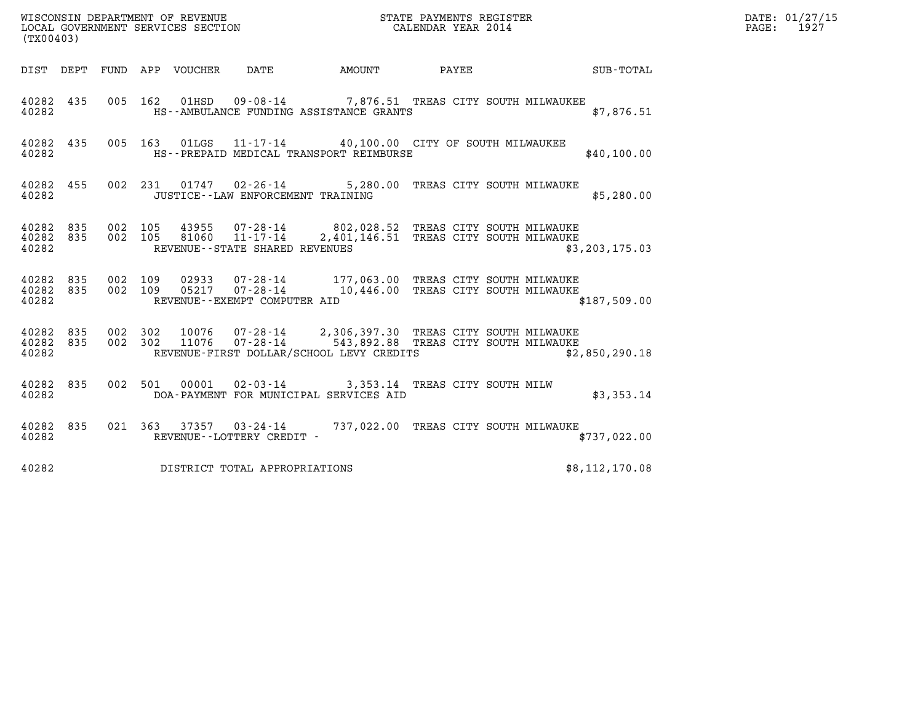| (TX00403)                       |           |         |         |                                 | WISCONSIN DEPARTMENT OF REVENUE<br>LOCAL GOVERNMENT SERVICES SECTION |                                                                                                                                                               | STATE PAYMENTS REGISTER<br>CALENDAR YEAR 2014 | DATE: 01/27/15<br>PAGE: 1927 |  |
|---------------------------------|-----------|---------|---------|---------------------------------|----------------------------------------------------------------------|---------------------------------------------------------------------------------------------------------------------------------------------------------------|-----------------------------------------------|------------------------------|--|
|                                 |           |         |         | DIST DEPT FUND APP VOUCHER DATE |                                                                      |                                                                                                                                                               |                                               | AMOUNT PAYEE SUB-TOTAL       |  |
| 40282 435<br>40282              |           |         | 005 162 | 01HSD                           |                                                                      | 09-08-14 7,876.51 TREAS CITY SOUTH MILWAUKEE<br>HS--AMBULANCE FUNDING ASSISTANCE GRANTS                                                                       |                                               | \$7,876.51                   |  |
| 40282 435<br>40282              |           |         |         |                                 |                                                                      | 005 163 01LGS 11-17-14 40,100.00 CITY OF SOUTH MILWAUKEE<br>HS--PREPAID MEDICAL TRANSPORT REIMBURSE                                                           |                                               | \$40,100.00                  |  |
| 40282                           | 40282 455 |         |         |                                 | JUSTICE - - LAW ENFORCEMENT TRAINING                                 | 002 231 01747 02-26-14 5,280.00 TREAS CITY SOUTH MILWAUKE                                                                                                     |                                               | \$5,280.00                   |  |
| 40282 835<br>40282 835<br>40282 |           | 002 105 | 002 105 |                                 | REVENUE--STATE SHARED REVENUES                                       | 43955 07-28-14 802,028.52 TREAS CITY SOUTH MILWAUKE<br>81060  11-17-14  2,401,146.51 TREAS CITY SOUTH MILWAUKE                                                |                                               | \$3, 203, 175.03             |  |
| 40282 835<br>40282 835<br>40282 |           | 002 109 | 002 109 |                                 | REVENUE--EXEMPT COMPUTER AID                                         | 02933  07-28-14  177,063.00  TREAS CITY SOUTH MILWAUKE<br>05217 07-28-14 10,446.00 TREAS CITY SOUTH MILWAUKE                                                  |                                               | \$187,509.00                 |  |
| 40282 835<br>40282 835<br>40282 |           | 002 302 | 002 302 |                                 |                                                                      | 10076  07-28-14  2,306,397.30 TREAS CITY SOUTH MILWAUKE<br>11076  07-28-14  543,892.88  TREAS CITY SOUTH MILWAUKE<br>REVENUE-FIRST DOLLAR/SCHOOL LEVY CREDITS |                                               | \$2,850,290.18               |  |
| 40282 835<br>40282              |           |         |         |                                 |                                                                      | 002 501 00001 02-03-14 3,353.14 TREAS CITY SOUTH MILW<br>DOA-PAYMENT FOR MUNICIPAL SERVICES AID                                                               |                                               | \$3,353.14                   |  |
| 40282 835<br>40282              |           |         |         |                                 | REVENUE--LOTTERY CREDIT -                                            | 021 363 37357 03-24-14 737,022.00 TREAS CITY SOUTH MILWAUKE                                                                                                   |                                               | \$737,022.00                 |  |
| 40282                           |           |         |         |                                 | DISTRICT TOTAL APPROPRIATIONS                                        |                                                                                                                                                               |                                               | \$8,112,170.08               |  |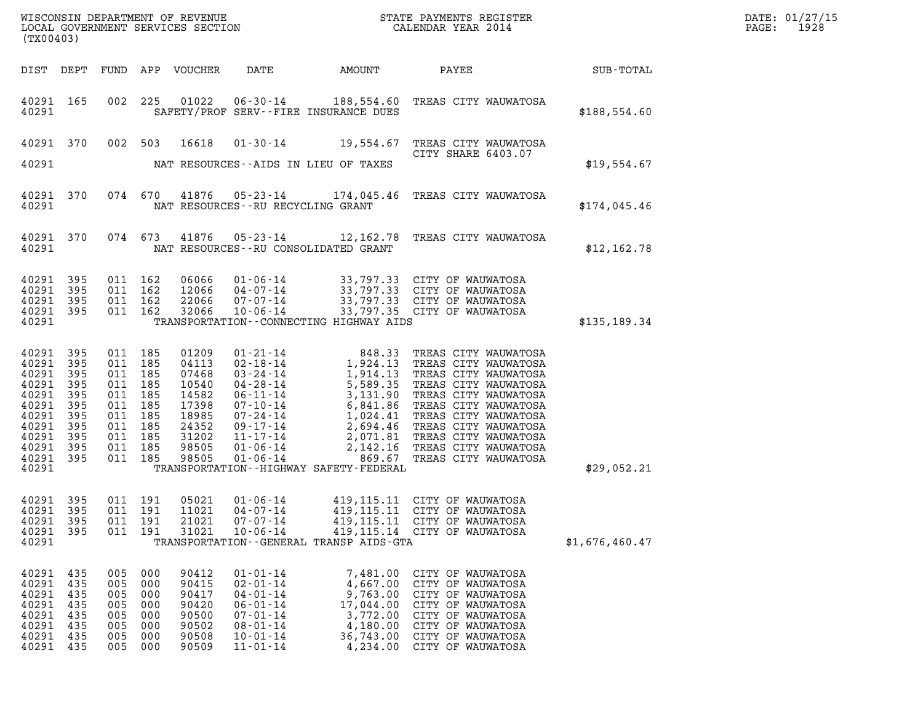| DATE: | 01/27/15 |
|-------|----------|
| PAGE: | 1928     |

| (TX00403)                                                                                                    |                                                                    |                                                      |                                                                                      |                                                                                                 |                                                                                                                                              |                                                                                                |                                                                                                                                                                                                                                                                                 |                | DATE: 01/27/15<br>PAGE:<br>1928 |
|--------------------------------------------------------------------------------------------------------------|--------------------------------------------------------------------|------------------------------------------------------|--------------------------------------------------------------------------------------|-------------------------------------------------------------------------------------------------|----------------------------------------------------------------------------------------------------------------------------------------------|------------------------------------------------------------------------------------------------|---------------------------------------------------------------------------------------------------------------------------------------------------------------------------------------------------------------------------------------------------------------------------------|----------------|---------------------------------|
| DIST DEPT                                                                                                    |                                                                    |                                                      |                                                                                      | FUND APP VOUCHER                                                                                | DATE                                                                                                                                         | AMOUNT                                                                                         | PAYEE SUB-TOTAL                                                                                                                                                                                                                                                                 |                |                                 |
| 40291 165<br>40291                                                                                           |                                                                    |                                                      | 002 225                                                                              |                                                                                                 |                                                                                                                                              | SAFETY/PROF SERV--FIRE INSURANCE DUES                                                          | 01022  06-30-14  188,554.60 TREAS CITY WAUWATOSA                                                                                                                                                                                                                                | \$188,554.60   |                                 |
| 40291 370                                                                                                    |                                                                    |                                                      | 002 503                                                                              | 16618                                                                                           |                                                                                                                                              |                                                                                                | 01-30-14 19,554.67 TREAS CITY WAUWATOSA<br>CITY SHARE 6403.07                                                                                                                                                                                                                   |                |                                 |
| 40291                                                                                                        |                                                                    |                                                      |                                                                                      |                                                                                                 |                                                                                                                                              | NAT RESOURCES--AIDS IN LIEU OF TAXES                                                           |                                                                                                                                                                                                                                                                                 | \$19,554.67    |                                 |
| 40291 370<br>40291                                                                                           |                                                                    |                                                      |                                                                                      |                                                                                                 | NAT RESOURCES--RU RECYCLING GRANT                                                                                                            |                                                                                                | 074 670 41876 05-23-14 174,045.46 TREAS CITY WAUWATOSA                                                                                                                                                                                                                          | \$174,045.46   |                                 |
| 40291 370<br>40291                                                                                           |                                                                    |                                                      | 074 673                                                                              | 41876                                                                                           |                                                                                                                                              | NAT RESOURCES--RU CONSOLIDATED GRANT                                                           | 05-23-14 12,162.78 TREAS CITY WAUWATOSA                                                                                                                                                                                                                                         | \$12,162.78    |                                 |
| 40291<br>40291<br>40291<br>40291 395<br>40291                                                                | 395<br>395<br>395                                                  |                                                      | 011 162<br>011 162<br>011 162<br>011 162                                             | 06066<br>12066<br>22066<br>32066                                                                | 10-06-14                                                                                                                                     | TRANSPORTATION--CONNECTING HIGHWAY AIDS                                                        | 01-06-14 33,797.33 CITY OF WAUWATOSA<br>04-07-14 33,797.33 CITY OF WAUWATOSA<br>07-07-14 33,797.33 CITY OF WAUWATOSA<br>33,797.35 CITY OF WAUWATOSA                                                                                                                             | \$135,189.34   |                                 |
| 40291<br>40291<br>40291<br>40291<br>40291<br>40291<br>40291<br>40291<br>40291<br>40291<br>40291 395<br>40291 | 395<br>395<br>395<br>395<br>395<br>395<br>395<br>395<br>395<br>395 | 011 185<br>011 185<br>011 185                        | 011 185<br>011 185<br>011 185<br>011 185<br>011 185<br>011 185<br>011 185<br>011 185 | 01209<br>04113<br>07468<br>10540<br>14582<br>17398<br>18985<br>24352<br>31202<br>98505<br>98505 |                                                                                                                                              | TRANSPORTATION - - HIGHWAY SAFETY - FEDERAL                                                    | 01-21-14 848.33 TREAS CITY WAUWATOSA<br>02-18-14 1,924.13 TREAS CITY WAUWATOSA<br>03-24-14 1,914.13 TREAS CITY WAUWATOSA<br>04-28-14 5,589.35 TREAS CITY WAUWATOSA<br>06-11-14 3,131.90 TREAS CITY WAUWATOSA<br>07-10-14 6,841.86 TREAS<br>01-06-14 869.67 TREAS CITY WAUWATOSA | \$29,052.21    |                                 |
| 40291 395<br>40291<br>40291<br>40291<br>40291                                                                | 395<br>395<br>395                                                  | 011                                                  | 011 191<br>191<br>011 191<br>011 191                                                 | 05021<br>11021<br>21021<br>31021                                                                | 01-06-14<br>$04 - 07 - 14$<br>$07 - 07 - 14$<br>$10 - 06 - 14$                                                                               | 419,115.11<br>419,115.11<br>TRANSPORTATION--GENERAL TRANSP AIDS-GTA                            | 419,115.11 CITY OF WAUWATOSA<br>CITY OF WAUWATOSA<br>CITY OF WAUWATOSA<br>419, 115.14 CITY OF WAUWATOSA                                                                                                                                                                         | \$1,676,460.47 |                                 |
| 40291<br>40291<br>40291<br>40291<br>40291<br>40291<br>40291<br>40291                                         | 435<br>435<br>435<br>435<br>435<br>435<br>435<br>435               | 005<br>005<br>005<br>005<br>005<br>005<br>005<br>005 | 000<br>000<br>000<br>000<br>000<br>000<br>000<br>000                                 | 90412<br>90415<br>90417<br>90420<br>90500<br>90502<br>90508<br>90509                            | $01 - 01 - 14$<br>$02 - 01 - 14$<br>$04 - 01 - 14$<br>$06 - 01 - 14$<br>$07 - 01 - 14$<br>$08 - 01 - 14$<br>$10 - 01 - 14$<br>$11 - 01 - 14$ | 7,481.00<br>4,667.00<br>9,763.00<br>17,044.00<br>3,772.00<br>4,180.00<br>36,743.00<br>4,234.00 | CITY OF WAUWATOSA<br>CITY OF WAUWATOSA<br>CITY OF WAUWATOSA<br>CITY OF WAUWATOSA<br>CITY OF WAUWATOSA<br>CITY OF WAUWATOSA<br>CITY OF WAUWATOSA<br>CITY OF WAUWATOSA                                                                                                            |                |                                 |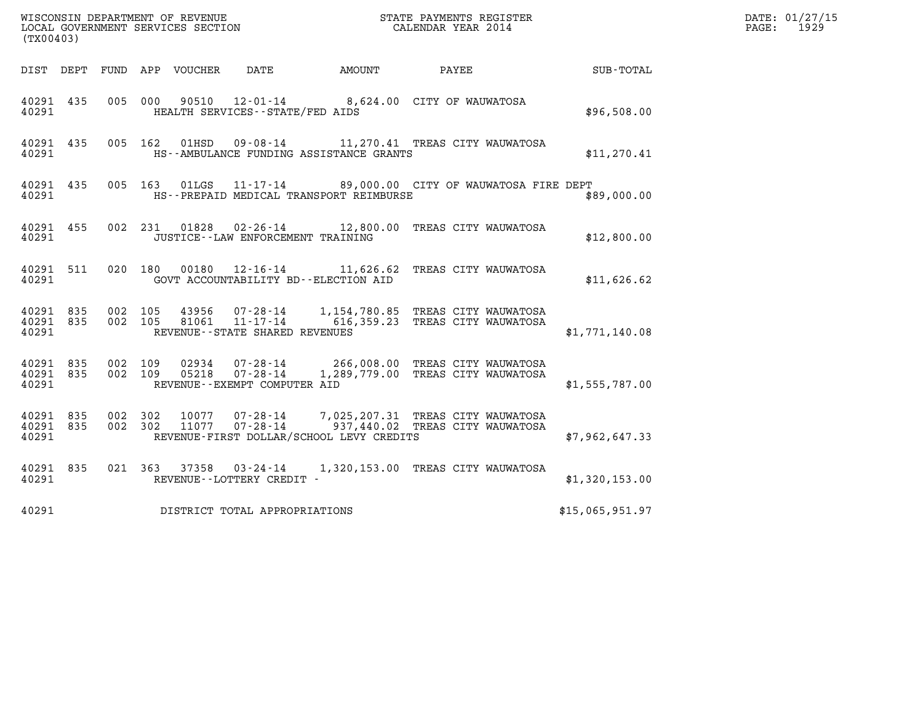| (TX00403)                       |                    |         |                                      |                                          |                                                                                                            |                 | DATE: 01/27/15<br>$\mathtt{PAGE:}$<br>1929 |
|---------------------------------|--------------------|---------|--------------------------------------|------------------------------------------|------------------------------------------------------------------------------------------------------------|-----------------|--------------------------------------------|
|                                 |                    |         |                                      | DIST DEPT FUND APP VOUCHER DATE AMOUNT   | PAYEE                                                                                                      | SUB-TOTAL       |                                            |
| 40291 435<br>40291              |                    |         | HEALTH SERVICES--STATE/FED AIDS      |                                          | 005 000 90510 12-01-14 8,624.00 CITY OF WAUWATOSA                                                          | \$96,508.00     |                                            |
| 40291 435<br>40291              |                    |         |                                      | HS--AMBULANCE FUNDING ASSISTANCE GRANTS  | 005 162 01HSD 09-08-14 11,270.41 TREAS CITY WAUWATOSA                                                      | \$11, 270.41    |                                            |
| 40291 435<br>40291              |                    |         |                                      | HS--PREPAID MEDICAL TRANSPORT REIMBURSE  | 005 163 01LGS 11-17-14 89,000.00 CITY OF WAUWATOSA FIRE DEPT                                               | \$89,000.00     |                                            |
| 40291 455<br>40291              |                    |         | JUSTICE - - LAW ENFORCEMENT TRAINING |                                          | 002 231 01828 02-26-14 12,800.00 TREAS CITY WAUWATOSA                                                      | \$12,800.00     |                                            |
| 40291 511<br>40291              |                    |         |                                      | GOVT ACCOUNTABILITY BD--ELECTION AID     | 020 180 00180 12-16-14 11,626.62 TREAS CITY WAUWATOSA                                                      | \$11,626.62     |                                            |
| 40291 835<br>40291              | 40291 835 002 105  |         | REVENUE - - STATE SHARED REVENUES    |                                          | 43956 07-28-14 1,154,780.85 TREAS CITY WAUWATOSA<br>002 105 81061 11-17-14 616,359.23 TREAS CITY WAUWATOSA | \$1,771,140.08  |                                            |
| 40291 835<br>40291 835<br>40291 | 002 109            | 002 109 | REVENUE--EXEMPT COMPUTER AID         |                                          | 02934  07-28-14  266,008.00 TREAS CITY WAUWATOSA<br>05218  07-28-14  1,289,779.00 TREAS CITY WAUWATOSA     | \$1,555,787.00  |                                            |
| 40291 835<br>40291 835<br>40291 | 002 302<br>002 302 |         |                                      | REVENUE-FIRST DOLLAR/SCHOOL LEVY CREDITS | 10077  07-28-14  7,025,207.31  TREAS CITY WAUWATOSA<br>11077  07-28-14  937,440.02  TREAS CITY WAUWATOSA   | \$7,962,647.33  |                                            |
| 40291 835<br>40291              |                    |         | REVENUE--LOTTERY CREDIT -            |                                          | 021 363 37358 03-24-14 1,320,153.00 TREAS CITY WAUWATOSA                                                   | \$1,320,153.00  |                                            |
| 40291                           |                    |         | DISTRICT TOTAL APPROPRIATIONS        |                                          |                                                                                                            | \$15,065,951.97 |                                            |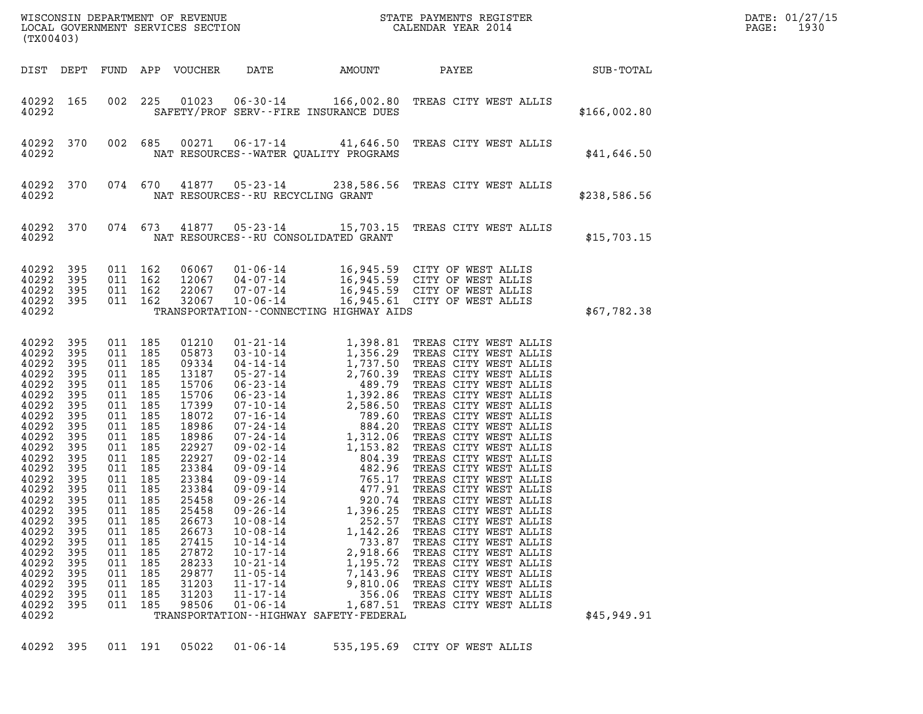| WISCONSIN DEPARTMENT OF REVENUE<br>LOCAL GOVERNMENT SERVICES SECTION<br>LOCAL GOVERNMENT SERVICES SECTION<br>CALENDAR YEAR 2014<br>(TX00403)                                                                                                    |                                                                                                                                                                                    |                                                                                                                                                                                                                                    |                                                                                                |                                                                                                                                                                                                                                        |                                                                                                                                                                                                    |                                                                                                                                                                         |                                                                                                                                                                                                                                                                                 |              | DATE: 01/27/15<br>1930<br>PAGE: |
|-------------------------------------------------------------------------------------------------------------------------------------------------------------------------------------------------------------------------------------------------|------------------------------------------------------------------------------------------------------------------------------------------------------------------------------------|------------------------------------------------------------------------------------------------------------------------------------------------------------------------------------------------------------------------------------|------------------------------------------------------------------------------------------------|----------------------------------------------------------------------------------------------------------------------------------------------------------------------------------------------------------------------------------------|----------------------------------------------------------------------------------------------------------------------------------------------------------------------------------------------------|-------------------------------------------------------------------------------------------------------------------------------------------------------------------------|---------------------------------------------------------------------------------------------------------------------------------------------------------------------------------------------------------------------------------------------------------------------------------|--------------|---------------------------------|
| DIST DEPT                                                                                                                                                                                                                                       |                                                                                                                                                                                    |                                                                                                                                                                                                                                    |                                                                                                | FUND APP VOUCHER                                                                                                                                                                                                                       | DATE                                                                                                                                                                                               | AMOUNT                                                                                                                                                                  | PAYEE SUB-TOTAL                                                                                                                                                                                                                                                                 |              |                                 |
| 40292 165<br>40292                                                                                                                                                                                                                              |                                                                                                                                                                                    | 002                                                                                                                                                                                                                                | 225                                                                                            |                                                                                                                                                                                                                                        |                                                                                                                                                                                                    | SAFETY/PROF SERV--FIRE INSURANCE DUES                                                                                                                                   | 01023  06-30-14  166,002.80  TREAS CITY WEST ALLIS                                                                                                                                                                                                                              | \$166,002.80 |                                 |
| 40292 370<br>40292                                                                                                                                                                                                                              |                                                                                                                                                                                    |                                                                                                                                                                                                                                    | 002 685                                                                                        |                                                                                                                                                                                                                                        |                                                                                                                                                                                                    | NAT RESOURCES--WATER QUALITY PROGRAMS                                                                                                                                   | 00271  06-17-14  41,646.50  TREAS CITY WEST ALLIS                                                                                                                                                                                                                               | \$41,646.50  |                                 |
| 40292 370<br>40292                                                                                                                                                                                                                              |                                                                                                                                                                                    |                                                                                                                                                                                                                                    | 074 670                                                                                        |                                                                                                                                                                                                                                        | NAT RESOURCES--RU RECYCLING GRANT                                                                                                                                                                  |                                                                                                                                                                         | 41877  05-23-14  238,586.56  TREAS CITY WEST ALLIS                                                                                                                                                                                                                              | \$238,586.56 |                                 |
| 40292 370<br>40292                                                                                                                                                                                                                              |                                                                                                                                                                                    |                                                                                                                                                                                                                                    | 074 673                                                                                        |                                                                                                                                                                                                                                        |                                                                                                                                                                                                    | NAT RESOURCES--RU CONSOLIDATED GRANT                                                                                                                                    | 41877  05-23-14  15,703.15  TREAS CITY WEST ALLIS                                                                                                                                                                                                                               | \$15,703.15  |                                 |
| 40292<br>40292<br>40292<br>40292 395<br>40292                                                                                                                                                                                                   | 395<br>395<br>395                                                                                                                                                                  | 011 162<br>011 162                                                                                                                                                                                                                 | 011 162<br>011 162                                                                             | 06067<br>12067<br>22067<br>32067                                                                                                                                                                                                       |                                                                                                                                                                                                    | TRANSPORTATION - - CONNECTING HIGHWAY AIDS                                                                                                                              | 01-06-14 16,945.59 CITY OF WEST ALLIS<br>04-07-14 16,945.59 CITY OF WEST ALLIS<br>07-07-14 16,945.59 CITY OF WEST ALLIS<br>10-06-14 16,945.61 CITY OF WEST ALLIS                                                                                                                | \$67,782.38  |                                 |
| 40292<br>40292<br>40292<br>40292<br>40292<br>40292<br>40292<br>40292<br>40292<br>40292<br>40292<br>40292<br>40292<br>40292<br>40292<br>40292<br>40292<br>40292<br>40292<br>40292<br>40292<br>40292<br>40292<br>40292<br>40292<br>40292<br>40292 | 395<br>395<br>395<br>395<br>395<br>395<br>395<br>395<br>395<br>395<br>395<br>395<br>395<br>395<br>395<br>395<br>395<br>395<br>395<br>395<br>395<br>395<br>395<br>395<br>395<br>395 | 011 185<br>011 185<br>011 185<br>011 185<br>011 185<br>011 185<br>011<br>011<br>011<br>011 185<br>011<br>011 185<br>011 185<br>011 185<br>011 185<br>011 185<br>011<br>011<br>011<br>011<br>011<br>011<br>011<br>011<br>011<br>011 | 185<br>185<br>185<br>185<br>185<br>185<br>185<br>185<br>185<br>185<br>185<br>185<br>185<br>185 | 01210<br>05873<br>09334<br>13187<br>15706<br>15706<br>17399<br>18072<br>18986<br>18986<br>22927<br>22927<br>23384<br>23384<br>23384<br>25458<br>25458<br>26673<br>26673<br>27415<br>27872<br>28233<br>29877<br>31203<br>31203<br>98506 | $09 - 26 - 14$<br>$09 - 26 - 14$<br>$10 - 08 - 14$<br>$10 - 08 - 14$<br>$10 - 14 - 14$<br>$10 - 17 - 14$<br>$10 - 21 - 14$<br>$11 - 05 - 14$<br>$11 - 17 - 14$<br>$11 - 17 - 14$<br>$01 - 06 - 14$ | 920.74<br>1,396.25<br>252.57<br>1,142.26<br>733.87<br>2,918.66<br>1,195.72<br>7,143.96<br>9,810.06<br>356.06<br>1,687.51<br>TRANSPORTATION - - HIGHWAY SAFETY - FEDERAL | TREAS CITY WEST ALLIS<br>TREAS CITY WEST ALLIS<br>TREAS CITY WEST ALLIS<br>TREAS CITY WEST ALLIS<br>TREAS CITY WEST ALLIS<br>TREAS CITY WEST ALLIS<br>TREAS CITY WEST ALLIS<br>TREAS CITY WEST ALLIS<br>TREAS CITY WEST ALLIS<br>TREAS CITY WEST ALLIS<br>TREAS CITY WEST ALLIS | \$45,949.91  |                                 |

40292 395 011 191 05022 01-06-14 535,195.69 CITY OF WEST ALLIS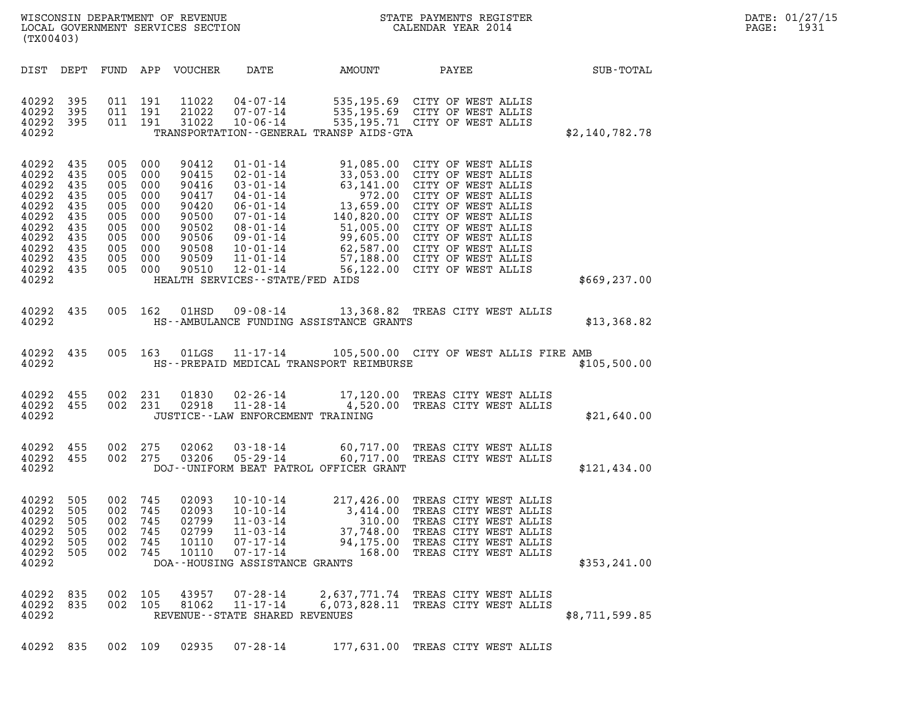| (TX00403)                                                                                                    |                                                                    |                                                                               |                                                                    |                                                                                                 |                                                                                                                                      |                                                        |                                                                                                                                                                                                                                                                                                                                                                                                                   |                | DATE: 01/27/15<br>PAGE:<br>1931 |
|--------------------------------------------------------------------------------------------------------------|--------------------------------------------------------------------|-------------------------------------------------------------------------------|--------------------------------------------------------------------|-------------------------------------------------------------------------------------------------|--------------------------------------------------------------------------------------------------------------------------------------|--------------------------------------------------------|-------------------------------------------------------------------------------------------------------------------------------------------------------------------------------------------------------------------------------------------------------------------------------------------------------------------------------------------------------------------------------------------------------------------|----------------|---------------------------------|
|                                                                                                              |                                                                    |                                                                               |                                                                    | DIST DEPT FUND APP VOUCHER                                                                      | DATE                                                                                                                                 | AMOUNT                                                 | PAYEE                                                                                                                                                                                                                                                                                                                                                                                                             | SUB-TOTAL      |                                 |
| 40292<br>40292<br>40292<br>40292                                                                             | 395<br>395<br>395                                                  | 011 191<br>011 191<br>011 191                                                 |                                                                    | 11022<br>21022<br>31022                                                                         | 04 - 07 - 14<br>07 - 07 - 14<br>10-06-14                                                                                             | TRANSPORTATION - - GENERAL TRANSP AIDS - GTA           | 535,195.69 CITY OF WEST ALLIS<br>535,195.69 CITY OF WEST ALLIS<br>535,195.71 CITY OF WEST ALLIS                                                                                                                                                                                                                                                                                                                   | \$2,140,782.78 |                                 |
| 40292 435<br>40292<br>40292<br>40292<br>40292<br>40292<br>40292<br>40292<br>40292<br>40292<br>40292<br>40292 | 435<br>435<br>435<br>435<br>435<br>435<br>435<br>435<br>435<br>435 | 005<br>005<br>005<br>005<br>005<br>005<br>005<br>005<br>005<br>005<br>005 000 | 000<br>000<br>000<br>000<br>000<br>000<br>000<br>000<br>000<br>000 | 90412<br>90415<br>90416<br>90417<br>90420<br>90500<br>90502<br>90506<br>90508<br>90509<br>90510 | $01 - 01 - 14$<br>$11 - 01 - 14$<br>12-01-14<br>HEALTH SERVICES - - STATE/FED AIDS                                                   |                                                        | 91,085.00 CITY OF WEST ALLIS<br>02-01-14<br>03-01-14<br>03-01-14<br>04-01-14<br>06-01-14<br>06-01-14<br>06-01-14<br>06-01-14<br>06-01-14<br>06-01-14<br>07-01-14<br>07-01-14<br>140,820.00 CITY OF WEST ALLIS<br>08-01-14<br>99,605.00 CITY OF WEST ALLIS<br>10-01-14<br>62,587.00 CITY OF WEST ALLIS<br>10-01-14<br>62,587.00 CITY OF WEST ALLIS<br>57,188.00 CITY OF WEST ALLIS<br>56,122.00 CITY OF WEST ALLIS | \$669, 237.00  |                                 |
| 40292 435<br>40292                                                                                           |                                                                    | 005 162                                                                       |                                                                    | 01HSD                                                                                           |                                                                                                                                      | HS--AMBULANCE FUNDING ASSISTANCE GRANTS                | 09-08-14 13,368.82 TREAS CITY WEST ALLIS                                                                                                                                                                                                                                                                                                                                                                          | \$13,368.82    |                                 |
| 40292 435<br>40292                                                                                           |                                                                    |                                                                               | 005 163                                                            | 01LGS                                                                                           |                                                                                                                                      | HS--PREPAID MEDICAL TRANSPORT REIMBURSE                | 11-17-14 105,500.00 CITY OF WEST ALLIS FIRE AMB                                                                                                                                                                                                                                                                                                                                                                   | \$105,500.00   |                                 |
| 40292 455<br>40292 455<br>40292                                                                              |                                                                    | 002 231<br>002 231                                                            |                                                                    | 01830<br>02918                                                                                  | 11-28-14<br>JUSTICE - - LAW ENFORCEMENT TRAINING                                                                                     |                                                        | 02-26-14 17,120.00 TREAS CITY WEST ALLIS<br>4,520.00 TREAS CITY WEST ALLIS                                                                                                                                                                                                                                                                                                                                        | \$21,640.00    |                                 |
| 40292<br>40292 455<br>40292                                                                                  | 455                                                                | 002<br>002 275                                                                | 275                                                                | 02062<br>03206                                                                                  | $03 - 18 - 14$<br>$05 - 29 - 14$                                                                                                     | DOJ--UNIFORM BEAT PATROL OFFICER GRANT                 | 60,717.00 TREAS CITY WEST ALLIS<br>60,717.00 TREAS CITY WEST ALLIS                                                                                                                                                                                                                                                                                                                                                | \$121,434.00   |                                 |
| 40292 505<br>40292<br>40292<br>40292<br>40292<br>40292<br>40292                                              | 505<br>505<br>505<br>505<br>505                                    | 002 745<br>002<br>002<br>002<br>002<br>002                                    | 745<br>745<br>745<br>745<br>745                                    | 02093<br>02093<br>02799<br>02799<br>10110<br>10110                                              | $10 - 10 - 14$<br>10-10-14<br>$11 - 03 - 14$<br>$11 - 03 - 14$<br>$07 - 17 - 14$<br>$07 - 17 - 14$<br>DOA--HOUSING ASSISTANCE GRANTS | 3,414.00<br>310.00<br>37,748.00<br>94,175.00<br>168.00 | 217,426.00 TREAS CITY WEST ALLIS<br>TREAS CITY WEST ALLIS<br>TREAS CITY WEST ALLIS<br>TREAS CITY WEST ALLIS<br>TREAS CITY WEST ALLIS<br>TREAS CITY WEST ALLIS                                                                                                                                                                                                                                                     | \$353, 241.00  |                                 |
| 40292<br>40292<br>40292                                                                                      | 835<br>835                                                         | 002<br>002 105                                                                | 105                                                                | 43957<br>81062                                                                                  | $07 - 28 - 14$<br>$11 - 17 - 14$<br>REVENUE - - STATE SHARED REVENUES                                                                | 2,637,771.74<br>6,073,828.11                           | TREAS CITY WEST ALLIS<br>TREAS CITY WEST ALLIS                                                                                                                                                                                                                                                                                                                                                                    | \$8,711,599.85 |                                 |
| 40292                                                                                                        | 835                                                                | 002 109                                                                       |                                                                    | 02935                                                                                           | $07 - 28 - 14$                                                                                                                       |                                                        | 177,631.00 TREAS CITY WEST ALLIS                                                                                                                                                                                                                                                                                                                                                                                  |                |                                 |